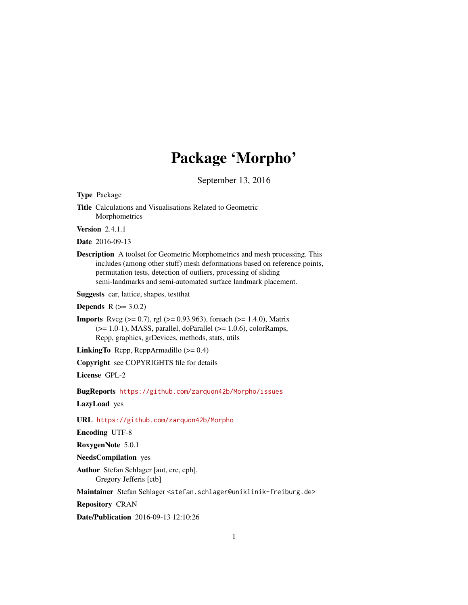# Package 'Morpho'

September 13, 2016

<span id="page-0-0"></span>Type Package Title Calculations and Visualisations Related to Geometric **Morphometrics** Version 2.4.1.1 Date 2016-09-13 Description A toolset for Geometric Morphometrics and mesh processing. This includes (among other stuff) mesh deformations based on reference points, permutation tests, detection of outliers, processing of sliding semi-landmarks and semi-automated surface landmark placement. Suggests car, lattice, shapes, testthat **Depends**  $R (= 3.0.2)$ **Imports** Rvcg ( $>= 0.7$ ), rgl ( $>= 0.93.963$ ), foreach ( $>= 1.4.0$ ), Matrix  $(>= 1.0-1)$ , MASS, parallel, doParallel  $(>= 1.0.6)$ , colorRamps, Rcpp, graphics, grDevices, methods, stats, utils **LinkingTo** Rcpp, RcppArmadillo  $(>= 0.4)$ Copyright see COPYRIGHTS file for details License GPL-2 BugReports <https://github.com/zarquon42b/Morpho/issues> LazyLoad yes URL <https://github.com/zarquon42b/Morpho> Encoding UTF-8 RoxygenNote 5.0.1 NeedsCompilation yes Author Stefan Schlager [aut, cre, cph], Gregory Jefferis [ctb] Maintainer Stefan Schlager <stefan.schlager@uniklinik-freiburg.de> Repository CRAN

Date/Publication 2016-09-13 12:10:26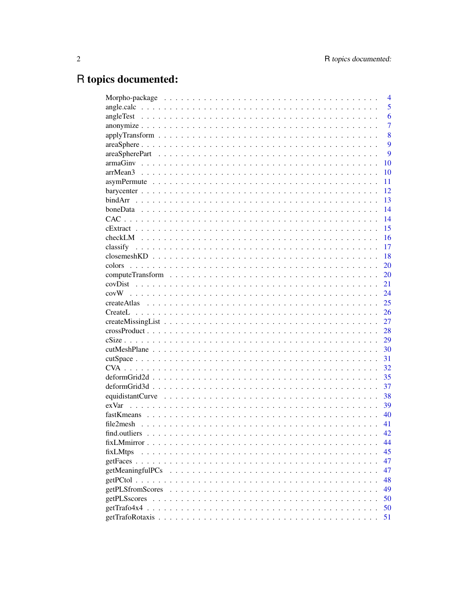# R topics documented:

|              | $\overline{4}$ |
|--------------|----------------|
|              | 5              |
|              | 6              |
|              | $\overline{7}$ |
|              | 8              |
|              | 9              |
|              | 9              |
|              | 10             |
|              | 10             |
|              | 11             |
|              | 12             |
|              | 13             |
|              | 14             |
|              | 14             |
|              | 15             |
|              | 16             |
|              | 17             |
|              | 18             |
| colors       | 20             |
|              | 20             |
|              | 21             |
|              | 24             |
|              | 25             |
|              | 26             |
|              | 27             |
|              | 28             |
|              | 29             |
|              | 30             |
|              | 31             |
|              | 32             |
|              | 35             |
|              | 37             |
|              | 38             |
|              | 39             |
|              | 40             |
|              | 41             |
|              | 42.            |
|              | 44             |
| fixLMtps     | 45             |
|              | 47             |
|              | 47             |
|              | 48             |
|              | 49             |
| getPLSscores | 50             |
|              | 50             |
|              | 51             |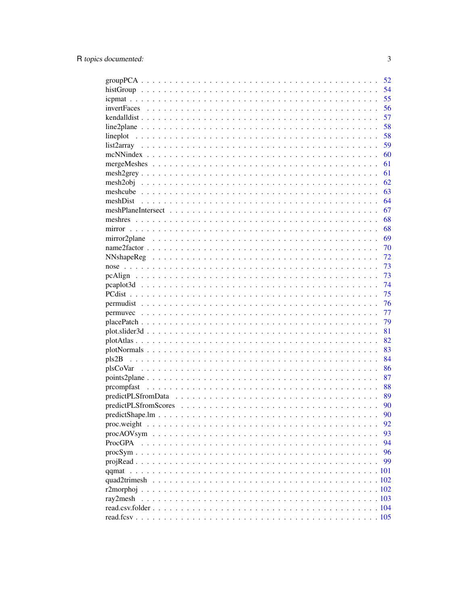|                    | 52 |
|--------------------|----|
|                    | 54 |
|                    | 55 |
| <i>invertFaces</i> | 56 |
|                    | 57 |
|                    | 58 |
| lineplot           | 58 |
|                    | 59 |
|                    | 60 |
|                    | 61 |
|                    | 61 |
|                    | 62 |
|                    | 63 |
|                    | 64 |
|                    | 67 |
| meshres            | 68 |
|                    | 68 |
|                    | 69 |
|                    | 70 |
|                    | 72 |
|                    | 73 |
|                    | 73 |
|                    | 74 |
|                    | 75 |
|                    | 76 |
|                    | 77 |
|                    | 79 |
|                    | 81 |
|                    | 82 |
|                    | 83 |
|                    | 84 |
|                    | 86 |
|                    | 87 |
|                    | 88 |
|                    | 89 |
|                    | 90 |
|                    | 90 |
| proc.weight        | 92 |
|                    | 93 |
| ProcGPA            | 94 |
|                    | 96 |
|                    | 99 |
| qqmat              |    |
|                    |    |
|                    |    |
| ray2mesh           |    |
|                    |    |
|                    |    |
|                    |    |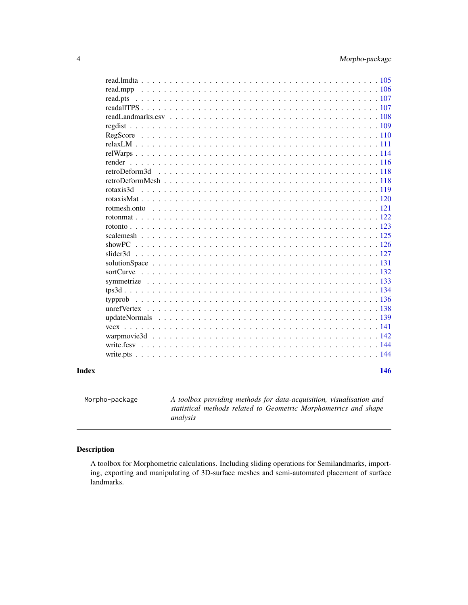<span id="page-3-0"></span>

| retroDeform3d<br>rotaxis3d |
|----------------------------|
|                            |
|                            |
|                            |
|                            |
|                            |
|                            |
|                            |
|                            |
|                            |
|                            |
|                            |
|                            |
|                            |
|                            |
|                            |
|                            |
|                            |
|                            |
|                            |
|                            |
|                            |
|                            |
|                            |
|                            |
|                            |
|                            |
|                            |
|                            |
|                            |
|                            |

Morpho-package *A toolbox providing methods for data-acquisition, visualisation and statistical methods related to Geometric Morphometrics and shape analysis*

### Description

A toolbox for Morphometric calculations. Including sliding operations for Semilandmarks, importing, exporting and manipulating of 3D-surface meshes and semi-automated placement of surface landmarks.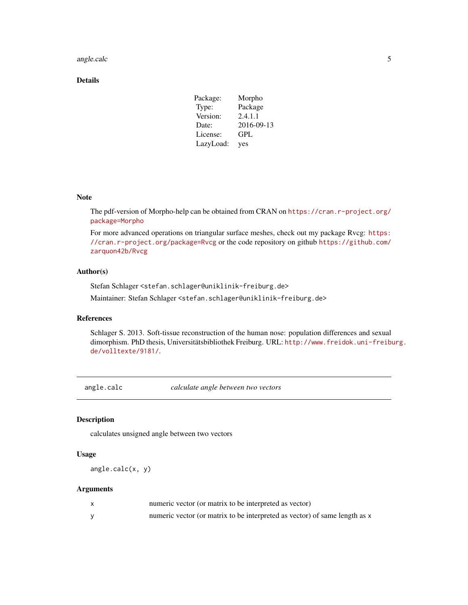#### <span id="page-4-0"></span>angle.calc 5

### Details

| Package:  | Morpho     |
|-----------|------------|
| Type:     | Package    |
| Version:  | 2.4.1.1    |
| Date:     | 2016-09-13 |
| License:  | GPL        |
| LazyLoad: | yes        |

### Note

The pdf-version of Morpho-help can be obtained from CRAN on [https://cran.r-project.org/](https://cran.r-project.org/package=Morpho) [package=Morpho](https://cran.r-project.org/package=Morpho)

For more advanced operations on triangular surface meshes, check out my package Rvcg: [https:](https://cran.r-project.org/package=Rvcg) [//cran.r-project.org/package=Rvcg](https://cran.r-project.org/package=Rvcg) or the code repository on github [https://github.com/](https://github.com/zarquon42b/Rvcg) [zarquon42b/Rvcg](https://github.com/zarquon42b/Rvcg)

#### Author(s)

Stefan Schlager <stefan.schlager@uniklinik-freiburg.de>

Maintainer: Stefan Schlager <stefan.schlager@uniklinik-freiburg.de>

#### References

Schlager S. 2013. Soft-tissue reconstruction of the human nose: population differences and sexual dimorphism. PhD thesis, Universitätsbibliothek Freiburg. URL: [http://www.freidok.uni-freibu](http://www.freidok.uni-freiburg.de/volltexte/9181/)rg. [de/volltexte/9181/](http://www.freidok.uni-freiburg.de/volltexte/9181/).

angle.calc *calculate angle between two vectors*

### Description

calculates unsigned angle between two vectors

### Usage

```
angle.calc(x, y)
```
### Arguments

| numeric vector (or matrix to be interpreted as vector)                     |
|----------------------------------------------------------------------------|
| numeric vector (or matrix to be interpreted as vector) of same length as x |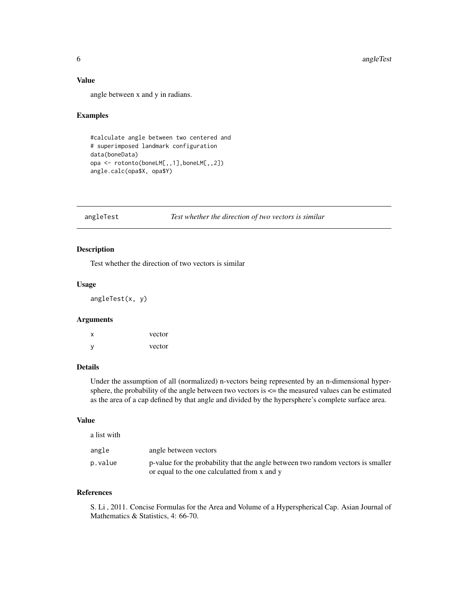### Value

angle between x and y in radians.

### Examples

```
#calculate angle between two centered and
# superimposed landmark configuration
data(boneData)
opa <- rotonto(boneLM[,,1],boneLM[,,2])
angle.calc(opa$X, opa$Y)
```
<span id="page-5-1"></span>angleTest *Test whether the direction of two vectors is similar*

### Description

Test whether the direction of two vectors is similar

#### Usage

angleTest(x, y)

#### Arguments

| х | vector |
|---|--------|
| У | vector |

#### Details

Under the assumption of all (normalized) n-vectors being represented by an n-dimensional hypersphere, the probability of the angle between two vectors is <= the measured values can be estimated as the area of a cap defined by that angle and divided by the hypersphere's complete surface area.

### Value

| a list with |                                                                                                                                 |
|-------------|---------------------------------------------------------------------------------------------------------------------------------|
| angle       | angle between vectors                                                                                                           |
| p.value     | p-value for the probability that the angle between two random vectors is smaller<br>or equal to the one calculated from x and y |

### References

S. Li , 2011. Concise Formulas for the Area and Volume of a Hyperspherical Cap. Asian Journal of Mathematics & Statistics, 4: 66-70.

<span id="page-5-0"></span>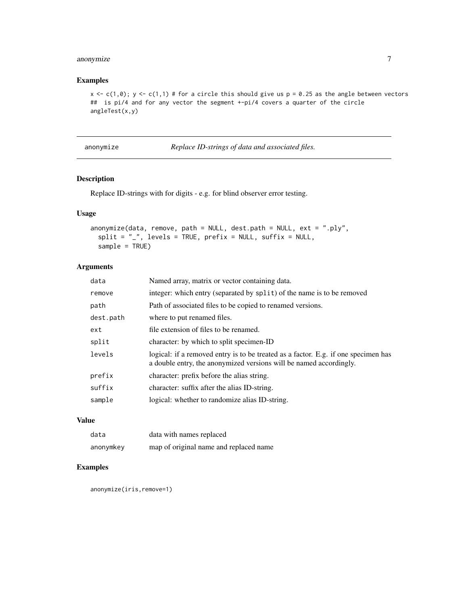### <span id="page-6-0"></span>anonymize 7

### Examples

```
x \leftarrow c(1,0); y \leftarrow c(1,1) # for a circle this should give us p = 0.25 as the angle between vectors
## is pi/4 and for any vector the segment +-pi/4 covers a quarter of the circle
angleTest(x,y)
```

| anonymize |  |
|-----------|--|

*Replace ID-strings of data and associated files.* 

#### Description

Replace ID-strings with for digits - e.g. for blind observer error testing.

### Usage

```
anonymize(data, remove, path = NULL, dest.path = NULL, ext = ".ply",
  split = ",", levels = TRUE, prefix = NULL, suffix = NULL,
  sample = TRUE)
```
### Arguments

| data      | Named array, matrix or vector containing data.                                                                                                           |
|-----------|----------------------------------------------------------------------------------------------------------------------------------------------------------|
| remove    | integer: which entry (separated by split) of the name is to be removed                                                                                   |
| path      | Path of associated files to be copied to renamed versions.                                                                                               |
| dest.path | where to put renamed files.                                                                                                                              |
| ext       | file extension of files to be renamed.                                                                                                                   |
| split     | character: by which to split specimen-ID                                                                                                                 |
| levels    | logical: if a removed entry is to be treated as a factor. E.g. if one specimen has<br>a double entry, the anonymized versions will be named accordingly. |
| prefix    | character: prefix before the alias string.                                                                                                               |
| suffix    | character: suffix after the alias ID-string.                                                                                                             |
| sample    | logical: whether to randomize alias ID-string.                                                                                                           |
|           |                                                                                                                                                          |

### Value

| data      | data with names replaced               |
|-----------|----------------------------------------|
| anonymkey | map of original name and replaced name |

### Examples

anonymize(iris,remove=1)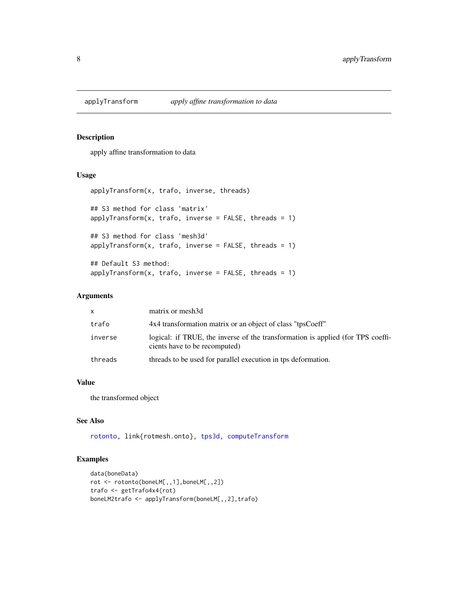<span id="page-7-0"></span>

apply affine transformation to data

#### Usage

```
applyTransform(x, trafo, inverse, threads)
## S3 method for class 'matrix'
applyTransform(x, trafo, inverse = FALSE, threads = 1)## S3 method for class 'mesh3d'
applyTransform(x, trafo, inverse = FALSE, threads = 1)## Default S3 method:
applyTransform(x, trafo, inverse = FALSE, threads = 1)
```
### Arguments

| <b>X</b> | matrix or mesh3d                                                                                                 |
|----------|------------------------------------------------------------------------------------------------------------------|
| trafo    | 4x4 transformation matrix or an object of class "tpsCoeff"                                                       |
| inverse  | logical: if TRUE, the inverse of the transformation is applied (for TPS coeffi-<br>cients have to be recomputed) |
| threads  | threads to be used for parallel execution in tps deformation.                                                    |

### Value

the transformed object

### See Also

[rotonto,](#page-122-1) link{rotmesh.onto}, [tps3d,](#page-133-1) [computeTransform](#page-19-1)

```
data(boneData)
rot <- rotonto(boneLM[,,1],boneLM[,,2])
trafo <- getTrafo4x4(rot)
boneLM2trafo <- applyTransform(boneLM[,,2],trafo)
```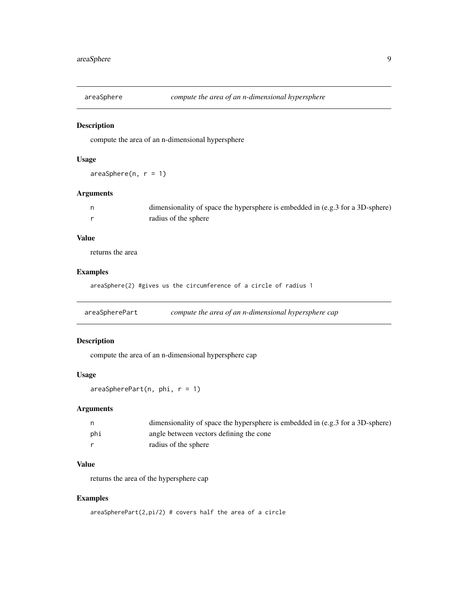<span id="page-8-0"></span>

compute the area of an n-dimensional hypersphere

### Usage

 $areaSphere(n, r = 1)$ 

### Arguments

| dimensionality of space the hypersphere is embedded in (e.g. 3 for a 3D-sphere) |
|---------------------------------------------------------------------------------|
| radius of the sphere                                                            |

#### Value

returns the area

#### Examples

areaSphere(2) #gives us the circumference of a circle of radius 1

areaSpherePart *compute the area of an n-dimensional hypersphere cap*

### Description

compute the area of an n-dimensional hypersphere cap

### Usage

 $areaSpherePart(n, phi, r = 1)$ 

#### Arguments

|     | dimensionality of space the hypersphere is embedded in $(e.g. 3 for a 3D-sphere)$ |
|-----|-----------------------------------------------------------------------------------|
| phi | angle between vectors defining the cone                                           |
|     | radius of the sphere                                                              |

### Value

returns the area of the hypersphere cap

```
areaSpherePart(2,pi/2) # covers half the area of a circle
```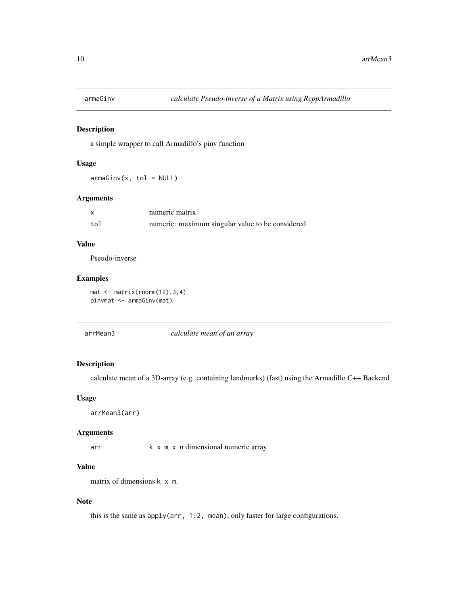<span id="page-9-0"></span>

a simple wrapper to call Armadillo's pinv function

### Usage

 $armaGinv(x, tol = NULL)$ 

### Arguments

|     | numeric matrix                                   |
|-----|--------------------------------------------------|
| tol | numeric: maximum singular value to be considered |

### Value

Pseudo-inverse

#### Examples

 $mat < - matrix(rnorm(12), 3, 4)$ pinvmat <- armaGinv(mat)

| arrMean3 | calculate mean of an array |
|----------|----------------------------|
|          |                            |

### Description

calculate mean of a 3D-array (e.g. containing landmarks) (fast) using the Armadillo C++ Backend

### Usage

arrMean3(arr)

### Arguments

arr k x m x n dimensional numeric array

### Value

matrix of dimensions k x m.

### Note

this is the same as apply(arr, 1:2, mean), only faster for large configurations.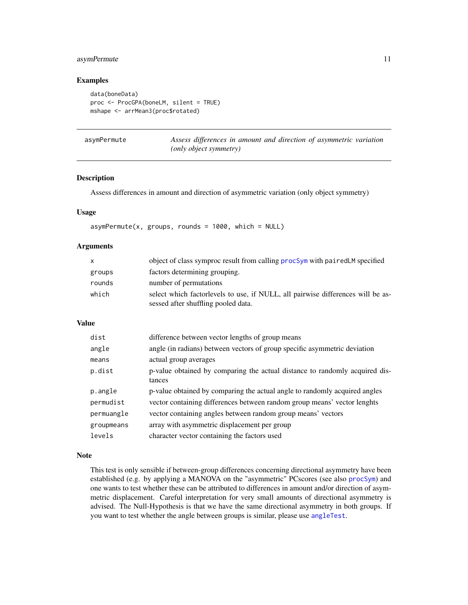### <span id="page-10-0"></span>asymPermute 11

#### Examples

```
data(boneData)
proc <- ProcGPA(boneLM, silent = TRUE)
mshape <- arrMean3(proc$rotated)
```

| asymPermute | Assess differences in amount and direction of asymmetric variation |
|-------------|--------------------------------------------------------------------|
|             | ( <i>only object symmetry</i> )                                    |

#### Description

Assess differences in amount and direction of asymmetric variation (only object symmetry)

#### Usage

```
asymPermute(x, groups, rounds = 1000, which = NULL)
```
#### Arguments

| $\mathsf{X}$ | object of class symproc result from calling procSym with pairedLM specified                                            |
|--------------|------------------------------------------------------------------------------------------------------------------------|
| groups       | factors determining grouping.                                                                                          |
| rounds       | number of permutations                                                                                                 |
| which        | select which factorlevels to use, if NULL, all pairwise differences will be as-<br>sessed after shuffling pooled data. |

#### Value

| dist       | difference between vector lengths of group means                                      |
|------------|---------------------------------------------------------------------------------------|
| angle      | angle (in radians) between vectors of group specific asymmetric deviation             |
| means      | actual group averages                                                                 |
| p.dist     | p-value obtained by comparing the actual distance to randomly acquired dis-<br>tances |
| p.angle    | p-value obtained by comparing the actual angle to randomly acquired angles            |
| permudist  | vector containing differences between random group means' vector lenghts              |
| permuangle | vector containing angles between random group means' vectors                          |
| groupmeans | array with asymmetric displacement per group                                          |
| levels     | character vector containing the factors used                                          |

#### Note

This test is only sensible if between-group differences concerning directional asymmetry have been established (e.g. by applying a MANOVA on the "asymmetric" PCscores (see also [procSym](#page-95-1)) and one wants to test whether these can be attributed to differences in amount and/or direction of asymmetric displacement. Careful interpretation for very small amounts of directional asymmetry is advised. The Null-Hypothesis is that we have the same directional asymmetry in both groups. If you want to test whether the angle between groups is similar, please use [angleTest](#page-5-1).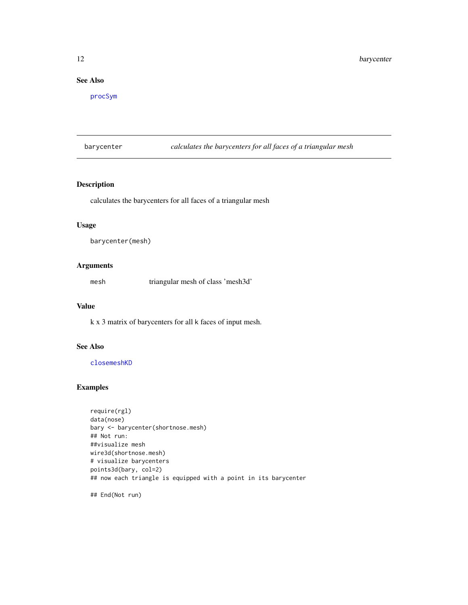### <span id="page-11-0"></span>See Also

[procSym](#page-95-1)

barycenter *calculates the barycenters for all faces of a triangular mesh*

### Description

calculates the barycenters for all faces of a triangular mesh

### Usage

```
barycenter(mesh)
```
#### Arguments

mesh triangular mesh of class 'mesh3d'

#### Value

k x 3 matrix of barycenters for all k faces of input mesh.

### See Also

[closemeshKD](#page-17-1)

### Examples

require(rgl) data(nose) bary <- barycenter(shortnose.mesh) ## Not run: ##visualize mesh wire3d(shortnose.mesh) # visualize barycenters points3d(bary, col=2) ## now each triangle is equipped with a point in its barycenter

## End(Not run)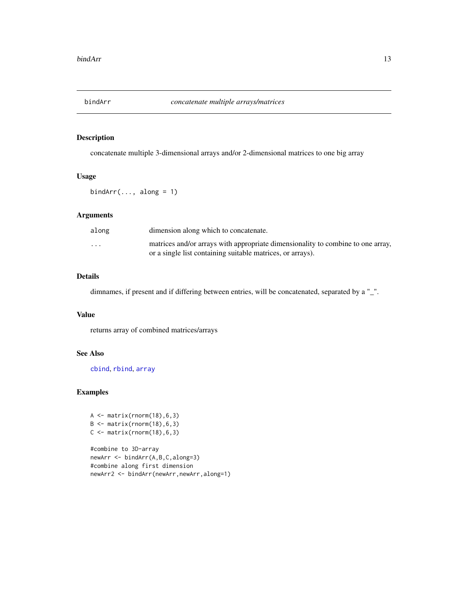<span id="page-12-0"></span>

concatenate multiple 3-dimensional arrays and/or 2-dimensional matrices to one big array

### Usage

 $bindArr(..., along = 1)$ 

#### Arguments

| along                   | dimension along which to concatenate.                                                                                                         |
|-------------------------|-----------------------------------------------------------------------------------------------------------------------------------------------|
| $\cdot$ $\cdot$ $\cdot$ | matrices and/or arrays with appropriate dimensionality to combine to one array,<br>or a single list containing suitable matrices, or arrays). |

#### Details

dimnames, if present and if differing between entries, will be concatenated, separated by a "\_".

#### Value

returns array of combined matrices/arrays

### See Also

[cbind](#page-0-0), [rbind](#page-0-0), [array](#page-0-0)

```
A <- matrix(rnorm(18),6,3)
B \leftarrow matrix(rnorm(18), 6, 3)C \leftarrow matrix(rnorm(18), 6, 3)
```

```
#combine to 3D-array
newArr <- bindArr(A,B,C,along=3)
#combine along first dimension
newArr2 <- bindArr(newArr,newArr,along=1)
```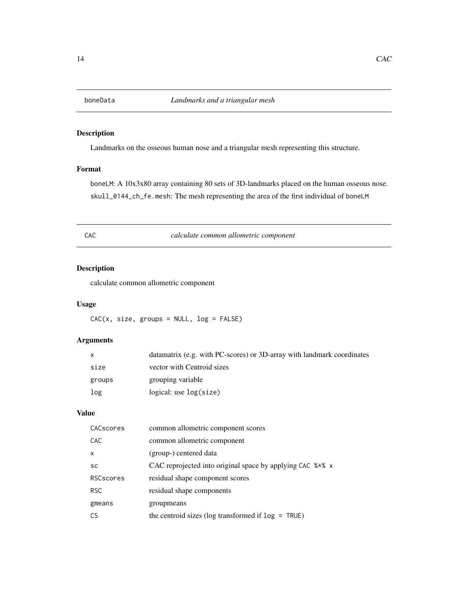<span id="page-13-0"></span>Landmarks on the osseous human nose and a triangular mesh representing this structure.

#### Format

boneLM: A 10x3x80 array containing 80 sets of 3D-landmarks placed on the human osseous nose. skull\_0144\_ch\_fe.mesh: The mesh representing the area of the first individual of boneLM

CAC *calculate common allometric component*

### Description

calculate common allometric component

#### Usage

 $CAC(x, size, groups = NULL, log = FALSE)$ 

### Arguments

| $\mathsf{x}$ | datamatrix (e.g. with PC-scores) or 3D-array with landmark coordinates |
|--------------|------------------------------------------------------------------------|
| size         | vector with Centroid sizes                                             |
| groups       | grouping variable                                                      |
| log          | logical: use log(size)                                                 |

#### Value

| CACscores    | common allometric component scores                        |
|--------------|-----------------------------------------------------------|
| CAC          | common allometric component                               |
| $\mathsf{x}$ | (group-) centered data                                    |
| <b>SC</b>    | CAC reprojected into original space by applying CAC %*% x |
| RSCscores    | residual shape component scores                           |
| <b>RSC</b>   | residual shape components                                 |
| gmeans       | groupmeans                                                |
| <b>CS</b>    | the centroid sizes ( $log$ transformed if $log = TRUE$ )  |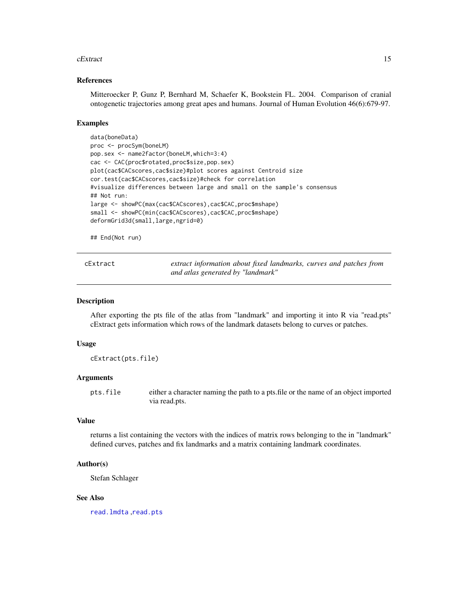#### <span id="page-14-0"></span>cExtract 15

#### References

Mitteroecker P, Gunz P, Bernhard M, Schaefer K, Bookstein FL. 2004. Comparison of cranial ontogenetic trajectories among great apes and humans. Journal of Human Evolution 46(6):679-97.

#### Examples

```
data(boneData)
proc <- procSym(boneLM)
pop.sex <- name2factor(boneLM,which=3:4)
cac <- CAC(proc$rotated,proc$size,pop.sex)
plot(cac$CACscores,cac$size)#plot scores against Centroid size
cor.test(cac$CACscores,cac$size)#check for correlation
#visualize differences between large and small on the sample's consensus
## Not run:
large <- showPC(max(cac$CACscores),cac$CAC,proc$mshape)
small <- showPC(min(cac$CACscores),cac$CAC,proc$mshape)
deformGrid3d(small,large,ngrid=0)
```
## End(Not run)

| cExtract |  |
|----------|--|
|----------|--|

extract information about fixed landmarks, curves and patches from *and atlas generated by "landmark"*

#### Description

After exporting the pts file of the atlas from "landmark" and importing it into R via "read.pts" cExtract gets information which rows of the landmark datasets belong to curves or patches.

### Usage

cExtract(pts.file)

#### Arguments

pts.file either a character naming the path to a pts.file or the name of an object imported via read.pts.

#### Value

returns a list containing the vectors with the indices of matrix rows belonging to the in "landmark" defined curves, patches and fix landmarks and a matrix containing landmark coordinates.

#### Author(s)

Stefan Schlager

#### See Also

[read.lmdta](#page-104-1) ,[read.pts](#page-106-1)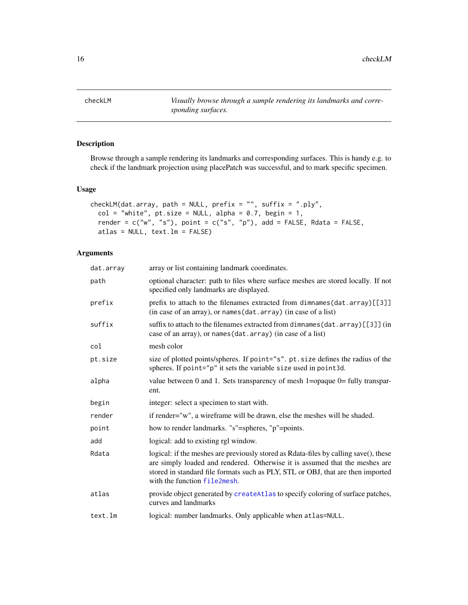<span id="page-15-0"></span>checkLM *Visually browse through a sample rendering its landmarks and corresponding surfaces.*

### Description

Browse through a sample rendering its landmarks and corresponding surfaces. This is handy e.g. to check if the landmark projection using placePatch was successful, and to mark specific specimen.

#### Usage

```
checkLM(dat.array, path = NULL, prefix = "", suffix = ".ply",
 col = "white", pt.size = NULL, alpha = 0.7, begin = 1,render = c("w", "s"), point = c("s", "p"), add = FALSE, Rdata = FALSE,
  atlas = NULL, text.lm = FALSE)
```
### Arguments

| dat.array | array or list containing landmark coordinates.                                                                                                                                                                                                                                         |
|-----------|----------------------------------------------------------------------------------------------------------------------------------------------------------------------------------------------------------------------------------------------------------------------------------------|
| path      | optional character: path to files where surface meshes are stored locally. If not<br>specified only landmarks are displayed.                                                                                                                                                           |
| prefix    | prefix to attach to the filenames extracted from dimnames (dat. array) [[3]]<br>(in case of an array), or names (dat. array) (in case of a list)                                                                                                                                       |
| suffix    | suffix to attach to the filenames extracted from dimnames (dat. $array)[[3]$ ] (in<br>case of an array), or names (dat. array) (in case of a list)                                                                                                                                     |
| col       | mesh color                                                                                                                                                                                                                                                                             |
| pt.size   | size of plotted points/spheres. If point="s". pt. size defines the radius of the<br>spheres. If point="p" it sets the variable size used in point3d.                                                                                                                                   |
| alpha     | value between 0 and 1. Sets transparency of mesh 1=opaque $0=$ fully transpar-<br>ent.                                                                                                                                                                                                 |
| begin     | integer: select a specimen to start with.                                                                                                                                                                                                                                              |
| render    | if render="w", a wireframe will be drawn, else the meshes will be shaded.                                                                                                                                                                                                              |
| point     | how to render landmarks. "s"=spheres, "p"=points.                                                                                                                                                                                                                                      |
| add       | logical: add to existing rgl window.                                                                                                                                                                                                                                                   |
| Rdata     | logical: if the meshes are previously stored as Rdata-files by calling save(), these<br>are simply loaded and rendered. Otherwise it is assumed that the meshes are<br>stored in standard file formats such as PLY, STL or OBJ, that are then imported<br>with the function file2mesh. |
| atlas     | provide object generated by createAtlas to specify coloring of surface patches,<br>curves and landmarks                                                                                                                                                                                |
| text.lm   | logical: number landmarks. Only applicable when atlas=NULL.                                                                                                                                                                                                                            |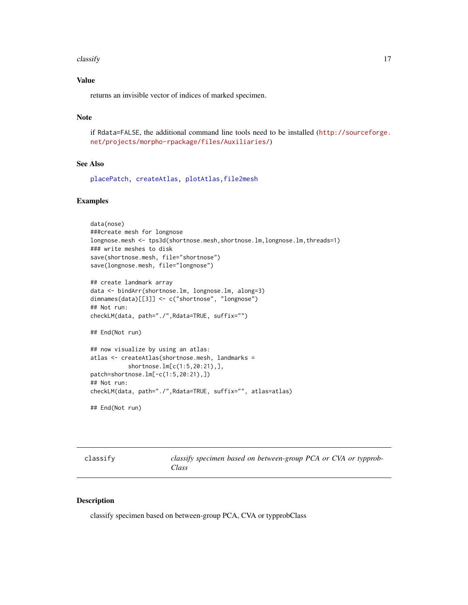#### <span id="page-16-0"></span> $\alpha$  classify  $\alpha$  17

### Value

returns an invisible vector of indices of marked specimen.

### Note

if Rdata=FALSE, the additional command line tools need to be installed ([http://sourceforge.](http://sourceforge.net/projects/morpho-rpackage/files/Auxiliaries/) [net/projects/morpho-rpackage/files/Auxiliaries/](http://sourceforge.net/projects/morpho-rpackage/files/Auxiliaries/))

### See Also

[placePatch,](#page-78-1) [createAtlas,](#page-24-1) [plotAtlas,](#page-81-1)[file2mesh](#page-40-1)

#### Examples

```
data(nose)
###create mesh for longnose
longnose.mesh <- tps3d(shortnose.mesh,shortnose.lm,longnose.lm,threads=1)
### write meshes to disk
save(shortnose.mesh, file="shortnose")
save(longnose.mesh, file="longnose")
## create landmark array
data <- bindArr(shortnose.lm, longnose.lm, along=3)
dimnames(data)[[3]] <- c("shortnose", "longnose")
## Not run:
checkLM(data, path="./",Rdata=TRUE, suffix="")
## End(Not run)
## now visualize by using an atlas:
atlas <- createAtlas(shortnose.mesh, landmarks =
           shortnose.lm[c(1:5,20:21),],
patch=shortnose.lm[-c(1:5,20:21),])
## Not run:
checkLM(data, path="./",Rdata=TRUE, suffix="", atlas=atlas)
## End(Not run)
```

| classitv |  |  |
|----------|--|--|
|          |  |  |

classify *classify specimen based on between-group PCA or CVA or typprob-Class*

### Description

classify specimen based on between-group PCA, CVA or typprobClass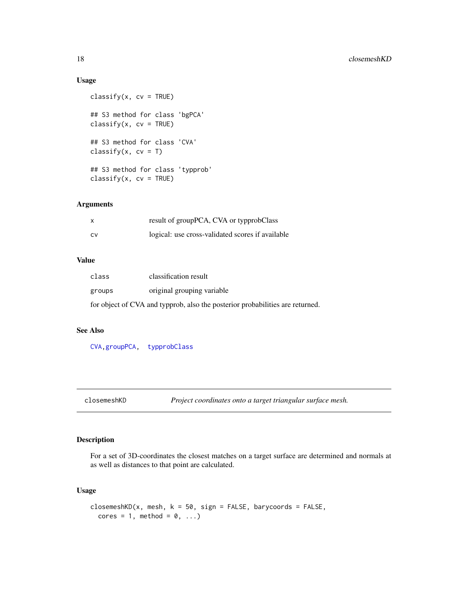### Usage

```
\text{classify}(x, cv = \text{TRUE})## S3 method for class 'bgPCA'
\text{classify}(x, cv = \text{TRUE})## S3 method for class 'CVA'
classify(x, cv = T)
## S3 method for class 'typprob'
\text{classify}(x, cv = \text{TRUE})
```
### Arguments

| $\times$ | result of groupPCA, CVA or typprobClass          |
|----------|--------------------------------------------------|
| CV       | logical: use cross-validated scores if available |

### Value

| class                                                                         | classification result      |  |
|-------------------------------------------------------------------------------|----------------------------|--|
| groups                                                                        | original grouping variable |  |
| for object of CVA and typprob, also the posterior probabilities are returned. |                            |  |

#### See Also

[CVA](#page-31-1)[,groupPCA,](#page-51-1) [typprobClass](#page-135-1)

<span id="page-17-1"></span>closemeshKD *Project coordinates onto a target triangular surface mesh.*

### Description

For a set of 3D-coordinates the closest matches on a target surface are determined and normals at as well as distances to that point are calculated.

### Usage

```
closemeshKD(x, mesh, k = 50, sign = FALSE, barycoords = FALSE,
  cores = 1, method = 0, ...)
```
<span id="page-17-0"></span>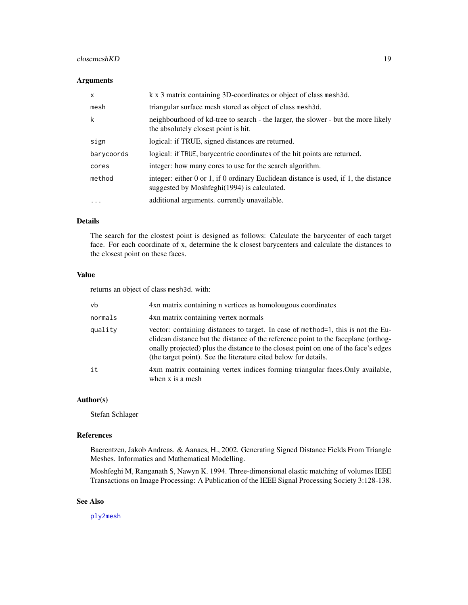#### closemeshKD 19

#### Arguments

| $\mathsf{x}$ | k x 3 matrix containing 3D-coordinates or object of class mesh3d.                                                                             |
|--------------|-----------------------------------------------------------------------------------------------------------------------------------------------|
| mesh         | triangular surface mesh stored as object of class mesh3d.                                                                                     |
| k            | neighbourhood of kd-tree to search - the larger, the slower - but the more likely<br>the absolutely closest point is hit.                     |
| sign         | logical: if TRUE, signed distances are returned.                                                                                              |
| barycoords   | logical: if TRUE, barycentric coordinates of the hit points are returned.                                                                     |
| cores        | integer: how many cores to use for the search algorithm.                                                                                      |
| method       | integer: either $0$ or $1$ , if $0$ ordinary Euclidean distance is used, if $1$ , the distance<br>suggested by Moshfeghi(1994) is calculated. |
| $\ddotsc$    | additional arguments. currently unavailable.                                                                                                  |

### Details

The search for the clostest point is designed as follows: Calculate the barycenter of each target face. For each coordinate of x, determine the k closest barycenters and calculate the distances to the closest point on these faces.

#### Value

returns an object of class mesh3d. with:

| vb      | 4xn matrix containing n vertices as homolougous coordinates                                                                                                                                                                                                                                                                      |  |
|---------|----------------------------------------------------------------------------------------------------------------------------------------------------------------------------------------------------------------------------------------------------------------------------------------------------------------------------------|--|
| normals | 4xn matrix containing vertex normals                                                                                                                                                                                                                                                                                             |  |
| quality | vector: containing distances to target. In case of method=1, this is not the Eu-<br>clidean distance but the distance of the reference point to the faceplane (orthog-<br>onally projected) plus the distance to the closest point on one of the face's edges<br>(the target point). See the literature cited below for details. |  |
| it      | 4xm matrix containing vertex indices forming triangular faces. Only available,<br>when x is a mesh                                                                                                                                                                                                                               |  |

#### Author(s)

Stefan Schlager

#### References

Baerentzen, Jakob Andreas. & Aanaes, H., 2002. Generating Signed Distance Fields From Triangle Meshes. Informatics and Mathematical Modelling.

Moshfeghi M, Ranganath S, Nawyn K. 1994. Three-dimensional elastic matching of volumes IEEE Transactions on Image Processing: A Publication of the IEEE Signal Processing Society 3:128-138.

### See Also

[ply2mesh](#page-40-2)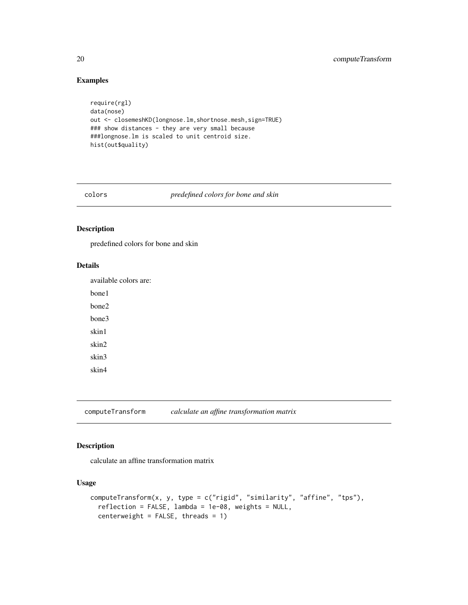### Examples

```
require(rgl)
data(nose)
out <- closemeshKD(longnose.lm,shortnose.mesh,sign=TRUE)
### show distances - they are very small because
###longnose.lm is scaled to unit centroid size.
hist(out$quality)
```
colors *predefined colors for bone and skin*

### Description

predefined colors for bone and skin

### Details

available colors are:

bone1

bone2

bone3

skin1 skin2

skin3

skin4

<span id="page-19-1"></span>computeTransform *calculate an affine transformation matrix*

### Description

calculate an affine transformation matrix

### Usage

```
computeTransform(x, y, type = c("rigid", "similarity", "affine", "tps"),
  reflection = FALSE, lambda = 1e-08, weights = NULL,
  centerweight = FALSE, threads = 1)
```
<span id="page-19-0"></span>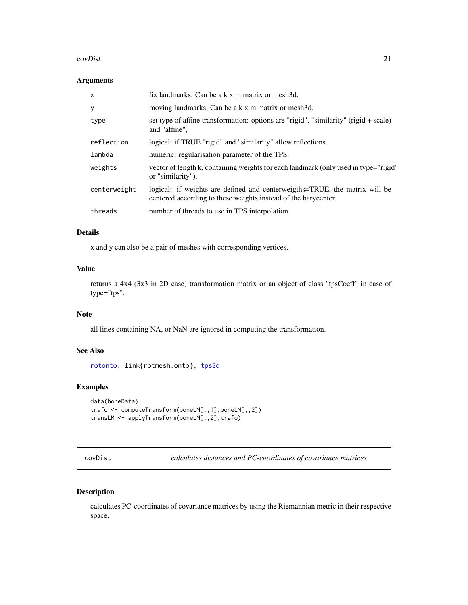#### <span id="page-20-0"></span>covDist 21

### Arguments

| $\mathsf{x}$ | fix landmarks. Can be a k x m matrix or mesh3d.                                                                                              |  |
|--------------|----------------------------------------------------------------------------------------------------------------------------------------------|--|
| y            | moving landmarks. Can be a k x m matrix or mesh3d.                                                                                           |  |
| type         | set type of affine transformation: options are "rigid", "similarity" (rigid $+$ scale)<br>and "affine",                                      |  |
| reflection   | logical: if TRUE "rigid" and "similarity" allow reflections.                                                                                 |  |
| lambda       | numeric: regularisation parameter of the TPS.                                                                                                |  |
| weights      | vector of length k, containing weights for each landmark (only used in type="rigid"<br>or "similarity").                                     |  |
| centerweight | logical: if weights are defined and centerweigths=TRUE, the matrix will be<br>centered according to these weights instead of the barycenter. |  |
| threads      | number of threads to use in TPS interpolation.                                                                                               |  |

### Details

x and y can also be a pair of meshes with corresponding vertices.

### Value

returns a 4x4 (3x3 in 2D case) transformation matrix or an object of class "tpsCoeff" in case of type="tps".

### Note

all lines containing NA, or NaN are ignored in computing the transformation.

### See Also

[rotonto,](#page-122-1) link{rotmesh.onto}, [tps3d](#page-133-1)

### Examples

```
data(boneData)
trafo <- computeTransform(boneLM[,,1],boneLM[,,2])
transLM <- applyTransform(boneLM[,,2],trafo)
```
covDist *calculates distances and PC-coordinates of covariance matrices*

### Description

calculates PC-coordinates of covariance matrices by using the Riemannian metric in their respective space.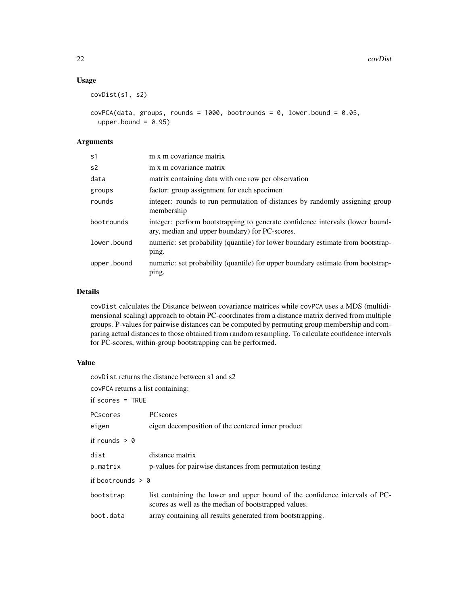### Usage

```
covDist(s1, s2)
```

```
covPCA(data, groups, rounds = 1000, bootrounds = 0, lower.bound = 0.05,upper.bound = 0.95)
```
### Arguments

| s <sub>1</sub> | m x m covariance matrix                                                                                                         |
|----------------|---------------------------------------------------------------------------------------------------------------------------------|
| s <sub>2</sub> | m x m covariance matrix                                                                                                         |
| data           | matrix containing data with one row per observation                                                                             |
| groups         | factor: group assignment for each specimen                                                                                      |
| rounds         | integer: rounds to run permutation of distances by randomly assigning group<br>membership                                       |
| bootrounds     | integer: perform bootstrapping to generate confidence intervals (lower bound-<br>ary, median and upper boundary) for PC-scores. |
| lower.bound    | numeric: set probability (quantile) for lower boundary estimate from bootstrap-<br>ping.                                        |
| upper.bound    | numeric: set probability (quantile) for upper boundary estimate from bootstrap-<br>ping.                                        |

### Details

covDist calculates the Distance between covariance matrices while covPCA uses a MDS (multidimensional scaling) approach to obtain PC-coordinates from a distance matrix derived from multiple groups. P-values for pairwise distances can be computed by permuting group membership and comparing actual distances to those obtained from random resampling. To calculate confidence intervals for PC-scores, within-group bootstrapping can be performed.

### Value

| covDist returns the distance between s1 and s2 |                                                                                                                                      |  |  |
|------------------------------------------------|--------------------------------------------------------------------------------------------------------------------------------------|--|--|
| covPCA returns a list containing:              |                                                                                                                                      |  |  |
| $if scores = TRUE$                             |                                                                                                                                      |  |  |
| PCscores                                       | <b>PC</b> scores                                                                                                                     |  |  |
| eigen                                          | eigen decomposition of the centered inner product                                                                                    |  |  |
| if rounds $> 0$                                |                                                                                                                                      |  |  |
| dist                                           | distance matrix                                                                                                                      |  |  |
| p.matrix                                       | p-values for pairwise distances from permutation testing                                                                             |  |  |
| if bootrounds $> 0$                            |                                                                                                                                      |  |  |
| bootstrap                                      | list containing the lower and upper bound of the confidence intervals of PC-<br>scores as well as the median of bootstrapped values. |  |  |
| boot.data                                      | array containing all results generated from bootstrapping.                                                                           |  |  |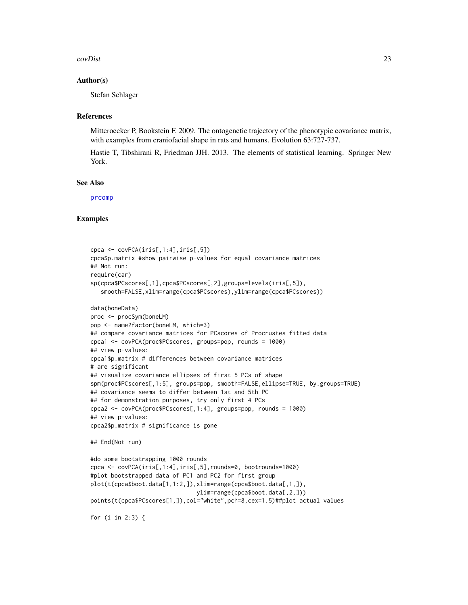#### covDist 23

#### Author(s)

Stefan Schlager

#### References

Mitteroecker P, Bookstein F. 2009. The ontogenetic trajectory of the phenotypic covariance matrix, with examples from craniofacial shape in rats and humans. Evolution 63:727-737.

Hastie T, Tibshirani R, Friedman JJH. 2013. The elements of statistical learning. Springer New York.

#### See Also

[prcomp](#page-0-0)

```
cpca <- covPCA(iris[,1:4],iris[,5])
cpca$p.matrix #show pairwise p-values for equal covariance matrices
## Not run:
require(car)
sp(cpca$PCscores[,1],cpca$PCscores[,2],groups=levels(iris[,5]),
   smooth=FALSE,xlim=range(cpca$PCscores),ylim=range(cpca$PCscores))
data(boneData)
proc <- procSym(boneLM)
pop <- name2factor(boneLM, which=3)
## compare covariance matrices for PCscores of Procrustes fitted data
cpca1 <- covPCA(proc$PCscores, groups=pop, rounds = 1000)
## view p-values:
cpca1$p.matrix # differences between covariance matrices
# are significant
## visualize covariance ellipses of first 5 PCs of shape
spm(proc$PCscores[,1:5], groups=pop, smooth=FALSE,ellipse=TRUE, by.groups=TRUE)
## covariance seems to differ between 1st and 5th PC
## for demonstration purposes, try only first 4 PCs
cpca2 <- covPCA(proc$PCscores[,1:4], groups=pop, rounds = 1000)
## view p-values:
cpca2$p.matrix # significance is gone
## End(Not run)
#do some bootstrapping 1000 rounds
cpca <- covPCA(iris[,1:4],iris[,5],rounds=0, bootrounds=1000)
#plot bootstrapped data of PC1 and PC2 for first group
plot(t(cpca$boot.data[1,1:2,]),xlim=range(cpca$boot.data[,1,]),
                               ylim=range(cpca$boot.data[,2,]))
points(t(cpca$PCscores[1,]),col="white",pch=8,cex=1.5)##plot actual values
for (i in 2:3) {
```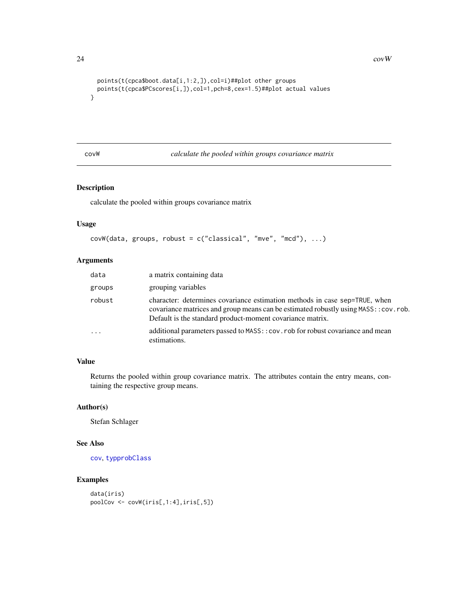```
points(t(cpca$boot.data[i,1:2,]),col=i)##plot other groups
 points(t(cpca$PCscores[i,]),col=1,pch=8,cex=1.5)##plot actual values
}
```
covW *calculate the pooled within groups covariance matrix*

### Description

calculate the pooled within groups covariance matrix

#### Usage

```
covW(data, groups, robust = c("classical", "mve", "mcd"), ...)
```
### Arguments

| data      | a matrix containing data                                                                                                                                                                                                       |
|-----------|--------------------------------------------------------------------------------------------------------------------------------------------------------------------------------------------------------------------------------|
| groups    | grouping variables                                                                                                                                                                                                             |
| robust    | character: determines covariance estimation methods in case sep=TRUE, when<br>covariance matrices and group means can be estimated robustly using MASS:: cov.rob.<br>Default is the standard product-moment covariance matrix. |
| $\ddotsc$ | additional parameters passed to MASS: : cov. rob for robust covariance and mean<br>estimations.                                                                                                                                |

### Value

Returns the pooled within group covariance matrix. The attributes contain the entry means, containing the respective group means.

#### Author(s)

Stefan Schlager

### See Also

[cov](#page-0-0), [typprobClass](#page-135-1)

```
data(iris)
poolCov <- covW(iris[,1:4],iris[,5])
```
<span id="page-23-0"></span>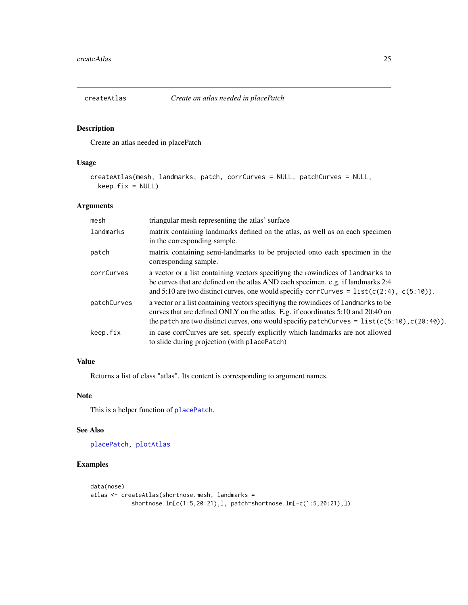<span id="page-24-1"></span><span id="page-24-0"></span>

Create an atlas needed in placePatch

#### Usage

```
createAtlas(mesh, landmarks, patch, corrCurves = NULL, patchCurves = NULL,
 keep.fix = NULL)
```
### Arguments

| mesh        | triangular mesh representing the atlas' surface                                                                                                                                                                                                                          |
|-------------|--------------------------------------------------------------------------------------------------------------------------------------------------------------------------------------------------------------------------------------------------------------------------|
| landmarks   | matrix containing landmarks defined on the atlas, as well as on each specimen<br>in the corresponding sample.                                                                                                                                                            |
| patch       | matrix containing semi-landmarks to be projected onto each specimen in the<br>corresponding sample.                                                                                                                                                                      |
| corrCurves  | a vector or a list containing vectors specifying the rowindices of landmarks to<br>be curves that are defined on the atlas AND each specimen. e.g. if landmarks 2:4<br>and 5:10 are two distinct curves, one would specify corr Curves = $list(c(2:4), c(5:10))$ .       |
| patchCurves | a vector or a list containing vectors specifying the rowindices of landmarks to be<br>curves that are defined ONLY on the atlas. E.g. if coordinates 5:10 and 20:40 on<br>the patch are two distinct curves, one would specify patchCurves = $list(c(5:10), c(20:40))$ . |
| keep.fix    | in case corrCurves are set, specify explicitly which landmarks are not allowed<br>to slide during projection (with placePatch)                                                                                                                                           |

### Value

Returns a list of class "atlas". Its content is corresponding to argument names.

### Note

This is a helper function of [placePatch](#page-78-1).

#### See Also

[placePatch,](#page-78-1) [plotAtlas](#page-81-1)

```
data(nose)
atlas <- createAtlas(shortnose.mesh, landmarks =
           shortnose.lm[c(1:5,20:21),], patch=shortnose.lm[-c(1:5,20:21),])
```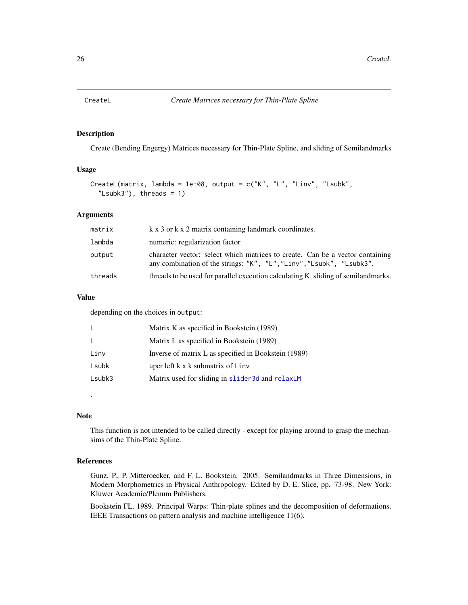<span id="page-25-0"></span>

Create (Bending Engergy) Matrices necessary for Thin-Plate Spline, and sliding of Semilandmarks

#### Usage

```
CreateL(matrix, lambda = 1e-08, output = c("K", "L", "Linux", "Lsubk","Lsubk3"), threads = 1)
```
### Arguments

| matrix  | k x 3 or k x 2 matrix containing landmark coordinates.                                                                                                |  |
|---------|-------------------------------------------------------------------------------------------------------------------------------------------------------|--|
| lambda  | numeric: regularization factor                                                                                                                        |  |
| output  | character vector: select which matrices to create. Can be a vector containing<br>any combination of the strings: "K", "L", "Linv", "Lsubk", "Lsubk3". |  |
| threads | threads to be used for parallel execution calculating K. sliding of semilandmarks.                                                                    |  |

#### Value

depending on the choices in output:

| L      | Matrix K as specified in Bookstein (1989)            |  |
|--------|------------------------------------------------------|--|
| L.     | Matrix L as specified in Bookstein (1989)            |  |
| Linv   | Inverse of matrix L as specified in Bookstein (1989) |  |
| Lsubk  | uper left k x k submatrix of Linv                    |  |
| Lsubk3 | Matrix used for sliding in slider 3d and relaxLM     |  |

#### Note

.

This function is not intended to be called directly - except for playing around to grasp the mechansims of the Thin-Plate Spline.

#### References

Gunz, P., P. Mitteroecker, and F. L. Bookstein. 2005. Semilandmarks in Three Dimensions, in Modern Morphometrics in Physical Anthropology. Edited by D. E. Slice, pp. 73-98. New York: Kluwer Academic/Plenum Publishers.

Bookstein FL. 1989. Principal Warps: Thin-plate splines and the decomposition of deformations. IEEE Transactions on pattern analysis and machine intelligence 11(6).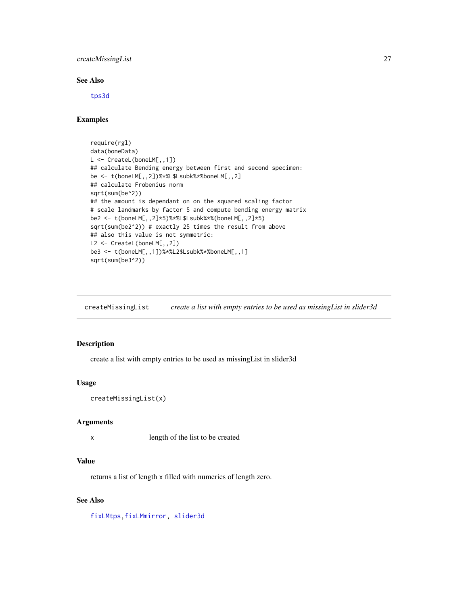<span id="page-26-0"></span>createMissingList 27

#### See Also

[tps3d](#page-133-1)

### Examples

```
require(rgl)
data(boneData)
L <- CreateL(boneLM[,,1])
## calculate Bending energy between first and second specimen:
be <- t(boneLM[,,2])%*%L$Lsubk%*%boneLM[,,2]
## calculate Frobenius norm
sqrt(sum(be^2))
## the amount is dependant on on the squared scaling factor
# scale landmarks by factor 5 and compute bending energy matrix
be2 <- t(boneLM[,,2]*5)%*%L$Lsubk%*%(boneLM[,,2]*5)
sqrt(sum(be2^2)) # exactly 25 times the result from above
## also this value is not symmetric:
L2 <- CreateL(boneLM[,,2])
be3 <- t(boneLM[,,1])%*%L2$Lsubk%*%boneLM[,,1]
sqrt(sum(be3^2))
```
createMissingList *create a list with empty entries to be used as missingList in slider3d*

### Description

create a list with empty entries to be used as missingList in slider3d

#### Usage

```
createMissingList(x)
```
#### Arguments

x length of the list to be created

#### Value

returns a list of length x filled with numerics of length zero.

### See Also

[fixLMtps](#page-44-1)[,fixLMmirror,](#page-43-1) [slider3d](#page-126-1)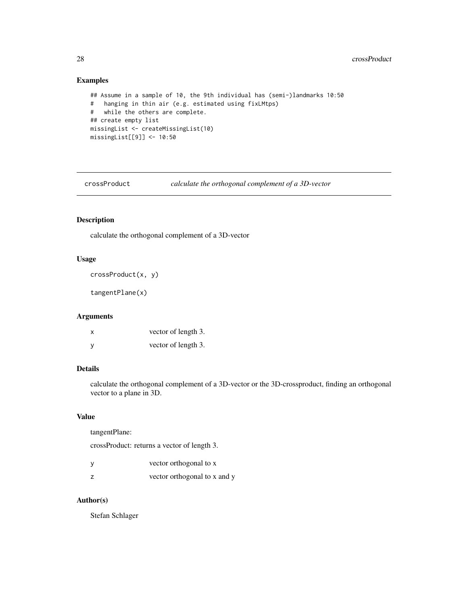### Examples

```
## Assume in a sample of 10, the 9th individual has (semi-)landmarks 10:50
# hanging in thin air (e.g. estimated using fixLMtps)
# while the others are complete.
## create empty list
missingList <- createMissingList(10)
missingList[[9]] <- 10:50
```
crossProduct *calculate the orthogonal complement of a 3D-vector*

### Description

calculate the orthogonal complement of a 3D-vector

#### Usage

```
crossProduct(x, y)
```
tangentPlane(x)

#### Arguments

| x | vector of length 3. |
|---|---------------------|
| y | vector of length 3. |

#### Details

calculate the orthogonal complement of a 3D-vector or the 3D-crossproduct, finding an orthogonal vector to a plane in 3D.

#### Value

tangentPlane:

crossProduct: returns a vector of length 3.

| vector orthogonal to x       |
|------------------------------|
| vector orthogonal to x and y |

### Author(s)

Stefan Schlager

<span id="page-27-0"></span>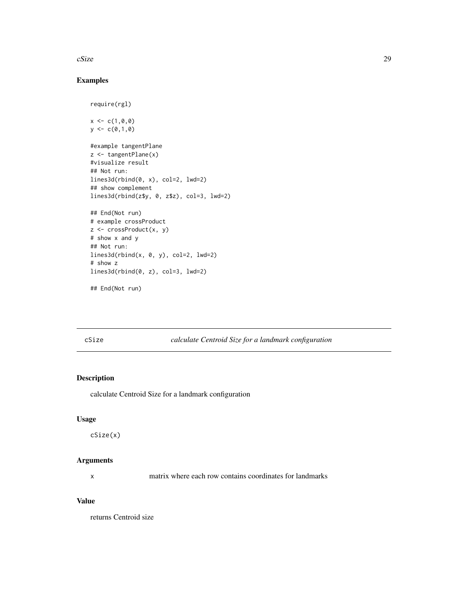<span id="page-28-0"></span> $cSize$  29

### Examples

```
require(rgl)
x < -c(1, 0, 0)y \leftarrow c(0,1,0)#example tangentPlane
z <- tangentPlane(x)
#visualize result
## Not run:
lines3d(rbind(0, x), col=2, lwd=2)
## show complement
lines3d(rbind(z$y, 0, z$z), col=3, lwd=2)
## End(Not run)
# example crossProduct
z <- crossProduct(x, y)
# show x and y
## Not run:
lines3d(rbind(x, 0, y), col=2, lwd=2)# show z
lines3d(rbind(0, z), col=3, lwd=2)
## End(Not run)
```
cSize *calculate Centroid Size for a landmark configuration*

### Description

calculate Centroid Size for a landmark configuration

#### Usage

cSize(x)

### Arguments

x matrix where each row contains coordinates for landmarks

### Value

returns Centroid size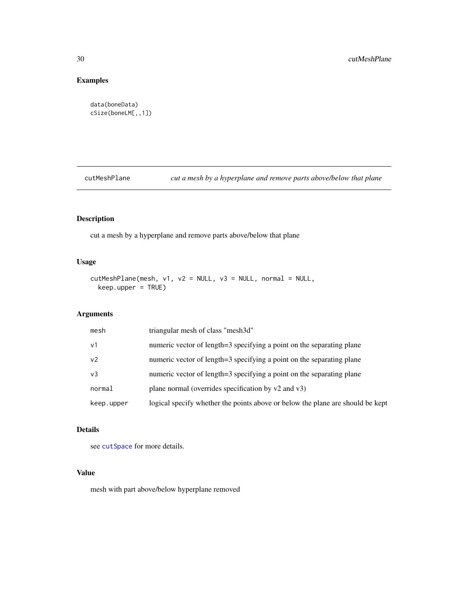### Examples

```
data(boneData)
cSize(boneLM[,,1])
```
cutMeshPlane *cut a mesh by a hyperplane and remove parts above/below that plane*

### Description

cut a mesh by a hyperplane and remove parts above/below that plane

### Usage

```
cutMeshPlane(mesh, v1, v2 = NULL, v3 = NULL, normal = NULL,
 keep.upper = TRUE)
```
### Arguments

| mesh           | triangular mesh of class "mesh3d"                                              |
|----------------|--------------------------------------------------------------------------------|
| v <sub>1</sub> | numeric vector of length=3 specifying a point on the separating plane          |
| v <sub>2</sub> | numeric vector of length=3 specifying a point on the separating plane          |
| v3             | numeric vector of length=3 specifying a point on the separating plane          |
| normal         | plane normal (overrides specification by $v2$ and $v3$ )                       |
| keep.upper     | logical specify whether the points above or below the plane are should be kept |

### Details

see [cutSpace](#page-30-1) for more details.

### Value

mesh with part above/below hyperplane removed

<span id="page-29-0"></span>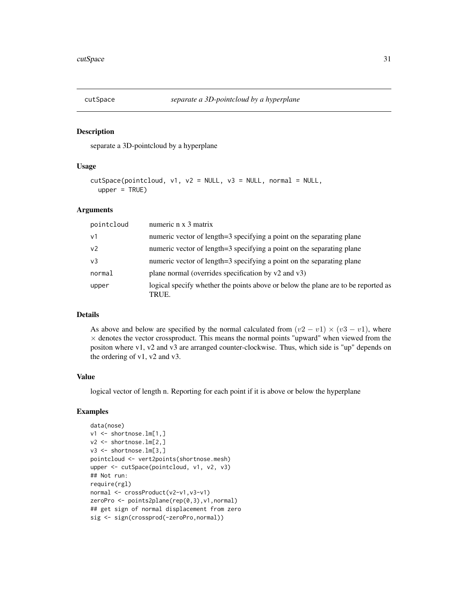<span id="page-30-1"></span><span id="page-30-0"></span>

separate a 3D-pointcloud by a hyperplane

#### Usage

```
cutSpace(pointcloud, v1, v2 = NULL, v3 = NULL, normal = NULL,
  upper = TRUE)
```
#### Arguments

| pointcloud     | numeric n x 3 matrix                                                                       |
|----------------|--------------------------------------------------------------------------------------------|
| v <sub>1</sub> | numeric vector of length=3 specifying a point on the separating plane                      |
| v <sub>2</sub> | numeric vector of length=3 specifying a point on the separating plane                      |
| v3             | numeric vector of length=3 specifying a point on the separating plane                      |
| normal         | plane normal (overrides specification by $v2$ and $v3$ )                                   |
| upper          | logical specify whether the points above or below the plane are to be reported as<br>TRUE. |

### Details

As above and below are specified by the normal calculated from  $(v2 - v1) \times (v3 - v1)$ , where  $\times$  denotes the vector crossproduct. This means the normal points "upward" when viewed from the positon where v1, v2 and v3 are arranged counter-clockwise. Thus, which side is "up" depends on the ordering of v1, v2 and v3.

#### Value

logical vector of length n. Reporting for each point if it is above or below the hyperplane

```
data(nose)
v1 <- shortnose.lm[1,]
v2 <- shortnose.lm[2,]
v3 <- shortnose.lm[3,]
pointcloud <- vert2points(shortnose.mesh)
upper <- cutSpace(pointcloud, v1, v2, v3)
## Not run:
require(rgl)
normal <- crossProduct(v2-v1,v3-v1)
zeroPro <- points2plane(rep(0,3),v1,normal)
## get sign of normal displacement from zero
sig <- sign(crossprod(-zeroPro,normal))
```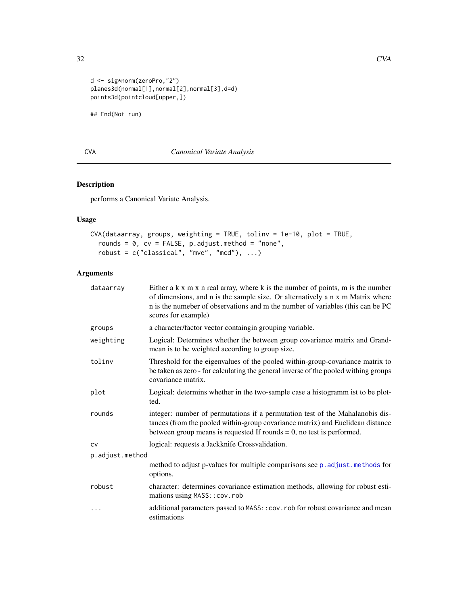```
d <- sig*norm(zeroPro,"2")
planes3d(normal[1],normal[2],normal[3],d=d)
points3d(pointcloud[upper,])
```
## End(Not run)

### <span id="page-31-1"></span>CVA *Canonical Variate Analysis*

### Description

performs a Canonical Variate Analysis.

### Usage

```
CVA(dataarray, groups, weighting = TRUE, tolinv = 1e-10, plot = TRUE,
  rounds = 0, cv = FALSE, p.addjust method = "none",robust = c("classical", "mve", "mcd"), ...
```
### Arguments

| dataarray       | Either $a \, k \, x \, m \, x \, n$ real array, where $k$ is the number of points, $m$ is the number<br>of dimensions, and n is the sample size. Or alternatively a n x m Matrix where<br>n is the numeber of observations and m the number of variables (this can be PC<br>scores for example) |
|-----------------|-------------------------------------------------------------------------------------------------------------------------------------------------------------------------------------------------------------------------------------------------------------------------------------------------|
| groups          | a character/factor vector containgin grouping variable.                                                                                                                                                                                                                                         |
| weighting       | Logical: Determines whether the between group covariance matrix and Grand-<br>mean is to be weighted according to group size.                                                                                                                                                                   |
| toliny          | Threshold for the eigenvalues of the pooled within-group-covariance matrix to<br>be taken as zero - for calculating the general inverse of the pooled withing groups<br>covariance matrix.                                                                                                      |
| plot            | Logical: determins whether in the two-sample case a histogramm ist to be plot-<br>ted.                                                                                                                                                                                                          |
| rounds          | integer: number of permutations if a permutation test of the Mahalanobis dis-<br>tances (from the pooled within-group covariance matrix) and Euclidean distance<br>between group means is requested If rounds $= 0$ , no test is performed.                                                     |
| <b>CV</b>       | logical: requests a Jackknife Crossvalidation.                                                                                                                                                                                                                                                  |
| p.adjust.method |                                                                                                                                                                                                                                                                                                 |
|                 | method to adjust p-values for multiple comparisons see p. adjust. methods for<br>options.                                                                                                                                                                                                       |
| robust          | character: determines covariance estimation methods, allowing for robust esti-<br>mations using MASS:: cov.rob                                                                                                                                                                                  |
| .               | additional parameters passed to MASS:: cov.rob for robust covariance and mean<br>estimations                                                                                                                                                                                                    |

<span id="page-31-0"></span>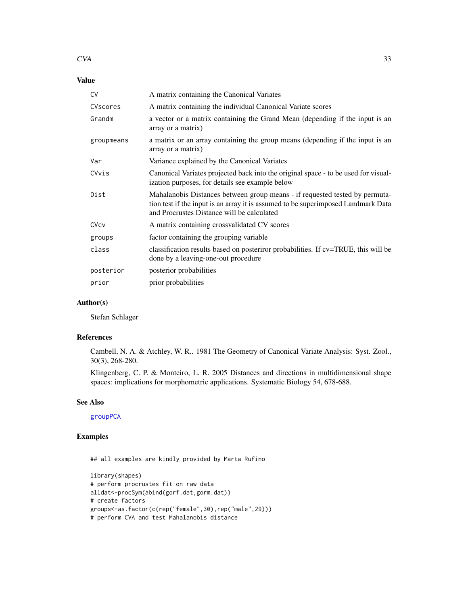#### $CVA$  33

### Value

| <b>CV</b>  | A matrix containing the Canonical Variates                                                                                                                                                                     |
|------------|----------------------------------------------------------------------------------------------------------------------------------------------------------------------------------------------------------------|
| CVscores   | A matrix containing the individual Canonical Variate scores                                                                                                                                                    |
| Grandm     | a vector or a matrix containing the Grand Mean (depending if the input is an<br>array or a matrix)                                                                                                             |
| groupmeans | a matrix or an array containing the group means (depending if the input is an<br>array or a matrix)                                                                                                            |
| Var        | Variance explained by the Canonical Variates                                                                                                                                                                   |
| CVvis      | Canonical Variates projected back into the original space - to be used for visual-<br>ization purposes, for details see example below                                                                          |
| Dist       | Mahalanobis Distances between group means - if requested tested by permuta-<br>tion test if the input is an array it is assumed to be superimposed Landmark Data<br>and Procrustes Distance will be calculated |
| CVcv       | A matrix containing crossvalidated CV scores                                                                                                                                                                   |
| groups     | factor containing the grouping variable                                                                                                                                                                        |
| class      | classification results based on posteriror probabilities. If cv=TRUE, this will be<br>done by a leaving-one-out procedure                                                                                      |
| posterior  | posterior probabilities                                                                                                                                                                                        |
| prior      | prior probabilities                                                                                                                                                                                            |

### Author(s)

Stefan Schlager

### References

Cambell, N. A. & Atchley, W. R.. 1981 The Geometry of Canonical Variate Analysis: Syst. Zool., 30(3), 268-280.

Klingenberg, C. P. & Monteiro, L. R. 2005 Distances and directions in multidimensional shape spaces: implications for morphometric applications. Systematic Biology 54, 678-688.

### See Also

[groupPCA](#page-51-1)

### Examples

## all examples are kindly provided by Marta Rufino

```
library(shapes)
# perform procrustes fit on raw data
alldat<-procSym(abind(gorf.dat,gorm.dat))
# create factors
groups<-as.factor(c(rep("female",30),rep("male",29)))
# perform CVA and test Mahalanobis distance
```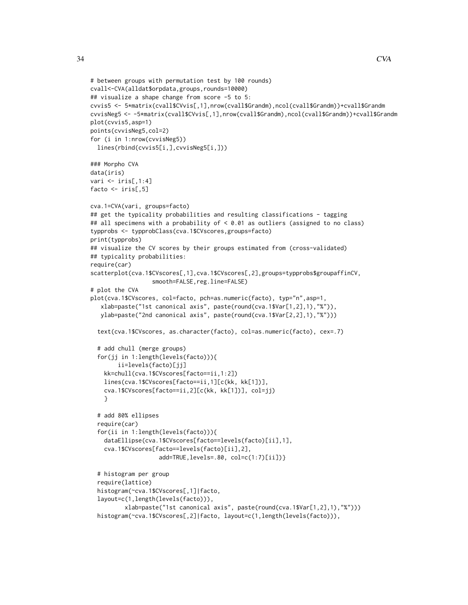}

```
# between groups with permutation test by 100 rounds)
cvall<-CVA(alldat$orpdata,groups,rounds=10000)
## visualize a shape change from score -5 to 5:
cvvis5 <- 5*matrix(cvall$CVvis[,1],nrow(cvall$Grandm),ncol(cvall$Grandm))+cvall$Grandm
cvvisNeg5 <- -5*matrix(cvall$CVvis[,1],nrow(cvall$Grandm),ncol(cvall$Grandm))+cvall$Grandm
plot(cvvis5,asp=1)
points(cvvisNeg5,col=2)
for (i in 1:nrow(cvvisNeg5))
 lines(rbind(cvvis5[i,],cvvisNeg5[i,]))
### Morpho CVA
data(iris)
vari <- iris[,1:4]
facto \le iris[,5]
cva.1=CVA(vari, groups=facto)
## get the typicality probabilities and resulting classifications - tagging
## all specimens with a probability of < 0.01 as outliers (assigned to no class)
typprobs <- typprobClass(cva.1$CVscores,groups=facto)
print(typprobs)
## visualize the CV scores by their groups estimated from (cross-validated)
## typicality probabilities:
require(car)
scatterplot(cva.1$CVscores[,1],cva.1$CVscores[,2],groups=typprobs$groupaffinCV,
                  smooth=FALSE, reg.line=FALSE)
# plot the CVA
plot(cva.1$CVscores, col=facto, pch=as.numeric(facto), typ="n",asp=1,
   xlab=paste("1st canonical axis", paste(round(cva.1$Var[1,2],1),"%")),
  ylab=paste("2nd canonical axis", paste(round(cva.1$Var[2,2],1),"%")))
  text(cva.1$CVscores, as.character(facto), col=as.numeric(facto), cex=.7)
  # add chull (merge groups)
  for(jj in 1:length(levels(facto))){
       ii=levels(facto)[jj]
    kk=chull(cva.1$CVscores[facto==ii,1:2])
   lines(cva.1$CVscores[facto==ii,1][c(kk, kk[1])],
   cva.1$CVscores[facto==ii,2][c(kk, kk[1])], col=jj)
 # add 80% ellipses
 require(car)
  for(ii in 1:length(levels(facto))){
    dataEllipse(cva.1$CVscores[facto==levels(facto)[ii],1],
    cva.1$CVscores[facto==levels(facto)[ii],2],
                    add=TRUE,levels=.80, col=c(1:7)[ii])}
```

```
# histogram per group
require(lattice)
histogram(~cva.1$CVscores[,1]|facto,
layout=c(1,length(levels(facto))),
        xlab=paste("1st canonical axis", paste(round(cva.1$Var[1,2],1),"%")))
histogram(~cva.1$CVscores[,2]|facto, layout=c(1,length(levels(facto))),
```
34 CVA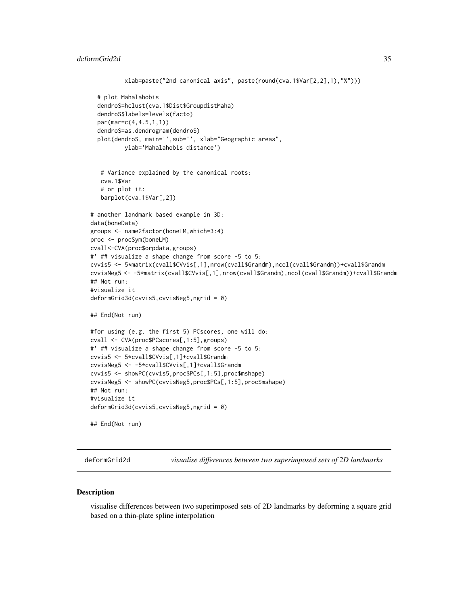```
xlab=paste("2nd canonical axis", paste(round(cva.1$Var[2,2],1),"%")))
  # plot Mahalahobis
  dendroS=hclust(cva.1$Dist$GroupdistMaha)
  dendroS$labels=levels(facto)
  par(mar=c(4,4.5,1,1))
  dendroS=as.dendrogram(dendroS)
  plot(dendroS, main='', sub='', xlab="Geographic areas",
          ylab='Mahalahobis distance')
   # Variance explained by the canonical roots:
   cva.1$Var
   # or plot it:
   barplot(cva.1$Var[,2])
# another landmark based example in 3D:
data(boneData)
groups <- name2factor(boneLM,which=3:4)
proc <- procSym(boneLM)
cvall<-CVA(proc$orpdata,groups)
#' ## visualize a shape change from score -5 to 5:
cvvis5 <- 5*matrix(cvall$CVvis[,1],nrow(cvall$Grandm),ncol(cvall$Grandm))+cvall$Grandm
cvvisNeg5 <- -5*matrix(cvall$CVvis[,1],nrow(cvall$Grandm),ncol(cvall$Grandm))+cvall$Grandm
## Not run:
#visualize it
deformGrid3d(cvvis5,cvvisNeg5,ngrid = 0)
## End(Not run)
#for using (e.g. the first 5) PCscores, one will do:
cvall <- CVA(proc$PCscores[,1:5],groups)
#' ## visualize a shape change from score -5 to 5:
cvvis5 <- 5*cvall$CVvis[,1]+cvall$Grandm
cvvisNeg5 <- -5*cvall$CVvis[,1]+cvall$Grandm
cvvis5 <- showPC(cvvis5,proc$PCs[,1:5],proc$mshape)
cvvisNeg5 <- showPC(cvvisNeg5,proc$PCs[,1:5],proc$mshape)
## Not run:
#visualize it
deformGrid3d(cvvis5,cvvisNeg5,ngrid = 0)
## End(Not run)
```
deformGrid2d *visualise differences between two superimposed sets of 2D landmarks*

#### Description

visualise differences between two superimposed sets of 2D landmarks by deforming a square grid based on a thin-plate spline interpolation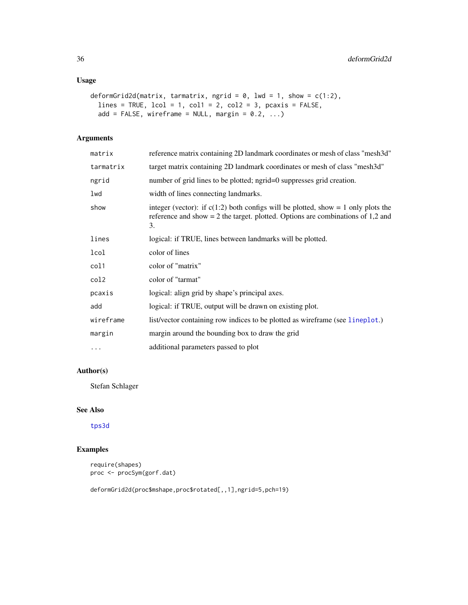### Usage

```
deformGrid2d(matrix, tarmatrix, ngrid = 0, lwd = 1, show = c(1:2),
 lines = TRUE, lcol = 1, col1 = 2, col2 = 3, pcaxis = FALSE,
 add = FALSE, wireframe = NULL, margin = 0.2, ...
```
### Arguments

| matrix    | reference matrix containing 2D landmark coordinates or mesh of class "mesh3d"                                                                                                  |
|-----------|--------------------------------------------------------------------------------------------------------------------------------------------------------------------------------|
| tarmatrix | target matrix containing 2D landmark coordinates or mesh of class "mesh3d"                                                                                                     |
| ngrid     | number of grid lines to be plotted; ngrid=0 suppresses grid creation.                                                                                                          |
| lwd       | width of lines connecting landmarks.                                                                                                                                           |
| show      | integer (vector): if $c(1:2)$ both configs will be plotted, show = 1 only plots the<br>reference and show $= 2$ the target. plotted. Options are combinations of 1,2 and<br>3. |
| lines     | logical: if TRUE, lines between landmarks will be plotted.                                                                                                                     |
| lcol      | color of lines                                                                                                                                                                 |
| col1      | color of "matrix"                                                                                                                                                              |
| col2      | color of "tarmat"                                                                                                                                                              |
| pcaxis    | logical: align grid by shape's principal axes.                                                                                                                                 |
| add       | logical: if TRUE, output will be drawn on existing plot.                                                                                                                       |
| wireframe | list/vector containing row indices to be plotted as wireframe (see lineplot.)                                                                                                  |
| margin    | margin around the bounding box to draw the grid                                                                                                                                |
| $\cdots$  | additional parameters passed to plot                                                                                                                                           |

### Author(s)

Stefan Schlager

### See Also

[tps3d](#page-133-1)

### Examples

```
require(shapes)
proc <- procSym(gorf.dat)
```
deformGrid2d(proc\$mshape,proc\$rotated[,,1],ngrid=5,pch=19)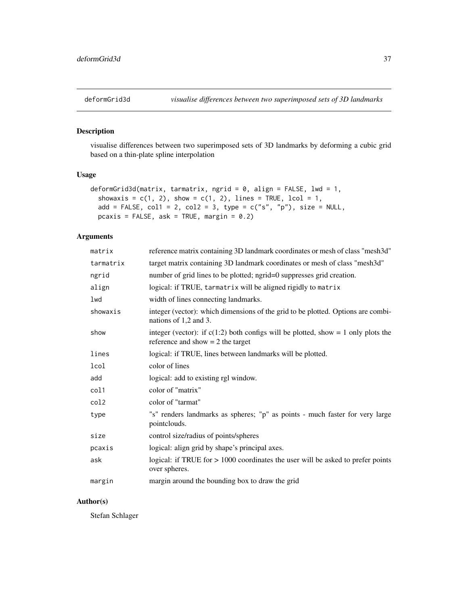visualise differences between two superimposed sets of 3D landmarks by deforming a cubic grid based on a thin-plate spline interpolation

# Usage

```
deformGrid3d(matrix, tarmatrix, ngrid = 0, align = FALSE, lwd = 1,
  showaxis = c(1, 2), show = c(1, 2), lines = TRUE, lcol = 1,
  add = FALSE, coll = 2, col2 = 3, type = c("s", "p"), size = NULL,
 pcaxis = FALSE, ask = TRUE, margin = 0.2)
```
## Arguments

| matrix    | reference matrix containing 3D landmark coordinates or mesh of class "mesh3d"                                              |
|-----------|----------------------------------------------------------------------------------------------------------------------------|
| tarmatrix | target matrix containing 3D landmark coordinates or mesh of class "mesh3d"                                                 |
| ngrid     | number of grid lines to be plotted; ngrid=0 suppresses grid creation.                                                      |
| align     | logical: if TRUE, tarmatrix will be aligned rigidly to matrix                                                              |
| lwd       | width of lines connecting landmarks.                                                                                       |
| showaxis  | integer (vector): which dimensions of the grid to be plotted. Options are combi-<br>nations of 1,2 and 3.                  |
| show      | integer (vector): if $c(1:2)$ both configs will be plotted, show = 1 only plots the<br>reference and show $= 2$ the target |
| lines     | logical: if TRUE, lines between landmarks will be plotted.                                                                 |
| lcol      | color of lines                                                                                                             |
| add       | logical: add to existing rgl window.                                                                                       |
| col1      | color of "matrix"                                                                                                          |
| col2      | color of "tarmat"                                                                                                          |
| type      | "s" renders landmarks as spheres; "p" as points - much faster for very large<br>pointclouds.                               |
| size      | control size/radius of points/spheres                                                                                      |
| pcaxis    | logical: align grid by shape's principal axes.                                                                             |
| ask       | logical: if TRUE for $> 1000$ coordinates the user will be asked to prefer points<br>over spheres.                         |
| margin    | margin around the bounding box to draw the grid                                                                            |

## Author(s)

Stefan Schlager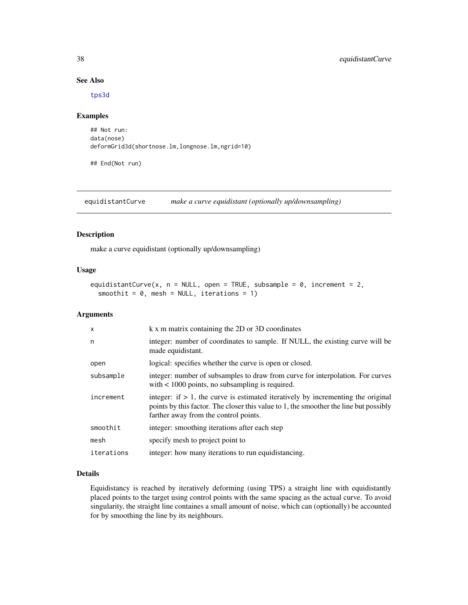## See Also

[tps3d](#page-133-0)

# Examples

```
## Not run:
data(nose)
deformGrid3d(shortnose.lm,longnose.lm,ngrid=10)
```
## End(Not run)

equidistantCurve *make a curve equidistant (optionally up/downsampling)*

#### Description

make a curve equidistant (optionally up/downsampling)

#### Usage

```
equidistantCurve(x, n = NULL, open = TRUE, subsample = 0, increment = 2,
 smoothit = 0, mesh = NULL, iterations = 1)
```
## Arguments

| $\times$   | k x m matrix containing the 2D or 3D coordinates                                                                                                                                                                      |
|------------|-----------------------------------------------------------------------------------------------------------------------------------------------------------------------------------------------------------------------|
| n          | integer: number of coordinates to sample. If NULL, the existing curve will be<br>made equidistant.                                                                                                                    |
| open       | logical: specifies whether the curve is open or closed.                                                                                                                                                               |
| subsample  | integer: number of subsamples to draw from curve for interpolation. For curves<br>with $\lt$ 1000 points, no subsampling is required.                                                                                 |
| increment  | integer: if $> 1$ , the curve is estimated iteratively by incrementing the original<br>points by this factor. The closer this value to 1, the smoother the line but possibly<br>farther away from the control points. |
| smoothit   | integer: smoothing iterations after each step                                                                                                                                                                         |
| mesh       | specify mesh to project point to                                                                                                                                                                                      |
| iterations | integer: how many iterations to run equidistancing.                                                                                                                                                                   |

#### Details

Equidistancy is reached by iteratively deforming (using TPS) a straight line with equidistantly placed points to the target using control points with the same spacing as the actual curve. To avoid singularity, the straight line containes a small amount of noise, which can (optionally) be accounted for by smoothing the line by its neighbours.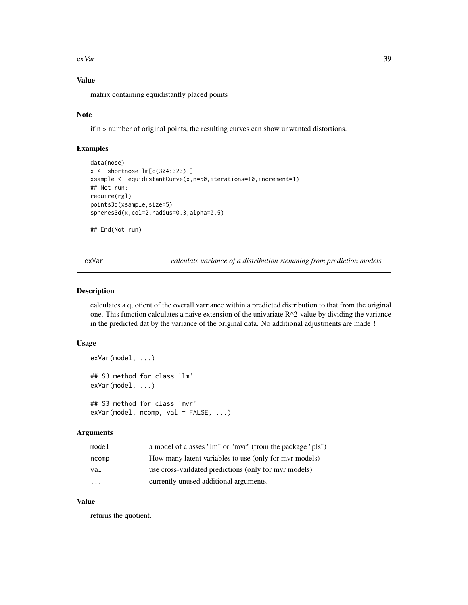exVar 39

# Value

matrix containing equidistantly placed points

## Note

if n » number of original points, the resulting curves can show unwanted distortions.

#### Examples

```
data(nose)
x <- shortnose.lm[c(304:323),]
xsample <- equidistantCurve(x,n=50,iterations=10,increment=1)
## Not run:
require(rgl)
points3d(xsample,size=5)
spheres3d(x,col=2,radius=0.3,alpha=0.5)
## End(Not run)
```
exVar *calculate variance of a distribution stemming from prediction models*

## Description

calculates a quotient of the overall varriance within a predicted distribution to that from the original one. This function calculates a naive extension of the univariate  $R^2$ -value by dividing the variance in the predicted dat by the variance of the original data. No additional adjustments are made!!

# Usage

```
exVar(model, ...)
## S3 method for class 'lm'
exVar(model, ...)
## S3 method for class 'mvr'
exVar(model, ncomp, val = FALSE, ...)
```
# Arguments

| model   | a model of classes "lm" or "mvr" (from the package "pls") |
|---------|-----------------------------------------------------------|
| ncomp   | How many latent variables to use (only for myr models)    |
| val     | use cross-vaildated predictions (only for myr models)     |
| $\cdot$ | currently unused additional arguments.                    |

## Value

returns the quotient.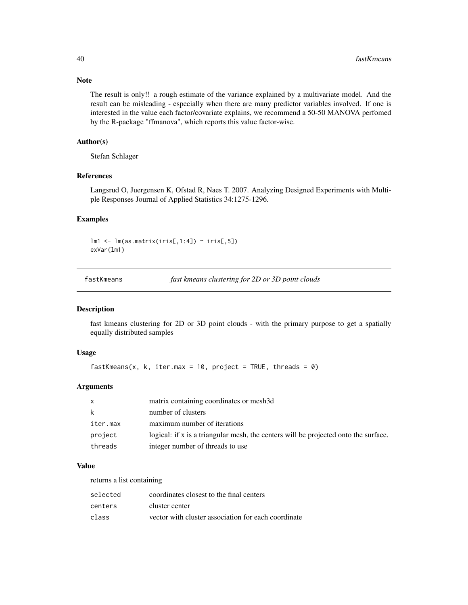The result is only!! a rough estimate of the variance explained by a multivariate model. And the result can be misleading - especially when there are many predictor variables involved. If one is interested in the value each factor/covariate explains, we recommend a 50-50 MANOVA perfomed by the R-package "ffmanova", which reports this value factor-wise.

## Author(s)

Stefan Schlager

## References

Langsrud O, Juergensen K, Ofstad R, Naes T. 2007. Analyzing Designed Experiments with Multiple Responses Journal of Applied Statistics 34:1275-1296.

#### Examples

 $lm1 \leftarrow lm(as.matrix(iris[,1:4]) \sim iris[,5])$ exVar(lm1)

| fastKmeans |  | fast kmeans clustering for 2D or 3D point clouds |  |  |
|------------|--|--------------------------------------------------|--|--|
|------------|--|--------------------------------------------------|--|--|

#### Description

fast kmeans clustering for 2D or 3D point clouds - with the primary purpose to get a spatially equally distributed samples

#### Usage

```
fastKmeans(x, k, iter.max = 10, project = TRUE, threads = \theta)
```
## Arguments

| $\mathsf{X}$ | matrix containing coordinates or mesh3d                                             |
|--------------|-------------------------------------------------------------------------------------|
| k            | number of clusters                                                                  |
| iter.max     | maximum number of iterations                                                        |
| project      | logical: if x is a triangular mesh, the centers will be projected onto the surface. |
| threads      | integer number of threads to use                                                    |

## Value

returns a list containing

| selected | coordinates closest to the final centers            |
|----------|-----------------------------------------------------|
| centers  | cluster center                                      |
| class    | vector with cluster association for each coordinate |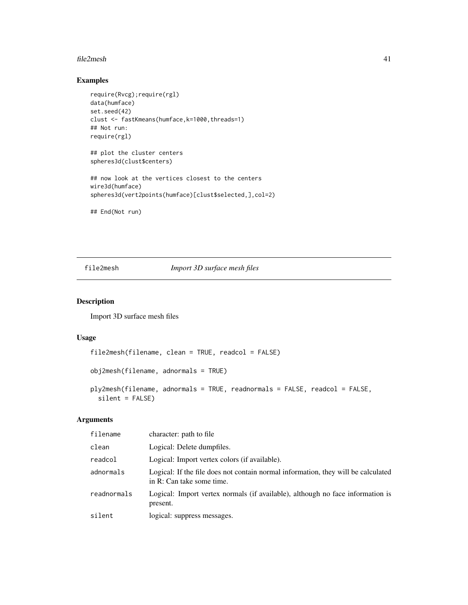#### file2mesh 41

# Examples

```
require(Rvcg);require(rgl)
data(humface)
set.seed(42)
clust <- fastKmeans(humface,k=1000,threads=1)
## Not run:
require(rgl)
## plot the cluster centers
spheres3d(clust$centers)
## now look at the vertices closest to the centers
wire3d(humface)
spheres3d(vert2points(humface)[clust$selected,],col=2)
```
## End(Not run)

<span id="page-40-0"></span>file2mesh *Import 3D surface mesh files*

## <span id="page-40-1"></span>Description

Import 3D surface mesh files

## Usage

```
file2mesh(filename, clean = TRUE, readcol = FALSE)
obj2mesh(filename, adnormals = TRUE)
ply2mesh(filename, adnormals = TRUE, readnormals = FALSE, readcol = FALSE,
 silent = FALSE)
```
# Arguments

| filename    | character: path to file                                                                                        |
|-------------|----------------------------------------------------------------------------------------------------------------|
| clean       | Logical: Delete dumpfiles.                                                                                     |
| readcol     | Logical: Import vertex colors (if available).                                                                  |
| adnormals   | Logical: If the file does not contain normal information, they will be calculated<br>in R: Can take some time. |
| readnormals | Logical: Import vertex normals (if available), although no face information is<br>present.                     |
| silent      | logical: suppress messages.                                                                                    |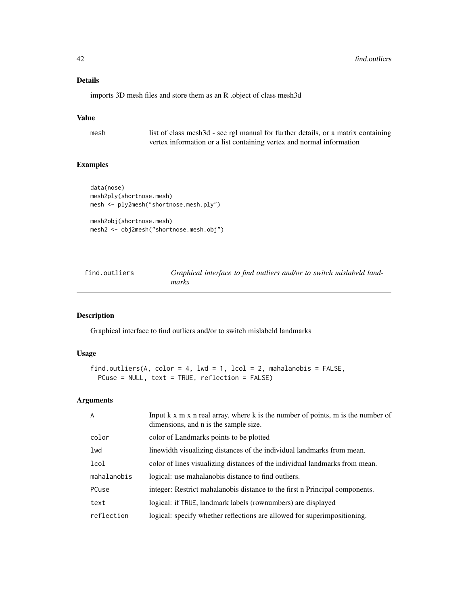## Details

imports 3D mesh files and store them as an R .object of class mesh3d

# Value

mesh list of class mesh3d - see rgl manual for further details, or a matrix containing vertex information or a list containing vertex and normal information

#### Examples

```
data(nose)
mesh2ply(shortnose.mesh)
mesh <- ply2mesh("shortnose.mesh.ply")
mesh2obj(shortnose.mesh)
```
mesh2 <- obj2mesh("shortnose.mesh.obj")

find.outliers *Graphical interface to find outliers and/or to switch mislabeld landmarks*

## Description

Graphical interface to find outliers and/or to switch mislabeld landmarks

## Usage

```
find.outliers(A, color = 4, lwd = 1, lcol = 2, mahalanobis = FALSE,
 PCuse = NULL, text = TRUE, reflection = FALSE)
```
## Arguments

| $\overline{A}$ | Input k x m x n real array, where k is the number of points, m is the number of<br>dimensions, and n is the sample size. |
|----------------|--------------------------------------------------------------------------------------------------------------------------|
| color          | color of Landmarks points to be plotted                                                                                  |
| lwd            | linewidth visualizing distances of the individual landmarks from mean.                                                   |
| lcol           | color of lines visualizing distances of the individual landmarks from mean.                                              |
| mahalanobis    | logical: use mahalanobis distance to find outliers.                                                                      |
| PCuse          | integer: Restrict mahalanobis distance to the first n Principal components.                                              |
| text           | logical: if TRUE, landmark labels (rownumbers) are displayed                                                             |
| reflection     | logical: specify whether reflections are allowed for superimpositioning.                                                 |
|                |                                                                                                                          |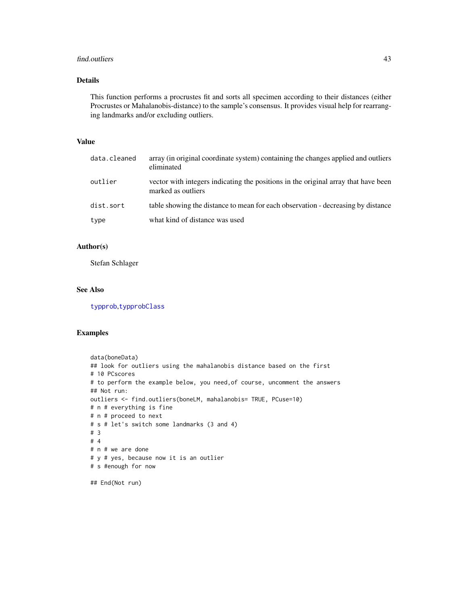#### find.outliers 43

# Details

This function performs a procrustes fit and sorts all specimen according to their distances (either Procrustes or Mahalanobis-distance) to the sample's consensus. It provides visual help for rearranging landmarks and/or excluding outliers.

## Value

| data.cleaned | array (in original coordinate system) containing the changes applied and outliers<br>eliminated          |
|--------------|----------------------------------------------------------------------------------------------------------|
| outlier      | vector with integers indicating the positions in the original array that have been<br>marked as outliers |
| dist.sort    | table showing the distance to mean for each observation - decreasing by distance                         |
| type         | what kind of distance was used                                                                           |

# Author(s)

Stefan Schlager

## See Also

[typprob](#page-135-0),[typprobClass](#page-135-1)

## Examples

```
data(boneData)
## look for outliers using the mahalanobis distance based on the first
# 10 PCscores
# to perform the example below, you need,of course, uncomment the answers
## Not run:
outliers <- find.outliers(boneLM, mahalanobis= TRUE, PCuse=10)
# n # everything is fine
# n # proceed to next
# s # let's switch some landmarks (3 and 4)
# 3
# 4
# n # we are done
# y # yes, because now it is an outlier
# s #enough for now
```
## End(Not run)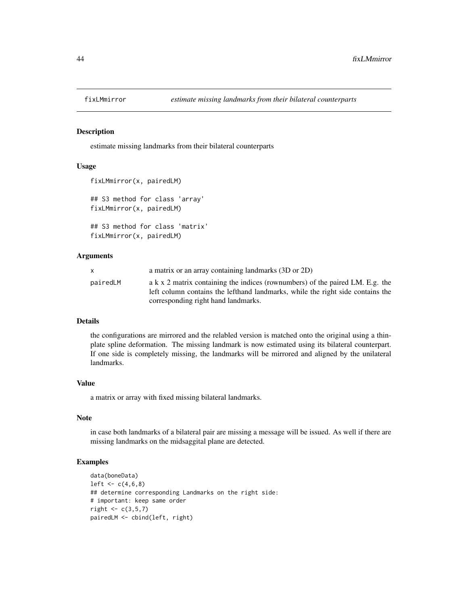estimate missing landmarks from their bilateral counterparts

## Usage

```
fixLMmirror(x, pairedLM)
```
## S3 method for class 'array' fixLMmirror(x, pairedLM)

```
## S3 method for class 'matrix'
fixLMmirror(x, pairedLM)
```
#### Arguments

| X        | a matrix or an array containing landmarks (3D or 2D)                           |
|----------|--------------------------------------------------------------------------------|
| pairedLM | a k x 2 matrix containing the indices (rownumbers) of the paired LM. E.g. the  |
|          | left column contains the lefthand landmarks, while the right side contains the |
|          | corresponding right hand landmarks.                                            |

## Details

the configurations are mirrored and the relabled version is matched onto the original using a thinplate spline deformation. The missing landmark is now estimated using its bilateral counterpart. If one side is completely missing, the landmarks will be mirrored and aligned by the unilateral landmarks.

#### Value

a matrix or array with fixed missing bilateral landmarks.

## Note

in case both landmarks of a bilateral pair are missing a message will be issued. As well if there are missing landmarks on the midsaggital plane are detected.

#### Examples

```
data(boneData)
left < -c(4, 6, 8)## determine corresponding Landmarks on the right side:
# important: keep same order
right \leq c(3,5,7)pairedLM <- cbind(left, right)
```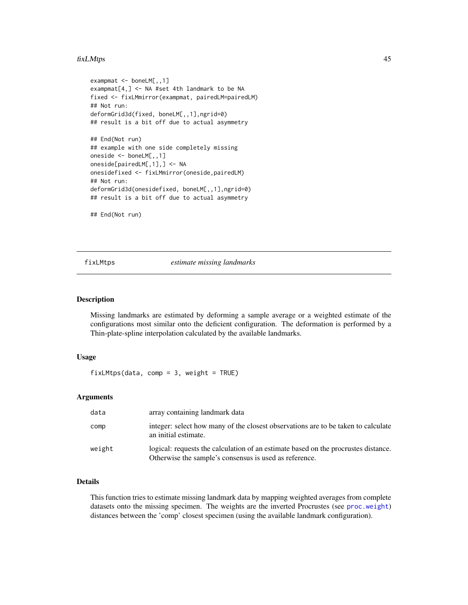#### fixLMtps 45

```
exampmat <- boneLM[,,1]
exampmat[4,] <- NA #set 4th landmark to be NA
fixed <- fixLMmirror(exampmat, pairedLM=pairedLM)
## Not run:
deformGrid3d(fixed, boneLM[,,1],ngrid=0)
## result is a bit off due to actual asymmetry
## End(Not run)
## example with one side completely missing
oneside <- boneLM[,,1]
oneside[pairedLM[,1],] <- NA
onesidefixed <- fixLMmirror(oneside,pairedLM)
## Not run:
deformGrid3d(onesidefixed, boneLM[,,1],ngrid=0)
## result is a bit off due to actual asymmetry
## End(Not run)
```
fixLMtps *estimate missing landmarks*

## Description

Missing landmarks are estimated by deforming a sample average or a weighted estimate of the configurations most similar onto the deficient configuration. The deformation is performed by a Thin-plate-spline interpolation calculated by the available landmarks.

## Usage

 $fixLMtps(data, comp = 3, weight = TRUE)$ 

## Arguments

| data   | array containing landmark data                                                                                                               |
|--------|----------------------------------------------------------------------------------------------------------------------------------------------|
| comp   | integer: select how many of the closest observations are to be taken to calculate<br>an initial estimate.                                    |
| weight | logical: requests the calculation of an estimate based on the procrustes distance.<br>Otherwise the sample's consensus is used as reference. |

#### Details

This function tries to estimate missing landmark data by mapping weighted averages from complete datasets onto the missing specimen. The weights are the inverted Procrustes (see [proc.weight](#page-91-0)) distances between the 'comp' closest specimen (using the available landmark configuration).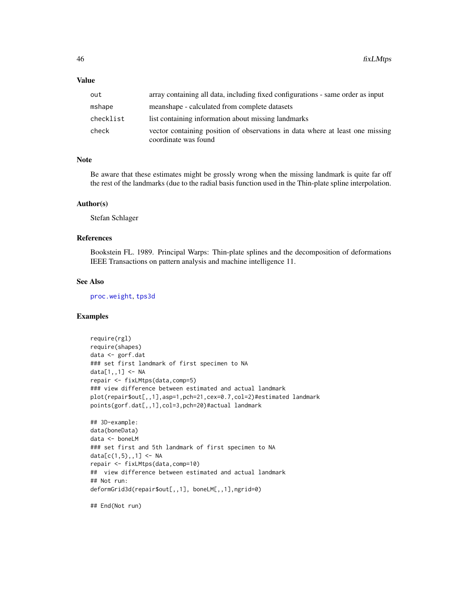## Value

| out       | array containing all data, including fixed configurations - same order as input                       |
|-----------|-------------------------------------------------------------------------------------------------------|
| mshape    | meanshape - calculated from complete datasets                                                         |
| checklist | list containing information about missing landmarks                                                   |
| check     | vector containing position of observations in data where at least one missing<br>coordinate was found |

## Note

Be aware that these estimates might be grossly wrong when the missing landmark is quite far off the rest of the landmarks (due to the radial basis function used in the Thin-plate spline interpolation.

#### Author(s)

Stefan Schlager

#### References

Bookstein FL. 1989. Principal Warps: Thin-plate splines and the decomposition of deformations IEEE Transactions on pattern analysis and machine intelligence 11.

# See Also

[proc.weight](#page-91-0), [tps3d](#page-133-0)

#### Examples

```
require(rgl)
require(shapes)
data <- gorf.dat
### set first landmark of first specimen to NA
data[1,,1] <- NA
repair <- fixLMtps(data,comp=5)
### view difference between estimated and actual landmark
plot(repair$out[,,1],asp=1,pch=21,cex=0.7,col=2)#estimated landmark
points(gorf.dat[,,1],col=3,pch=20)#actual landmark
## 3D-example:
data(boneData)
data <- boneLM
### set first and 5th landmark of first specimen to NA
data[c(1,5),,1] < -NArepair <- fixLMtps(data,comp=10)
## view difference between estimated and actual landmark
## Not run:
deformGrid3d(repair$out[,,1], boneLM[,,1],ngrid=0)
```
## End(Not run)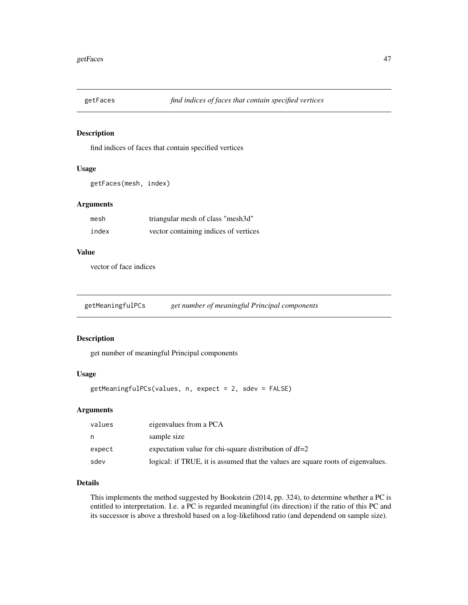find indices of faces that contain specified vertices

# Usage

```
getFaces(mesh, index)
```
# Arguments

| mesh  | triangular mesh of class "mesh3d"     |
|-------|---------------------------------------|
| index | vector containing indices of vertices |

## Value

vector of face indices

<span id="page-46-0"></span>getMeaningfulPCs *get number of meaningful Principal components*

## Description

get number of meaningful Principal components

# Usage

getMeaningfulPCs(values, n, expect = 2, sdev = FALSE)

## Arguments

| values | eigenvalues from a PCA                                                           |
|--------|----------------------------------------------------------------------------------|
| n      | sample size                                                                      |
| expect | expectation value for chi-square distribution of df=2                            |
| sdev   | logical: if TRUE, it is assumed that the values are square roots of eigenvalues. |

## Details

This implements the method suggested by Bookstein (2014, pp. 324), to determine whether a PC is entitled to interpretation. I.e. a PC is regarded meaningful (its direction) if the ratio of this PC and its successor is above a threshold based on a log-likelihood ratio (and dependend on sample size).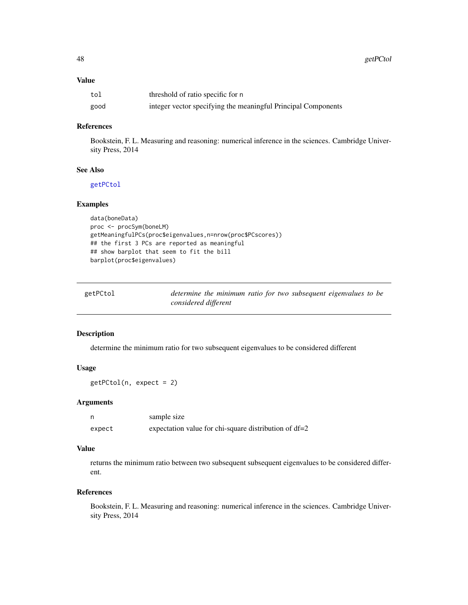## Value

| tol  | threshold of ratio specific for n                             |
|------|---------------------------------------------------------------|
| good | integer vector specifying the meaningful Principal Components |

# References

Bookstein, F. L. Measuring and reasoning: numerical inference in the sciences. Cambridge University Press, 2014

## See Also

[getPCtol](#page-47-0)

## Examples

```
data(boneData)
proc <- procSym(boneLM)
getMeaningfulPCs(proc$eigenvalues,n=nrow(proc$PCscores))
## the first 3 PCs are reported as meaningful
## show barplot that seem to fit the bill
barplot(proc$eigenvalues)
```
<span id="page-47-0"></span>

| getPCtol | determine the minimum ratio for two subsequent eigenvalues to be |  |
|----------|------------------------------------------------------------------|--|
|          | considered different                                             |  |

#### Description

determine the minimum ratio for two subsequent eigenvalues to be considered different

#### Usage

getPCtol(n, expect = 2)

## Arguments

|        | sample size                                             |
|--------|---------------------------------------------------------|
| expect | expectation value for chi-square distribution of $df=2$ |

# Value

returns the minimum ratio between two subsequent subsequent eigenvalues to be considered different.

## References

Bookstein, F. L. Measuring and reasoning: numerical inference in the sciences. Cambridge University Press, 2014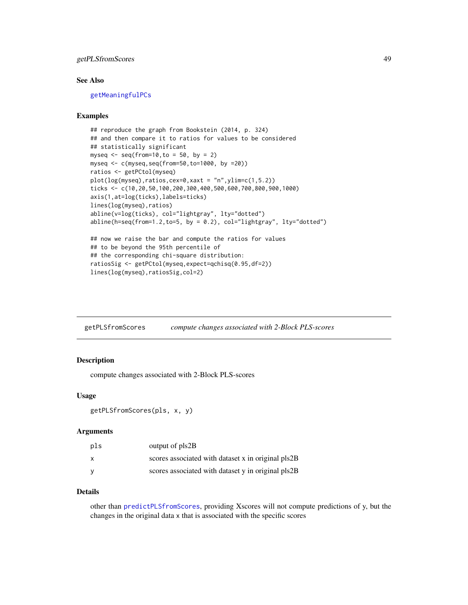# getPLSfromScores 49

#### See Also

[getMeaningfulPCs](#page-46-0)

## Examples

```
## reproduce the graph from Bookstein (2014, p. 324)
## and then compare it to ratios for values to be considered
## statistically significant
myseq \leq seq(from=10, to = 50, by = 2)
myseq <- c(myseq,seq(from=50,to=1000, by =20))
ratios <- getPCtol(myseq)
plot(log(myseq),ratios,cex=0,xaxt = "n",ylim=c(1,5.2))
ticks <- c(10,20,50,100,200,300,400,500,600,700,800,900,1000)
axis(1,at=log(ticks),labels=ticks)
lines(log(myseq),ratios)
abline(v=log(ticks), col="lightgray", lty="dotted")
abline(h=seq(from=1.2,to=5, by = 0.2), col='lightgray", lty='dotted")## now we raise the bar and compute the ratios for values
## to be beyond the 95th percentile of
## the corresponding chi-square distribution:
ratiosSig <- getPCtol(myseq,expect=qchisq(0.95,df=2))
lines(log(myseq),ratiosSig,col=2)
```
getPLSfromScores *compute changes associated with 2-Block PLS-scores*

#### Description

compute changes associated with 2-Block PLS-scores

#### Usage

```
getPLSfromScores(pls, x, y)
```
#### Arguments

| pls | output of pls2B                                    |
|-----|----------------------------------------------------|
| X   | scores associated with dataset x in original pls2B |
| v   | scores associated with dataset y in original pls2B |

## Details

other than [predictPLSfromScores](#page-89-0), providing Xscores will not compute predictions of y, but the changes in the original data x that is associated with the specific scores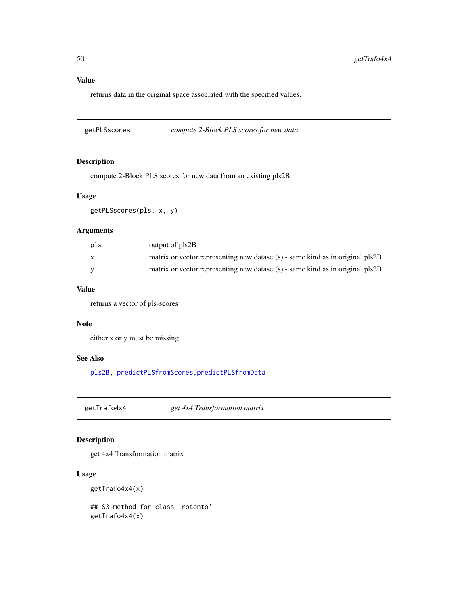# Value

returns data in the original space associated with the specified values.

getPLSscores *compute 2-Block PLS scores for new data*

## Description

compute 2-Block PLS scores for new data from an existing pls2B

# Usage

```
getPLSscores(pls, x, y)
```
# Arguments

| pls | output of pls2B                                                                 |
|-----|---------------------------------------------------------------------------------|
| X   | matrix or vector representing new dataset(s) - same kind as in original $pls2B$ |
|     | matrix or vector representing new dataset(s) - same kind as in original $pls2B$ |

## Value

returns a vector of pls-scores

## Note

either x or y must be missing

# See Also

[pls2B,](#page-83-0) [predictPLSfromScores,](#page-89-0)[predictPLSfromData](#page-88-0)

getTrafo4x4 *get 4x4 Transformation matrix*

# Description

get 4x4 Transformation matrix

## Usage

```
getTrafo4x4(x)
```
## S3 method for class 'rotonto' getTrafo4x4(x)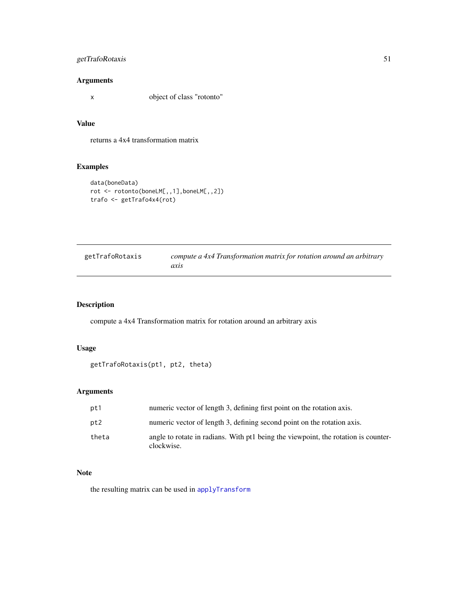# getTrafoRotaxis 51

# Arguments

x object of class "rotonto"

## Value

returns a 4x4 transformation matrix

# Examples

```
data(boneData)
rot <- rotonto(boneLM[,,1],boneLM[,,2])
trafo <- getTrafo4x4(rot)
```

| getTrafoRotaxis | compute a 4x4 Transformation matrix for rotation around an arbitrary |
|-----------------|----------------------------------------------------------------------|
|                 | axıs                                                                 |

# Description

compute a 4x4 Transformation matrix for rotation around an arbitrary axis

## Usage

```
getTrafoRotaxis(pt1, pt2, theta)
```
# Arguments

| pt1   | numeric vector of length 3, defining first point on the rotation axis.                           |
|-------|--------------------------------------------------------------------------------------------------|
| pt2   | numeric vector of length 3, defining second point on the rotation axis.                          |
| theta | angle to rotate in radians. With pt1 being the viewpoint, the rotation is counter-<br>clockwise. |

## Note

the resulting matrix can be used in [applyTransform](#page-7-0)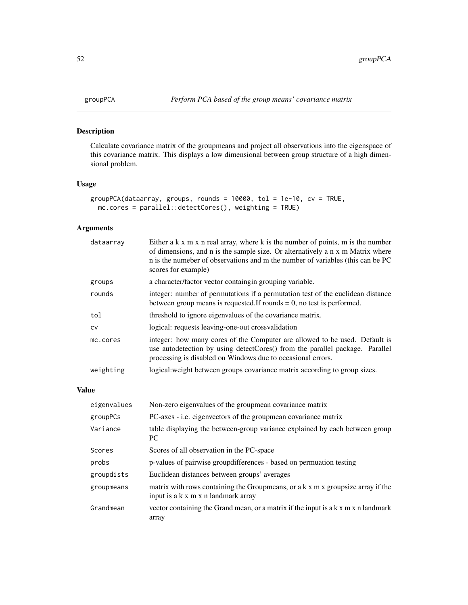Calculate covariance matrix of the groupmeans and project all observations into the eigenspace of this covariance matrix. This displays a low dimensional between group structure of a high dimensional problem.

# Usage

```
groupPCA(dataarray, groups, rounds = 10000, tol = 1e-10, cv = TRUE,
 mc.cores = parallel::detectCores(), weighting = TRUE)
```
# Arguments

| dataarray | Either a $k \times m \times n$ real array, where $k$ is the number of points, m is the number<br>of dimensions, and n is the sample size. Or alternatively a n x m Matrix where<br>n is the numeber of observations and m the number of variables (this can be PC<br>scores for example) |
|-----------|------------------------------------------------------------------------------------------------------------------------------------------------------------------------------------------------------------------------------------------------------------------------------------------|
| groups    | a character/factor vector containgin grouping variable.                                                                                                                                                                                                                                  |
| rounds    | integer: number of permutations if a permutation test of the euclidean distance<br>between group means is requested. If rounds $= 0$ , no test is performed.                                                                                                                             |
| tol       | threshold to ignore eigenvalues of the covariance matrix.                                                                                                                                                                                                                                |
| <b>CV</b> | logical: requests leaving-one-out crossvalidation                                                                                                                                                                                                                                        |
| mc.cores  | integer: how many cores of the Computer are allowed to be used. Default is<br>use autodetection by using detectCores() from the parallel package. Parallel<br>processing is disabled on Windows due to occasional errors.                                                                |
| weighting | logical: weight between groups covariance matrix according to group sizes.                                                                                                                                                                                                               |

# Value

| eigenvalues | Non-zero eigenvalues of the groupmean covariance matrix                                                                |
|-------------|------------------------------------------------------------------------------------------------------------------------|
| groupPCs    | PC-axes - i.e. eigenvectors of the groupmean covariance matrix                                                         |
| Variance    | table displaying the between-group variance explained by each between group<br>PC.                                     |
| Scores      | Scores of all observation in the PC-space                                                                              |
| probs       | p-values of pairwise group differences - based on permuation testing                                                   |
| groupdists  | Euclidean distances between groups' averages                                                                           |
| groupmeans  | matrix with rows containing the Groupmeans, or a k x m x groupsize array if the<br>input is a k x m x n landmark array |
| Grandmean   | vector containing the Grand mean, or a matrix if the input is a k x m x n landmark<br>array                            |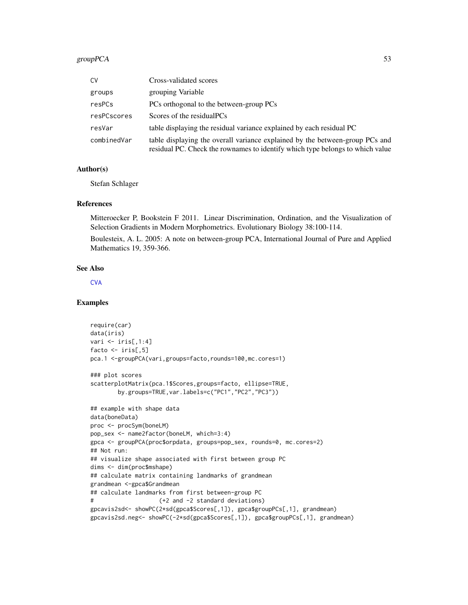# groupPCA 53

| CV          | Cross-validated scores                                                                                                                                        |
|-------------|---------------------------------------------------------------------------------------------------------------------------------------------------------------|
| groups      | grouping Variable                                                                                                                                             |
| resPCs      | PCs orthogonal to the between-group PCs                                                                                                                       |
| resPCscores | Scores of the residual PCs                                                                                                                                    |
| resVar      | table displaying the residual variance explained by each residual PC                                                                                          |
| combinedVar | table displaying the overall variance explained by the between-group PCs and<br>residual PC. Check the rownames to identify which type belongs to which value |

#### Author(s)

Stefan Schlager

#### References

Mitteroecker P, Bookstein F 2011. Linear Discrimination, Ordination, and the Visualization of Selection Gradients in Modern Morphometrics. Evolutionary Biology 38:100-114.

Boulesteix, A. L. 2005: A note on between-group PCA, International Journal of Pure and Applied Mathematics 19, 359-366.

## See Also

**[CVA](#page-31-0)** 

## Examples

```
require(car)
data(iris)
vari \le iris[,1:4]
facto \le iris[,5]
pca.1 <-groupPCA(vari,groups=facto,rounds=100,mc.cores=1)
### plot scores
scatterplotMatrix(pca.1$Scores,groups=facto, ellipse=TRUE,
        by.groups=TRUE,var.labels=c("PC1","PC2","PC3"))
## example with shape data
data(boneData)
proc <- procSym(boneLM)
pop_sex <- name2factor(boneLM, which=3:4)
gpca <- groupPCA(proc$orpdata, groups=pop_sex, rounds=0, mc.cores=2)
## Not run:
## visualize shape associated with first between group PC
dims <- dim(proc$mshape)
## calculate matrix containing landmarks of grandmean
grandmean <-gpca$Grandmean
## calculate landmarks from first between-group PC
# (+2 and -2 standard deviations)
gpcavis2sd<- showPC(2*sd(gpca$Scores[,1]), gpca$groupPCs[,1], grandmean)
gpcavis2sd.neg<- showPC(-2*sd(gpca$Scores[,1]), gpca$groupPCs[,1], grandmean)
```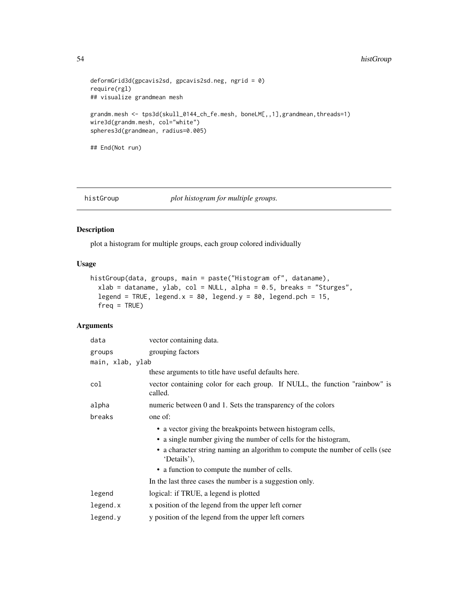# 54 histGroup

```
deformGrid3d(gpcavis2sd, gpcavis2sd.neg, ngrid = 0)
require(rgl)
## visualize grandmean mesh
grandm.mesh <- tps3d(skull_0144_ch_fe.mesh, boneLM[,,1],grandmean,threads=1)
wire3d(grandm.mesh, col="white")
spheres3d(grandmean, radius=0.005)
## End(Not run)
```
## histGroup *plot histogram for multiple groups.*

## Description

plot a histogram for multiple groups, each group colored individually

## Usage

```
histGroup(data, groups, main = paste("Histogram of", dataname),
  xlab = dataname, ylab, col = NULL, alpha = 0.5, breaks = "Sturges",
  legend = TRUE, legend.x = 80, legend.y = 80, legend.pch = 15,
  freq = TRUE)
```
#### Arguments

| data             | vector containing data.                                                                     |  |  |
|------------------|---------------------------------------------------------------------------------------------|--|--|
| groups           | grouping factors                                                                            |  |  |
| main, xlab, ylab |                                                                                             |  |  |
|                  | these arguments to title have useful defaults here.                                         |  |  |
| col              | vector containing color for each group. If NULL, the function "rainbow" is<br>called.       |  |  |
| alpha            | numeric between 0 and 1. Sets the transparency of the colors                                |  |  |
| breaks           | one of:                                                                                     |  |  |
|                  | • a vector giving the breakpoints between histogram cells,                                  |  |  |
|                  | • a single number giving the number of cells for the histogram,                             |  |  |
|                  | • a character string naming an algorithm to compute the number of cells (see<br>'Details'), |  |  |
|                  | • a function to compute the number of cells.                                                |  |  |
|                  | In the last three cases the number is a suggestion only.                                    |  |  |
| legend           | logical: if TRUE, a legend is plotted                                                       |  |  |
| legend.x         | x position of the legend from the upper left corner                                         |  |  |
| legend.y         | y position of the legend from the upper left corners                                        |  |  |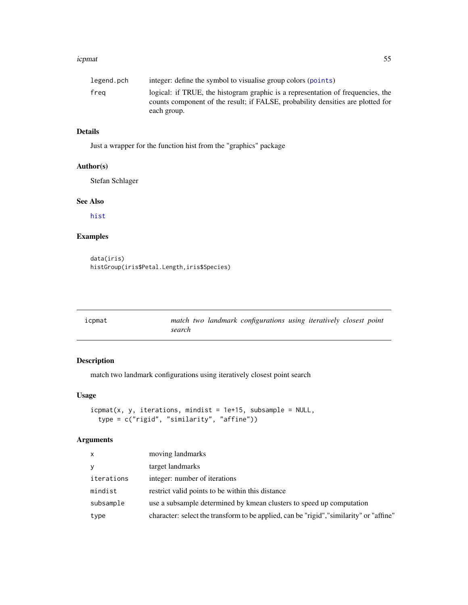#### icpmat 55

| legend.pch | integer: define the symbol to visualise group colors (points)                   |
|------------|---------------------------------------------------------------------------------|
| frea       | logical: if TRUE, the histogram graphic is a representation of frequencies, the |
|            | counts component of the result; if FALSE, probability densities are plotted for |
|            | each group.                                                                     |

# Details

Just a wrapper for the function hist from the "graphics" package

## Author(s)

Stefan Schlager

# See Also

[hist](#page-0-0)

# Examples

```
data(iris)
histGroup(iris$Petal.Length,iris$Species)
```

| icpmat |        | match two landmark configurations using iteratively closest point |  |  |
|--------|--------|-------------------------------------------------------------------|--|--|
|        | search |                                                                   |  |  |

# Description

match two landmark configurations using iteratively closest point search

## Usage

```
icpm(x, y, iterations, minutes = 1e+15, subsample = NULL,type = c("rigid", "similarity", "affine"))
```
# Arguments

| X          | moving landmarks                                                                        |
|------------|-----------------------------------------------------------------------------------------|
| y          | target landmarks                                                                        |
| iterations | integer: number of iterations                                                           |
| mindist    | restrict valid points to be within this distance                                        |
| subsample  | use a subsample determined by kmean clusters to speed up computation                    |
| type       | character: select the transform to be applied, can be "rigid", "similarity" or "affine" |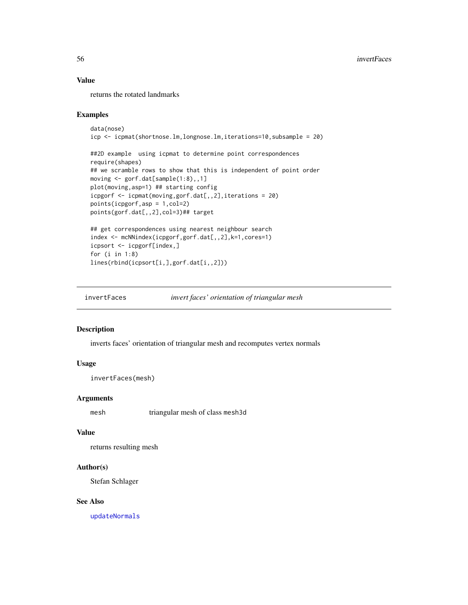## Value

returns the rotated landmarks

#### Examples

```
data(nose)
icp <- icpmat(shortnose.lm,longnose.lm,iterations=10,subsample = 20)
```

```
##2D example using icpmat to determine point correspondences
require(shapes)
## we scramble rows to show that this is independent of point order
moving <- gorf.dat[sample(1:8),,1]
plot(moving,asp=1) ## starting config
icpgorf <- icpmat(moving,gorf.dat[,,2],iterations = 20)
points(icpgorf,asp = 1,col=2)
points(gorf.dat[,,2],col=3)## target
## get correspondences using nearest neighbour search
```

```
index <- mcNNindex(icpgorf,gorf.dat[,,2],k=1,cores=1)
icpsort <- icpgorf[index,]
for (i in 1:8)
lines(rbind(icpsort[i,],gorf.dat[i,,2]))
```
invertFaces *invert faces' orientation of triangular mesh*

## Description

inverts faces' orientation of triangular mesh and recomputes vertex normals

## Usage

```
invertFaces(mesh)
```
#### Arguments

mesh triangular mesh of class mesh3d

## Value

returns resulting mesh

#### Author(s)

Stefan Schlager

#### See Also

[updateNormals](#page-138-0)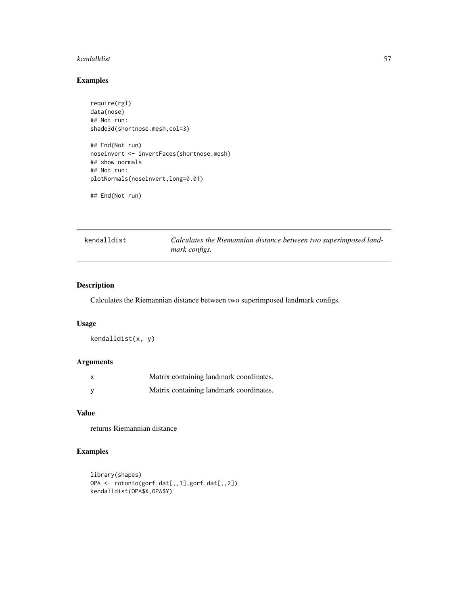#### kendalldist 57

## Examples

```
require(rgl)
data(nose)
## Not run:
shade3d(shortnose.mesh,col=3)
## End(Not run)
noseinvert <- invertFaces(shortnose.mesh)
## show normals
## Not run:
plotNormals(noseinvert,long=0.01)
## End(Not run)
```

```
kendalldist Calculates the Riemannian distance between two superimposed land-
                      mark configs.
```
# Description

Calculates the Riemannian distance between two superimposed landmark configs.

## Usage

kendalldist(x, y)

# Arguments

| Matrix containing landmark coordinates. |
|-----------------------------------------|
| Matrix containing landmark coordinates. |

# Value

returns Riemannian distance

# Examples

```
library(shapes)
OPA <- rotonto(gorf.dat[,,1],gorf.dat[,,2])
kendalldist(OPA$X,OPA$Y)
```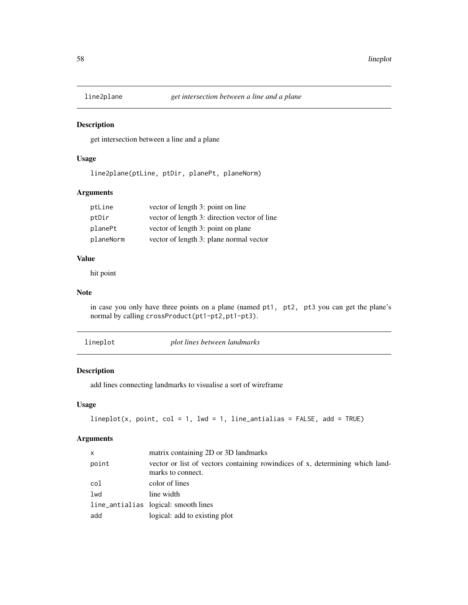get intersection between a line and a plane

# Usage

line2plane(ptLine, ptDir, planePt, planeNorm)

# Arguments

| ptLine    | vector of length 3: point on line            |
|-----------|----------------------------------------------|
| ptDir     | vector of length 3: direction vector of line |
| planePt   | vector of length 3: point on plane           |
| planeNorm | vector of length 3: plane normal vector      |

## Value

hit point

#### Note

in case you only have three points on a plane (named pt1, pt2, pt3 you can get the plane's normal by calling crossProduct(pt1-pt2,pt1-pt3).

| lineplot |  |  |  |  |
|----------|--|--|--|--|
|          |  |  |  |  |

 $plot$  *lines between landmarks* 

# Description

add lines connecting landmarks to visualise a sort of wireframe

## Usage

```
lineplot(x, point, col = 1, lwd = 1, line_antialias = FALSE, add = TRUE)
```
## Arguments

| X      | matrix containing 2D or 3D landmarks                                                               |
|--------|----------------------------------------------------------------------------------------------------|
| point  | vector or list of vectors containing rowindices of x, determining which land-<br>marks to connect. |
| col    | color of lines                                                                                     |
| $1$ wd | line width                                                                                         |
|        | line_antialias logical: smooth lines                                                               |
| add    | logical: add to existing plot                                                                      |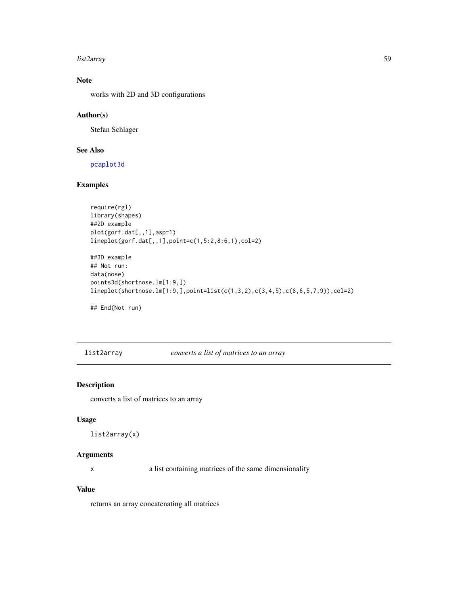#### list2array 59

# Note

works with 2D and 3D configurations

# Author(s)

Stefan Schlager

# See Also

[pcaplot3d](#page-73-0)

# Examples

```
require(rgl)
library(shapes)
##2D example
plot(gorf.dat[,,1],asp=1)
lineplot(gorf.dat[,,1],point=c(1,5:2,8:6,1),col=2)
```

```
##3D example
## Not run:
data(nose)
points3d(shortnose.lm[1:9,])
lineplot(shortnose.lm[1:9,],point=list(c(1,3,2),c(3,4,5),c(8,6,5,7,9)),col=2)
```
## End(Not run)

list2array *converts a list of matrices to an array*

# Description

converts a list of matrices to an array

# Usage

```
list2array(x)
```
## Arguments

x a list containing matrices of the same dimensionality

# Value

returns an array concatenating all matrices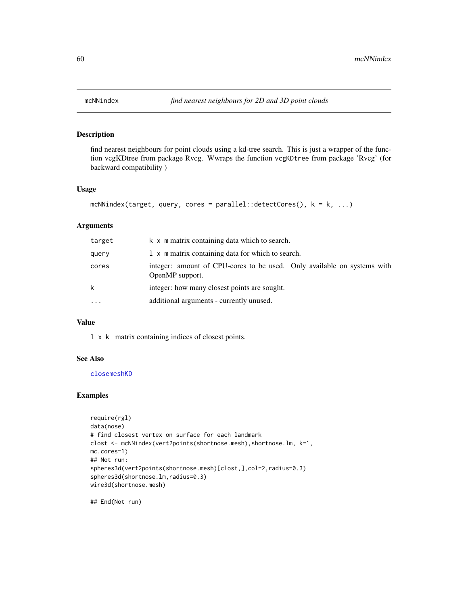find nearest neighbours for point clouds using a kd-tree search. This is just a wrapper of the function vcgKDtree from package Rvcg. Wwraps the function vcgKDtree from package 'Rvcg' (for backward compatibility )

#### Usage

```
mcNNindex(target, query, cores = parallel::detectCores(), k = k, ...)
```
#### Arguments

| target   | k x m matrix containing data which to search.                                              |
|----------|--------------------------------------------------------------------------------------------|
| query    | 1 x m matrix containing data for which to search.                                          |
| cores    | integer: amount of CPU-cores to be used. Only available on systems with<br>OpenMP support. |
| k        | integer: how many closest points are sought.                                               |
| $\cdots$ | additional arguments - currently unused.                                                   |

#### Value

l x k matrix containing indices of closest points.

#### See Also

[closemeshKD](#page-17-0)

## Examples

```
require(rgl)
data(nose)
# find closest vertex on surface for each landmark
clost <- mcNNindex(vert2points(shortnose.mesh), shortnose.lm, k=1,
mc.cores=1)
## Not run:
spheres3d(vert2points(shortnose.mesh)[clost,],col=2,radius=0.3)
spheres3d(shortnose.lm,radius=0.3)
wire3d(shortnose.mesh)
```
## End(Not run)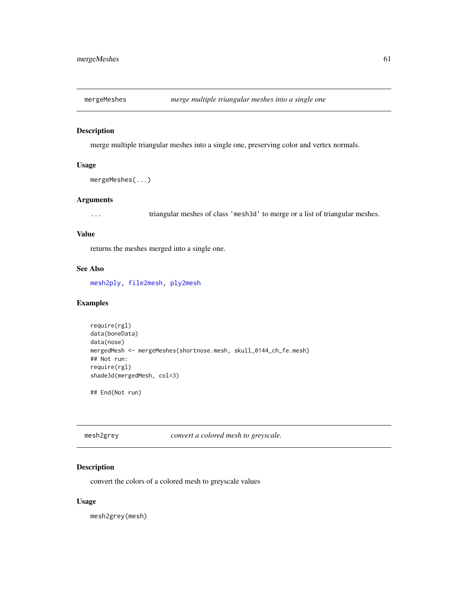merge multiple triangular meshes into a single one, preserving color and vertex normals.

#### Usage

```
mergeMeshes(...)
```
## Arguments

... triangular meshes of class 'mesh3d' to merge or a list of triangular meshes.

#### Value

returns the meshes merged into a single one.

## See Also

[mesh2ply,](#page-61-0) [file2mesh,](#page-40-0) [ply2mesh](#page-40-1)

## Examples

```
require(rgl)
data(boneData)
data(nose)
mergedMesh <- mergeMeshes(shortnose.mesh, skull_0144_ch_fe.mesh)
## Not run:
require(rgl)
shade3d(mergedMesh, col=3)
```
## End(Not run)

mesh2grey *convert a colored mesh to greyscale.*

# Description

convert the colors of a colored mesh to greyscale values

#### Usage

mesh2grey(mesh)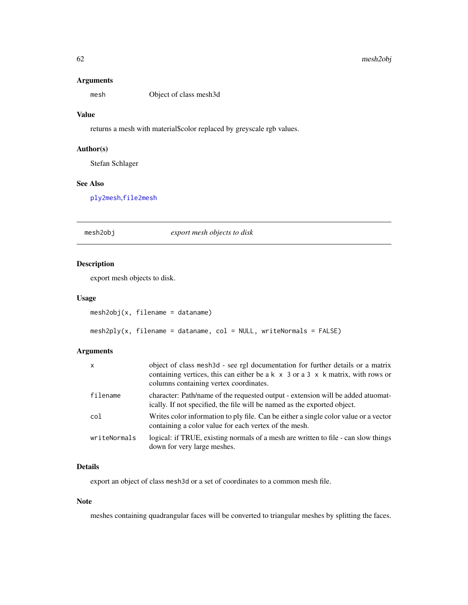## Arguments

mesh Object of class mesh3d

## Value

returns a mesh with material\$color replaced by greyscale rgb values.

# Author(s)

Stefan Schlager

# See Also

[ply2mesh](#page-40-1),[file2mesh](#page-40-0)

# mesh2obj *export mesh objects to disk*

## <span id="page-61-0"></span>Description

export mesh objects to disk.

## Usage

```
mesh2obj(x, filename = dataname)
```

```
mesh2ply(x, filename = dataname, col = NULL, written as 1 = FALSE)
```
# Arguments

| $\mathsf{x}$ | object of class mesh3d - see rgl documentation for further details or a matrix<br>containing vertices, this can either be $a \times x$ 3 or $a$ 3 $\times$ k matrix, with rows or<br>columns containing vertex coordinates. |
|--------------|-----------------------------------------------------------------------------------------------------------------------------------------------------------------------------------------------------------------------------|
| filename     | character: Path/name of the requested output - extension will be added atuomat-<br>ically. If not specified, the file will be named as the exported object.                                                                 |
| col          | Writes color information to ply file. Can be either a single color value or a vector<br>containing a color value for each vertex of the mesh.                                                                               |
| writeNormals | logical: if TRUE, existing normals of a mesh are written to file - can slow things<br>down for very large meshes.                                                                                                           |

# Details

export an object of class mesh3d or a set of coordinates to a common mesh file.

## Note

meshes containing quadrangular faces will be converted to triangular meshes by splitting the faces.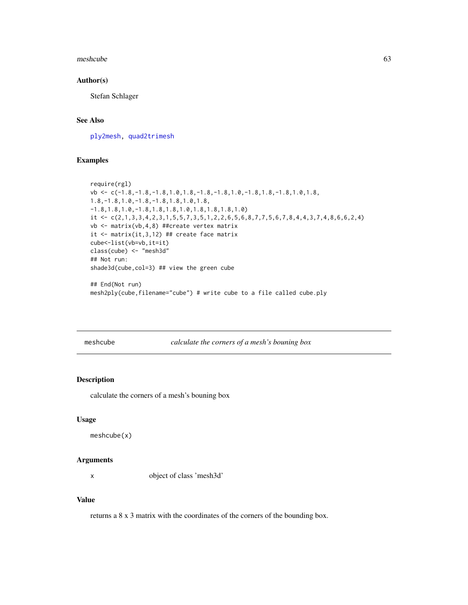#### meshcube 63

#### Author(s)

Stefan Schlager

# See Also

[ply2mesh,](#page-40-1) [quad2trimesh](#page-101-0)

# Examples

```
require(rgl)
vb <- c(-1.8,-1.8,-1.8,1.0,1.8,-1.8,-1.8,1.0,-1.8,1.8,-1.8,1.0,1.8,
1.8,-1.8,1.0,-1.8,-1.8,1.8,1.0,1.8,
-1.8,1.8,1.0,-1.8,1.8,1.8,1.0,1.8,1.8,1.8,1.0)
it <- c(2,1,3,3,4,2,3,1,5,5,7,3,5,1,2,2,6,5,6,8,7,7,5,6,7,8,4,4,3,7,4,8,6,6,2,4)
vb <- matrix(vb,4,8) ##create vertex matrix
it <- matrix(it,3,12) ## create face matrix
cube<-list(vb=vb,it=it)
class(cube) <- "mesh3d"
## Not run:
shade3d(cube,col=3) ## view the green cube
## End(Not run)
mesh2ply(cube,filename="cube") # write cube to a file called cube.ply
```
meshcube *calculate the corners of a mesh's bouning box*

## Description

calculate the corners of a mesh's bouning box

## Usage

```
meshcube(x)
```
#### Arguments

x object of class 'mesh3d'

# Value

returns a 8 x 3 matrix with the coordinates of the corners of the bounding box.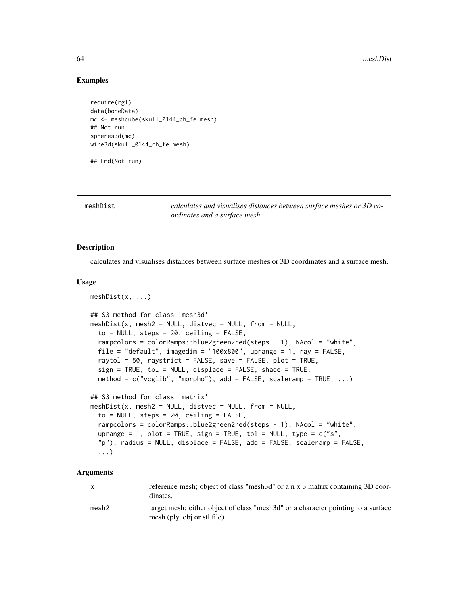## Examples

```
require(rgl)
data(boneData)
mc <- meshcube(skull_0144_ch_fe.mesh)
## Not run:
spheres3d(mc)
wire3d(skull_0144_ch_fe.mesh)
```
## End(Not run)

meshDist *calculates and visualises distances between surface meshes or 3D coordinates and a surface mesh.*

## **Description**

calculates and visualises distances between surface meshes or 3D coordinates and a surface mesh.

#### Usage

```
meshDist(x, ...)
## S3 method for class 'mesh3d'
meshDist(x, mesh2 = NULL, distvec = NULL, from = NULL,to = NULL, steps = 20, ceiling = FALSE,
  rampcolors = colorRamps::blue2green2red(steps - 1), NAcol = "white",
  file = "default", imagedim = "100x800", uprange = 1, ray = FALSE,
  raytol = 50, raystrict = FALSE, save = FALSE, plot = TRUE,
  sign = TRUE, tol = NULL, displace = FALSE, shade = TRUE,method = c("vcglib", "morpho"), add = FALSE, scaleramp = TRUE, ...)## S3 method for class 'matrix'
meshDist(x, mesh2 = NULL, distvec = NULL, from = NULL,to = NULL, steps = 20, ceiling = FALSE,
  rampcolors = colorRamps::blue2green2red(steps - 1), NAcol = "white",
  uprange = 1, plot = TRUE, sign = TRUE, tol = NULL, type = c("s","p"), radius = NULL, displace = FALSE, add = FALSE, scaleramp = FALSE,
  ...)
```
## Arguments

| $\mathsf{X}$ | reference mesh; object of class "mesh3d" or a n x 3 matrix containing 3D coor-<br>dinates.                       |
|--------------|------------------------------------------------------------------------------------------------------------------|
| mesh2        | target mesh: either object of class "mesh3d" or a character pointing to a surface<br>mesh (ply, obj or stl file) |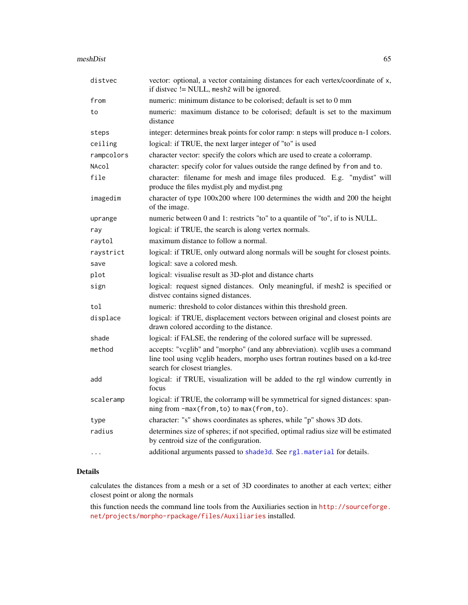| distvec    | vector: optional, a vector containing distances for each vertex/coordinate of x,<br>if distvec != NULL, mesh2 will be ignored.                                                                   |
|------------|--------------------------------------------------------------------------------------------------------------------------------------------------------------------------------------------------|
| from       | numeric: minimum distance to be colorised; default is set to 0 mm                                                                                                                                |
| to         | numeric: maximum distance to be colorised; default is set to the maximum<br>distance                                                                                                             |
| steps      | integer: determines break points for color ramp: n steps will produce n-1 colors.                                                                                                                |
| ceiling    | logical: if TRUE, the next larger integer of "to" is used                                                                                                                                        |
| rampcolors | character vector: specify the colors which are used to create a colorramp.                                                                                                                       |
| NAcol      | character: specify color for values outside the range defined by from and to.                                                                                                                    |
| file       | character: filename for mesh and image files produced. E.g. "mydist" will<br>produce the files mydist.ply and mydist.png                                                                         |
| imagedim   | character of type 100x200 where 100 determines the width and 200 the height<br>of the image.                                                                                                     |
| uprange    | numeric between 0 and 1: restricts "to" to a quantile of "to", if to is NULL.                                                                                                                    |
| ray        | logical: if TRUE, the search is along vertex normals.                                                                                                                                            |
| raytol     | maximum distance to follow a normal.                                                                                                                                                             |
| raystrict  | logical: if TRUE, only outward along normals will be sought for closest points.                                                                                                                  |
| save       | logical: save a colored mesh.                                                                                                                                                                    |
| plot       | logical: visualise result as 3D-plot and distance charts                                                                                                                                         |
| sign       | logical: request signed distances. Only meaningful, if mesh2 is specified or<br>distvec contains signed distances.                                                                               |
| tol        | numeric: threshold to color distances within this threshold green.                                                                                                                               |
| displace   | logical: if TRUE, displacement vectors between original and closest points are<br>drawn colored according to the distance.                                                                       |
| shade      | logical: if FALSE, the rendering of the colored surface will be supressed.                                                                                                                       |
| method     | accepts: "vcglib" and "morpho" (and any abbreviation). vcglib uses a command<br>line tool using vcglib headers, morpho uses fortran routines based on a kd-tree<br>search for closest triangles. |
| add        | logical: if TRUE, visualization will be added to the rgl window currently in<br>focus                                                                                                            |
| scaleramp  | logical: if TRUE, the colorramp will be symmetrical for signed distances: span-<br>ning from -max(from, to) to max(from, to).                                                                    |
| type       | character: "s" shows coordinates as spheres, while "p" shows 3D dots.                                                                                                                            |
| radius     | determines size of spheres; if not specified, optimal radius size will be estimated<br>by centroid size of the configuration.                                                                    |
| $\cdots$   | additional arguments passed to shade3d. See rgl.material for details.                                                                                                                            |
|            |                                                                                                                                                                                                  |

# Details

calculates the distances from a mesh or a set of 3D coordinates to another at each vertex; either closest point or along the normals

this function needs the command line tools from the Auxiliaries section in [http://sourceforge.](http://sourceforge.net/projects/morpho-rpackage/files/Auxiliaries) [net/projects/morpho-rpackage/files/Auxiliaries](http://sourceforge.net/projects/morpho-rpackage/files/Auxiliaries) installed.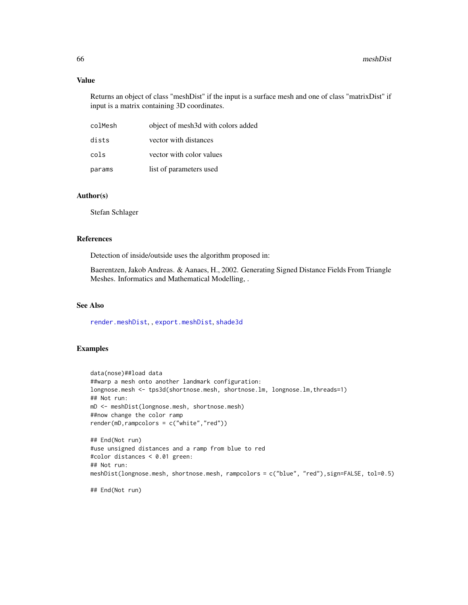## Value

Returns an object of class "meshDist" if the input is a surface mesh and one of class "matrixDist" if input is a matrix containing 3D coordinates.

| colMesh | object of mesh3d with colors added |
|---------|------------------------------------|
| dists   | vector with distances              |
| cols    | vector with color values           |
| params  | list of parameters used            |

#### Author(s)

Stefan Schlager

## References

Detection of inside/outside uses the algorithm proposed in:

Baerentzen, Jakob Andreas. & Aanaes, H., 2002. Generating Signed Distance Fields From Triangle Meshes. Informatics and Mathematical Modelling, .

# See Also

[render.meshDist](#page-115-0), , [export.meshDist](#page-115-0), [shade3d](#page-0-0)

# Examples

```
data(nose)##load data
##warp a mesh onto another landmark configuration:
longnose.mesh <- tps3d(shortnose.mesh, shortnose.lm, longnose.lm, threads=1)
## Not run:
mD <- meshDist(longnose.mesh, shortnose.mesh)
##now change the color ramp
render(mD,rampcolors = c("white","red"))
## End(Not run)
#use unsigned distances and a ramp from blue to red
#color distances < 0.01 green:
## Not run:
meshDist(longnose.mesh, shortnose.mesh, rampcolors = c("blue", "red"),sign=FALSE, tol=0.5)
```
## End(Not run)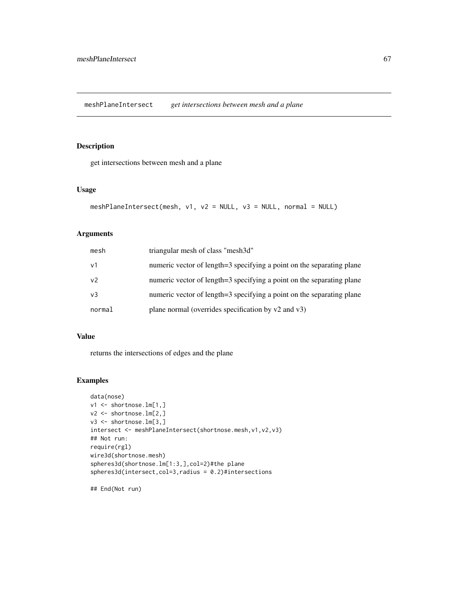meshPlaneIntersect *get intersections between mesh and a plane*

# Description

get intersections between mesh and a plane

## Usage

```
meshPlaneIntersect(mesh, v1, v2 = NULL, v3 = NULL, normal = NULL)
```
# Arguments

| mesh           | triangular mesh of class "mesh3d"                                     |
|----------------|-----------------------------------------------------------------------|
| $\vee$ 1       | numeric vector of length=3 specifying a point on the separating plane |
| v <sub>2</sub> | numeric vector of length=3 specifying a point on the separating plane |
| v3             | numeric vector of length=3 specifying a point on the separating plane |
| normal         | plane normal (overrides specification by $v2$ and $v3$ )              |

## Value

returns the intersections of edges and the plane

# Examples

```
data(nose)
v1 <- shortnose.lm[1,]
v2 \le - shortnose.lm[2,]
v3 <- shortnose.lm[3,]
intersect <- meshPlaneIntersect(shortnose.mesh,v1,v2,v3)
## Not run:
require(rgl)
wire3d(shortnose.mesh)
spheres3d(shortnose.lm[1:3,],col=2)#the plane
spheres3d(intersect,col=3,radius = 0.2)#intersections
```
## End(Not run)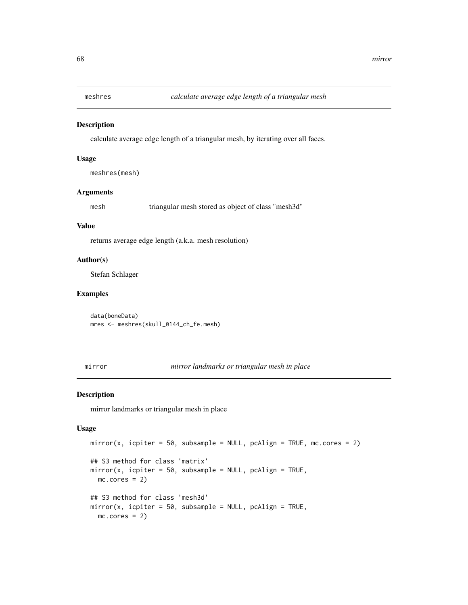calculate average edge length of a triangular mesh, by iterating over all faces.

#### Usage

meshres(mesh)

#### Arguments

mesh triangular mesh stored as object of class "mesh3d"

#### Value

returns average edge length (a.k.a. mesh resolution)

#### Author(s)

Stefan Schlager

#### Examples

data(boneData) mres <- meshres(skull\_0144\_ch\_fe.mesh)

mirror *mirror landmarks or triangular mesh in place*

## Description

mirror landmarks or triangular mesh in place

## Usage

```
mirror(x, icplier = 50, subsample = NULL, pcalign = TRUE, mc.core = 2)## S3 method for class 'matrix'
mirror(x, icputer = 50, subsample = NULL, pcaling = TRUE,mc.cores = 2)## S3 method for class 'mesh3d'
mirror(x, icputer = 50, subsample = NULL, pcaling = TRUE,mc.cores = 2)
```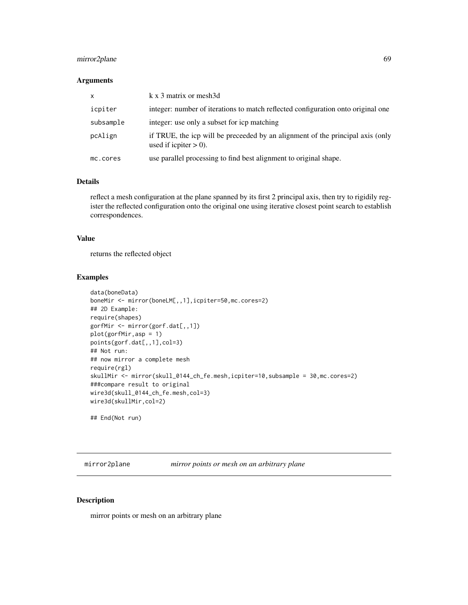# mirror2plane 69

## Arguments

| X         | k x 3 matrix or mesh3d                                                                                     |
|-----------|------------------------------------------------------------------------------------------------------------|
| icpiter   | integer: number of iterations to match reflected configuration onto original one                           |
| subsample | integer: use only a subset for icp matching                                                                |
| pcAlign   | if TRUE, the icp will be preceeded by an alignment of the principal axis (only<br>used if icpiter $> 0$ ). |
| mc.cores  | use parallel processing to find best alignment to original shape.                                          |

## Details

reflect a mesh configuration at the plane spanned by its first 2 principal axis, then try to rigidily register the reflected configuration onto the original one using iterative closest point search to establish correspondences.

## Value

returns the reflected object

## Examples

```
data(boneData)
boneMir <- mirror(boneLM[,,1],icpiter=50,mc.cores=2)
## 2D Example:
require(shapes)
gorfMir <- mirror(gorf.dat[,,1])
plot(gorfMir,asp = 1)
points(gorf.dat[,,1],col=3)
## Not run:
## now mirror a complete mesh
require(rgl)
skullMir <- mirror(skull_0144_ch_fe.mesh,icpiter=10,subsample = 30,mc.cores=2)
###compare result to original
wire3d(skull_0144_ch_fe.mesh,col=3)
wire3d(skullMir,col=2)
```
## End(Not run)

mirror2plane *mirror points or mesh on an arbitrary plane*

# Description

mirror points or mesh on an arbitrary plane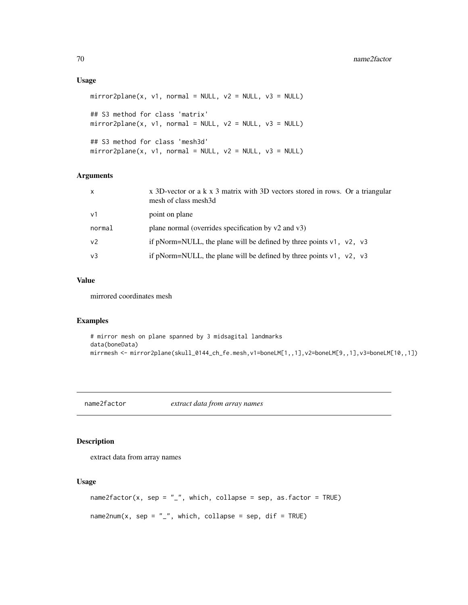## Usage

```
mirror2plane(x, v1, normal = NULL, v2 = NULL, v3 = NULL)## S3 method for class 'matrix'
mirror2plane(x, v1, normal = NULL, v2 = NULL, v3 = NULL)
## S3 method for class 'mesh3d'
mirror2plane(x, v1, normal = NULL, v2 = NULL, v3 = NULL)
```
# Arguments

| $\mathsf{x}$   | x 3D-vector or a k x 3 matrix with 3D vectors stored in rows. Or a triangular<br>mesh of class mesh3d |
|----------------|-------------------------------------------------------------------------------------------------------|
| v <sub>1</sub> | point on plane                                                                                        |
| normal         | plane normal (overrides specification by $v2$ and $v3$ )                                              |
| v <sub>2</sub> | if pNorm=NULL, the plane will be defined by three points $v1$ , $v2$ , $v3$                           |
| v <sub>3</sub> | if pNorm=NULL, the plane will be defined by three points $v1$ , $v2$ , $v3$                           |

## Value

mirrored coordinates mesh

## Examples

```
# mirror mesh on plane spanned by 3 midsagital landmarks
data(boneData)
mirrmesh <- mirror2plane(skull_0144_ch_fe.mesh,v1=boneLM[1,,1],v2=boneLM[9,,1],v3=boneLM[10,,1])
```
name2factor *extract data from array names*

# Description

extract data from array names

#### Usage

```
name2factor(x, sep = "_", which, collapse = sep, as.factor = TRUE)
name2num(x, sep = "_", which, collapse = sep, dif = TRUE)
```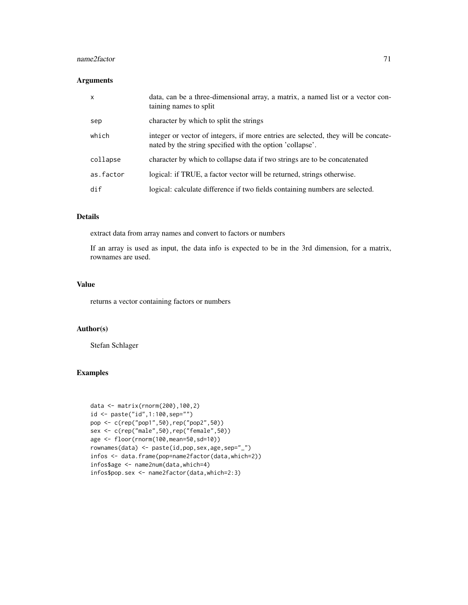#### name2factor 71

## Arguments

| $\boldsymbol{\mathsf{x}}$ | data, can be a three-dimensional array, a matrix, a named list or a vector con-<br>taining names to split                                       |
|---------------------------|-------------------------------------------------------------------------------------------------------------------------------------------------|
| sep                       | character by which to split the strings                                                                                                         |
| which                     | integer or vector of integers, if more entries are selected, they will be concate-<br>nated by the string specified with the option 'collapse'. |
| collapse                  | character by which to collapse data if two strings are to be concatenated                                                                       |
| as.factor                 | logical: if TRUE, a factor vector will be returned, strings otherwise.                                                                          |
| dif                       | logical: calculate difference if two fields containing numbers are selected.                                                                    |

## Details

extract data from array names and convert to factors or numbers

If an array is used as input, the data info is expected to be in the 3rd dimension, for a matrix, rownames are used.

#### Value

returns a vector containing factors or numbers

## Author(s)

Stefan Schlager

#### Examples

```
data <- matrix(rnorm(200),100,2)
id <- paste("id",1:100,sep="")
pop <- c(rep("pop1",50),rep("pop2",50))
sex <- c(rep("male",50),rep("female",50))
age <- floor(rnorm(100,mean=50,sd=10))
rownames(data) <- paste(id,pop,sex,age,sep="_")
infos <- data.frame(pop=name2factor(data,which=2))
infos$age <- name2num(data,which=4)
infos$pop.sex <- name2factor(data,which=2:3)
```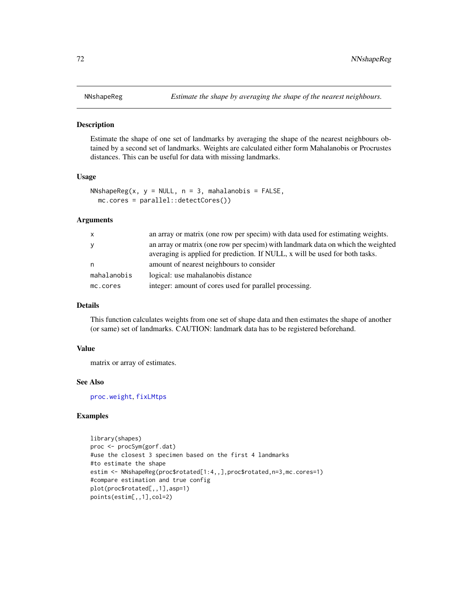Estimate the shape of one set of landmarks by averaging the shape of the nearest neighbours obtained by a second set of landmarks. Weights are calculated either form Mahalanobis or Procrustes distances. This can be useful for data with missing landmarks.

#### Usage

```
NNshapeReg(x, y = NULL, n = 3, mahalanobis = FALSE,mc.cores = parallel::detectCores())
```
#### Arguments

| $\mathsf{X}$ | an array or matrix (one row per specim) with data used for estimating weights.                                                                                   |
|--------------|------------------------------------------------------------------------------------------------------------------------------------------------------------------|
| <b>V</b>     | an array or matrix (one row per specim) with landmark data on which the weighted<br>averaging is applied for prediction. If NULL, x will be used for both tasks. |
| n,           | amount of nearest neighbours to consider                                                                                                                         |
| mahalanobis  | logical: use mahalanobis distance                                                                                                                                |
| mc.cores     | integer: amount of cores used for parallel processing.                                                                                                           |

## Details

This function calculates weights from one set of shape data and then estimates the shape of another (or same) set of landmarks. CAUTION: landmark data has to be registered beforehand.

#### Value

matrix or array of estimates.

#### See Also

[proc.weight](#page-91-0), [fixLMtps](#page-44-0)

# Examples

```
library(shapes)
proc <- procSym(gorf.dat)
#use the closest 3 specimen based on the first 4 landmarks
#to estimate the shape
estim <- NNshapeReg(proc$rotated[1:4,,],proc$rotated,n=3,mc.cores=1)
#compare estimation and true config
plot(proc$rotated[,,1],asp=1)
points(estim[,,1],col=2)
```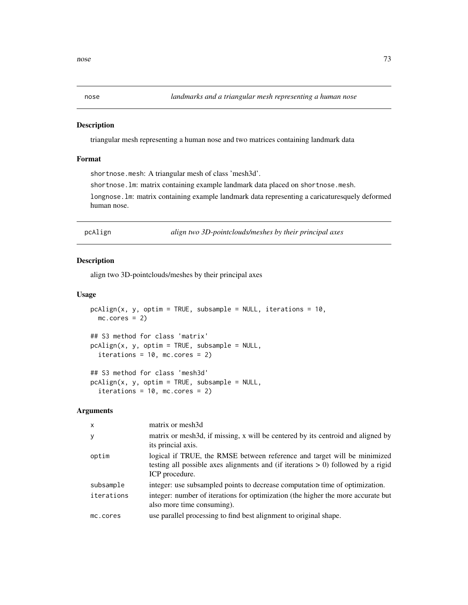### Description

triangular mesh representing a human nose and two matrices containing landmark data

# Format

shortnose.mesh: A triangular mesh of class 'mesh3d'.

shortnose.lm: matrix containing example landmark data placed on shortnose.mesh.

longnose.lm: matrix containing example landmark data representing a caricaturesquely deformed human nose.

pcAlign *align two 3D-pointclouds/meshes by their principal axes*

# Description

align two 3D-pointclouds/meshes by their principal axes

### Usage

```
pchlign(x, y, optim = TRUE, subsample = NULL, iterations = 10,mc.cores = 2)## S3 method for class 'matrix'
pcAlign(x, y, optim = TRUE, subsample = NULL,iterations = 10, mc.cores = 2)
## S3 method for class 'mesh3d'
pcAlign(x, y, optim = TRUE, subsample = NULL,
  iterations = 10, mc.cores = 2)
```

| $\mathsf{x}$ | matrix or mesh3d                                                                                                                                                                  |
|--------------|-----------------------------------------------------------------------------------------------------------------------------------------------------------------------------------|
| y            | matrix or mesh3d, if missing, x will be centered by its centroid and aligned by<br>its princial axis.                                                                             |
| optim        | logical if TRUE, the RMSE between reference and target will be minimized<br>testing all possible axes alignments and (if iterations $> 0$ ) followed by a rigid<br>ICP procedure. |
| subsample    | integer: use subsampled points to decrease computation time of optimization.                                                                                                      |
| iterations   | integer: number of iterations for optimization (the higher the more accurate but<br>also more time consuming).                                                                    |
| mc.cores     | use parallel processing to find best alignment to original shape.                                                                                                                 |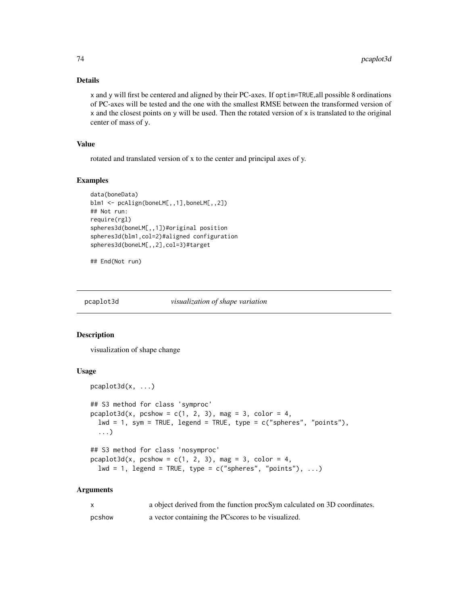#### Details

x and y will first be centered and aligned by their PC-axes. If optim=TRUE,all possible 8 ordinations of PC-axes will be tested and the one with the smallest RMSE between the transformed version of x and the closest points on y will be used. Then the rotated version of x is translated to the original center of mass of y.

### Value

rotated and translated version of x to the center and principal axes of y.

# Examples

```
data(boneData)
blm1 <- pcAlign(boneLM[,,1],boneLM[,,2])
## Not run:
require(rgl)
spheres3d(boneLM[,,1])#original position
spheres3d(blm1,col=2)#aligned configuration
spheres3d(boneLM[,,2],col=3)#target
```
## End(Not run)

pcaplot3d *visualization of shape variation*

#### Description

visualization of shape change

#### Usage

```
pcaplot3d(x, ...)
## S3 method for class 'symproc'
pcaplot3d(x, pcshow = c(1, 2, 3), mag = 3, color = 4,lwd = 1, sym = TRUE, legend = TRUE, type = c("spheres", "points"),
  ...)
## S3 method for class 'nosymproc'
pcaplot3d(x, pcshow = c(1, 2, 3), mag = 3, color = 4,lwd = 1, legend = TRUE, type = c("spheres", "points"), ...)
```

| X      | a object derived from the function procSym calculated on 3D coordinates. |
|--------|--------------------------------------------------------------------------|
| pcshow | a vector containing the PC scores to be visualized.                      |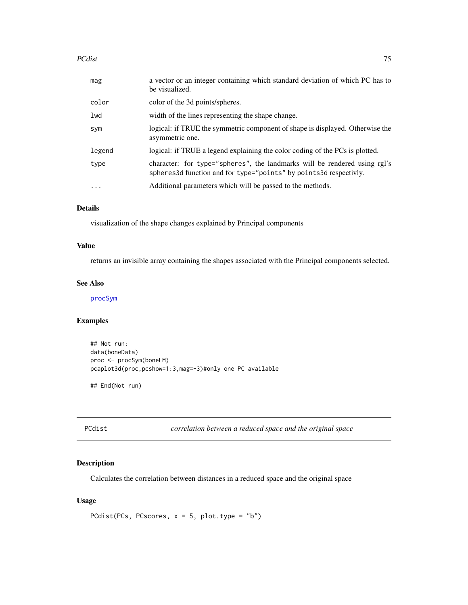#### PCdist 75

| mag        | a vector or an integer containing which standard deviation of which PC has to<br>be visualized.                                                  |
|------------|--------------------------------------------------------------------------------------------------------------------------------------------------|
| color      | color of the 3d points/spheres.                                                                                                                  |
| lwd        | width of the lines representing the shape change.                                                                                                |
| sym        | logical: if TRUE the symmetric component of shape is displayed. Otherwise the<br>asymmetric one.                                                 |
| legend     | logical: if TRUE a legend explaining the color coding of the PCs is plotted.                                                                     |
| type       | character: for type="spheres", the landmarks will be rendered using rgl's<br>spheres 3d function and for type="points" by points 3d respectivly. |
| $\ddots$ . | Additional parameters which will be passed to the methods.                                                                                       |

# Details

visualization of the shape changes explained by Principal components

### Value

returns an invisible array containing the shapes associated with the Principal components selected.

### See Also

[procSym](#page-95-0)

# Examples

```
## Not run:
data(boneData)
proc <- procSym(boneLM)
pcaplot3d(proc,pcshow=1:3,mag=-3)#only one PC available
```
## End(Not run)

PCdist *correlation between a reduced space and the original space*

#### Description

Calculates the correlation between distances in a reduced space and the original space

### Usage

```
PCdist(PCs, PCscores, x = 5, plot.type = "b")
```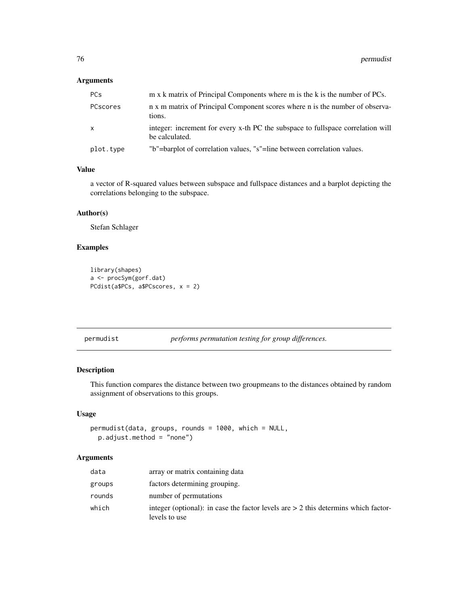# Arguments

| <b>PCs</b>   | m x k matrix of Principal Components where m is the k is the number of PCs.                       |
|--------------|---------------------------------------------------------------------------------------------------|
| PCscores     | n x m matrix of Principal Component scores where n is the number of observa-<br>tions.            |
| $\mathsf{x}$ | integer: increment for every x-th PC the subspace to fullspace correlation will<br>be calculated. |
| plot.type    | "b"=barplot of correlation values, "s"=line between correlation values.                           |

### Value

a vector of R-squared values between subspace and fullspace distances and a barplot depicting the correlations belonging to the subspace.

#### Author(s)

Stefan Schlager

# Examples

```
library(shapes)
a <- procSym(gorf.dat)
PCdist(a$PCs, a$PCscores, x = 2)
```
permudist *performs permutation testing for group differences.*

# Description

This function compares the distance between two groupmeans to the distances obtained by random assignment of observations to this groups.

# Usage

permudist(data, groups, rounds = 1000, which = NULL, p.adjust.method = "none")

| data   | array or matrix containing data                                                                       |
|--------|-------------------------------------------------------------------------------------------------------|
| groups | factors determining grouping.                                                                         |
| rounds | number of permutations                                                                                |
| which  | integer (optional): in case the factor levels are $> 2$ this determins which factor-<br>levels to use |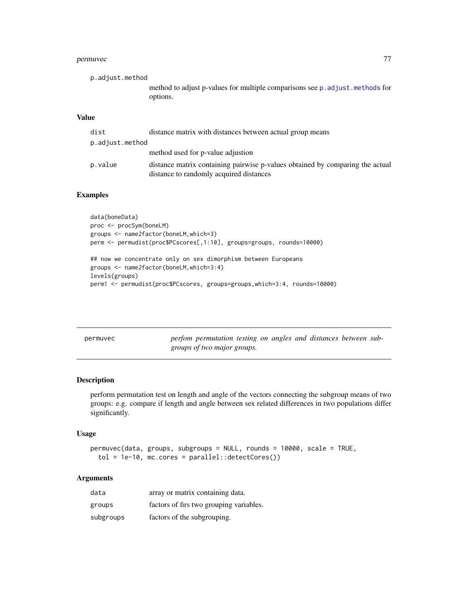#### permuvec<sup>77</sup>

| p.adjust.method |                                                                               |
|-----------------|-------------------------------------------------------------------------------|
|                 | method to adjust p-values for multiple comparisons see p. adjust. methods for |
|                 | options.                                                                      |
| <b>Value</b>    |                                                                               |

| dist            | distance matrix with distances between actual group means                                                                |
|-----------------|--------------------------------------------------------------------------------------------------------------------------|
| p.adjust.method |                                                                                                                          |
|                 | method used for p-value adjustion                                                                                        |
| p.value         | distance matrix containing pairwise p-values obtained by comparing the actual<br>distance to randomly acquired distances |

## Examples

```
data(boneData)
proc <- procSym(boneLM)
groups <- name2factor(boneLM,which=3)
perm <- permudist(proc$PCscores[,1:10], groups=groups, rounds=10000)
## now we concentrate only on sex dimorphism between Europeans
groups <- name2factor(boneLM,which=3:4)
levels(groups)
perm1 <- permudist(proc$PCscores, groups=groups,which=3:4, rounds=10000)
```

| permuvec | perfom permutation testing on angles and distances between sub- |  |  |  |  |
|----------|-----------------------------------------------------------------|--|--|--|--|
|          | groups of two major groups.                                     |  |  |  |  |

## Description

perform permutation test on length and angle of the vectors connecting the subgroup means of two groups: e.g. compare if length and angle between sex related differences in two populations differ significantly.

### Usage

```
permuvec(data, groups, subgroups = NULL, rounds = 10000, scale = TRUE,
  tol = 1e-10, mc.cores = parallel::detectCores())
```

| data      | array or matrix containing data.        |
|-----------|-----------------------------------------|
| groups    | factors of firs two grouping variables. |
| subgroups | factors of the subgrouping.             |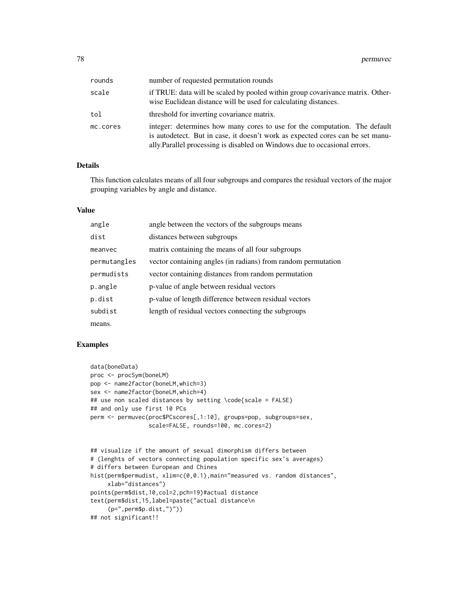| rounds   | number of requested permutation rounds                                                                                                                                                                                                     |
|----------|--------------------------------------------------------------------------------------------------------------------------------------------------------------------------------------------------------------------------------------------|
| scale    | if TRUE: data will be scaled by pooled within group covarivance matrix. Other-<br>wise Euclidean distance will be used for calculating distances.                                                                                          |
| tol      | threshold for inverting covariance matrix.                                                                                                                                                                                                 |
| mc.cores | integer: determines how many cores to use for the computation. The default<br>is autodetect. But in case, it doesn't work as expected cores can be set manu-<br>ally. Parallel processing is disabled on Windows due to occasional errors. |

### Details

This function calculates means of all four subgroups and compares the residual vectors of the major grouping variables by angle and distance.

### Value

| angle        | angle between the vectors of the subgroups means              |
|--------------|---------------------------------------------------------------|
| dist         | distances between subgroups                                   |
| meanvec      | matrix containing the means of all four subgroups             |
| permutangles | vector containing angles (in radians) from random permutation |
| permudists   | vector containing distances from random permutation           |
| p.angle      | p-value of angle between residual vectors                     |
| p.dist       | p-value of length difference between residual vectors         |
| subdist      | length of residual vectors connecting the subgroups           |
| means.       |                                                               |

# Examples

```
data(boneData)
proc <- procSym(boneLM)
pop <- name2factor(boneLM,which=3)
sex <- name2factor(boneLM,which=4)
## use non scaled distances by setting \code{scale = FALSE}
## and only use first 10 PCs
perm <- permuvec(proc$PCscores[,1:10], groups=pop, subgroups=sex,
                 scale=FALSE, rounds=100, mc.cores=2)
## visualize if the amount of sexual dimorphism differs between
# (lenghts of vectors connecting population specific sex's averages)
# differs between European and Chines
hist(perm$permudist, xlim=c(0,0.1),main="measured vs. random distances",
     xlab="distances")
points(perm$dist,10,col=2,pch=19)#actual distance
text(perm$dist,15,label=paste("actual distance\n
     (p=",perm$p.dist,")"))
## not significant!!
```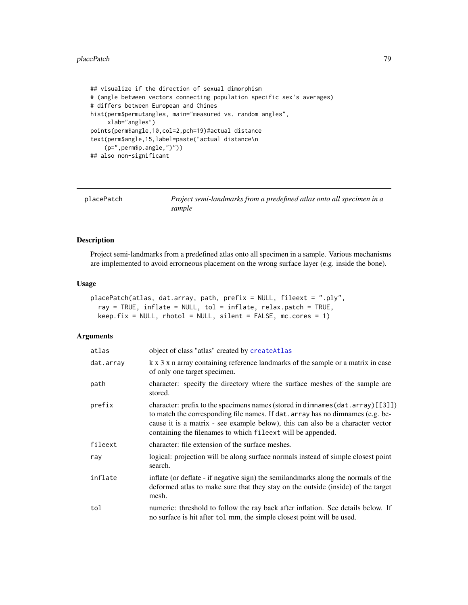#### placePatch 79

```
## visualize if the direction of sexual dimorphism
# (angle between vectors connecting population specific sex's averages)
# differs between European and Chines
hist(perm$permutangles, main="measured vs. random angles",
     xlab="angles")
points(perm$angle,10,col=2,pch=19)#actual distance
text(perm$angle,15,label=paste("actual distance\n
    (p=",perm$p.angle,")"))
## also non-significant
```
<span id="page-78-0"></span>

| placePatch | Project semi-landmarks from a predefined atlas onto all specimen in a<br>sample |
|------------|---------------------------------------------------------------------------------|
|            |                                                                                 |

# Description

Project semi-landmarks from a predefined atlas onto all specimen in a sample. Various mechanisms are implemented to avoid errorneous placement on the wrong surface layer (e.g. inside the bone).

#### Usage

```
placePatch(atlas, dat.array, path, prefix = NULL, fileext = ".ply",
 ray = TRUE, inflate = NULL, tol = inflate, relax.patch = TRUE,
 keep.fix = NULL, photo1 = NULL, silent = FALSE, mc.core = 1)
```

| atlas     | object of class "atlas" created by create Atlas                                                                                                                                                                                                                                                                     |
|-----------|---------------------------------------------------------------------------------------------------------------------------------------------------------------------------------------------------------------------------------------------------------------------------------------------------------------------|
| dat.array | k x 3 x n array containing reference landmarks of the sample or a matrix in case<br>of only one target specimen.                                                                                                                                                                                                    |
| path      | character: specify the directory where the surface meshes of the sample are<br>stored.                                                                                                                                                                                                                              |
| prefix    | character: prefix to the specimens names (stored in dimnames (dat. array) [[3]])<br>to match the corresponding file names. If dat. array has no dimnames (e.g. be-<br>cause it is a matrix - see example below), this can also be a character vector<br>containing the filenames to which fileext will be appended. |
| fileext   | character: file extension of the surface meshes.                                                                                                                                                                                                                                                                    |
| ray       | logical: projection will be along surface normals instead of simple closest point<br>search.                                                                                                                                                                                                                        |
| inflate   | inflate (or deflate - if negative sign) the semilandmarks along the normals of the<br>deformed atlas to make sure that they stay on the outside (inside) of the target<br>mesh.                                                                                                                                     |
| tol       | numeric: threshold to follow the ray back after inflation. See details below. If<br>no surface is hit after tol mm, the simple closest point will be used.                                                                                                                                                          |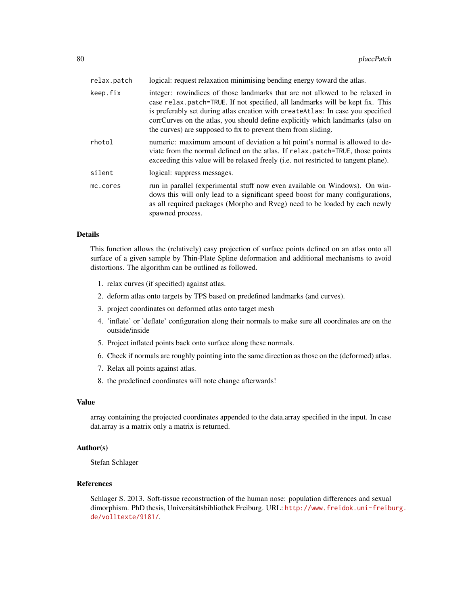| relax.patch | logical: request relaxation minimising bending energy toward the atlas.                                                                                                                                                                                                                                                                                                                             |
|-------------|-----------------------------------------------------------------------------------------------------------------------------------------------------------------------------------------------------------------------------------------------------------------------------------------------------------------------------------------------------------------------------------------------------|
| keep.fix    | integer: rowindices of those landmarks that are not allowed to be relaxed in<br>case relax.patch=TRUE. If not specified, all landmarks will be kept fix. This<br>is preferably set during atlas creation with createAtlas: In case you specified<br>corrCurves on the atlas, you should define explicitly which landmarks (also on<br>the curves) are supposed to fix to prevent them from sliding. |
| rhotol      | numeric: maximum amount of deviation a hit point's normal is allowed to de-<br>viate from the normal defined on the atlas. If relax patch=TRUE, those points<br>exceeding this value will be relaxed freely (i.e. not restricted to tangent plane).                                                                                                                                                 |
| silent      | logical: suppress messages.                                                                                                                                                                                                                                                                                                                                                                         |
| mc.cores    | run in parallel (experimental stuff now even available on Windows). On win-<br>dows this will only lead to a significant speed boost for many configurations,<br>as all required packages (Morpho and Rycg) need to be loaded by each newly<br>spawned process.                                                                                                                                     |

### Details

This function allows the (relatively) easy projection of surface points defined on an atlas onto all surface of a given sample by Thin-Plate Spline deformation and additional mechanisms to avoid distortions. The algorithm can be outlined as followed.

- 1. relax curves (if specified) against atlas.
- 2. deform atlas onto targets by TPS based on predefined landmarks (and curves).
- 3. project coordinates on deformed atlas onto target mesh
- 4. 'inflate' or 'deflate' configuration along their normals to make sure all coordinates are on the outside/inside
- 5. Project inflated points back onto surface along these normals.
- 6. Check if normals are roughly pointing into the same direction as those on the (deformed) atlas.
- 7. Relax all points against atlas.
- 8. the predefined coordinates will note change afterwards!

### Value

array containing the projected coordinates appended to the data.array specified in the input. In case dat.array is a matrix only a matrix is returned.

### Author(s)

Stefan Schlager

#### References

Schlager S. 2013. Soft-tissue reconstruction of the human nose: population differences and sexual dimorphism. PhD thesis, Universitätsbibliothek Freiburg. URL: [http://www.freidok.uni-freibu](http://www.freidok.uni-freiburg.de/volltexte/9181/)rg. [de/volltexte/9181/](http://www.freidok.uni-freiburg.de/volltexte/9181/).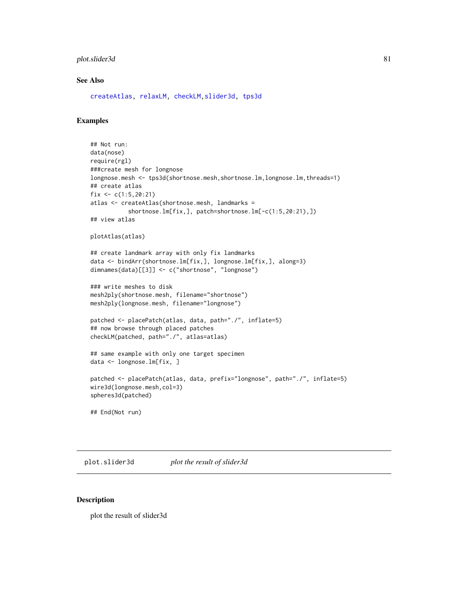### plot.slider3d 81

#### See Also

[createAtlas,](#page-24-0) [relaxLM,](#page-110-0) [checkLM,](#page-15-0)[slider3d,](#page-126-0) [tps3d](#page-133-0)

#### Examples

```
## Not run:
data(nose)
require(rgl)
###create mesh for longnose
longnose.mesh <- tps3d(shortnose.mesh,shortnose.lm,longnose.lm,threads=1)
## create atlas
fix \leftarrow c(1:5, 20:21)atlas <- createAtlas(shortnose.mesh, landmarks =
           shortnose.lm[fix,], patch=shortnose.lm[-c(1:5,20:21),])
## view atlas
plotAtlas(atlas)
## create landmark array with only fix landmarks
data <- bindArr(shortnose.lm[fix,], longnose.lm[fix,], along=3)
dimnames(data)[[3]] <- c("shortnose", "longnose")
### write meshes to disk
mesh2ply(shortnose.mesh, filename="shortnose")
mesh2ply(longnose.mesh, filename="longnose")
patched <- placePatch(atlas, data, path="./", inflate=5)
## now browse through placed patches
checkLM(patched, path="./", atlas=atlas)
## same example with only one target specimen
data <- longnose.lm[fix, ]
patched <- placePatch(atlas, data, prefix="longnose", path="./", inflate=5)
wire3d(longnose.mesh,col=3)
spheres3d(patched)
## End(Not run)
```
plot.slider3d *plot the result of slider3d*

#### Description

plot the result of slider3d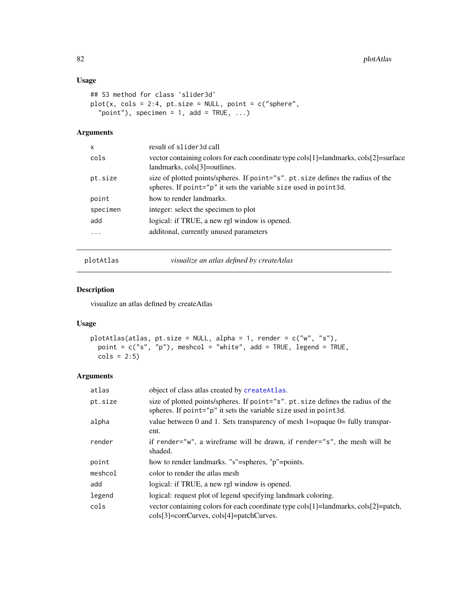### Usage

```
## S3 method for class 'slider3d'
plot(x, cols = 2:4, pt.size = NULL, point = c("sphere","point"), specimen = 1, add = TRUE, ...)
```
### Arguments

| $\mathsf{x}$ | result of slider3d call                                                                                                                               |
|--------------|-------------------------------------------------------------------------------------------------------------------------------------------------------|
| cols         | vector containing colors for each coordinate type cols[1]=landmarks, cols[2]=surface<br>landmarks, cols[3]=outlines.                                  |
| pt.size      | size of plotted points/spheres. If point="s". pt. size defines the radius of the<br>spheres. If point="p" it sets the variable size used in point 3d. |
| point        | how to render landmarks.                                                                                                                              |
| specimen     | integer: select the specimen to plot                                                                                                                  |
| add          | logical: if TRUE, a new rgl window is opened.                                                                                                         |
| $\cdots$     | additional, currently unused parameters                                                                                                               |
|              |                                                                                                                                                       |

plotAtlas *visualize an atlas defined by createAtlas*

# Description

visualize an atlas defined by createAtlas

### Usage

```
plotAtlas(atlas, pt.size = NULL, alpha = 1, render = c("w", "s"),
 point = c("s", "p"), meshcol = "white", add = TRUE, legend = TRUE,
 \text{cols} = 2:5
```

| atlas   | object of class atlas created by create Atlas.                                                                                                       |
|---------|------------------------------------------------------------------------------------------------------------------------------------------------------|
| pt.size | size of plotted points/spheres. If point="s", pt. size defines the radius of the<br>spheres. If point="p" it sets the variable size used in point3d. |
| alpha   | value between 0 and 1. Sets transparency of mesh 1=opaque 0= fully transpar-<br>ent.                                                                 |
| render  | if render="w", a wireframe will be drawn, if render="s", the mesh will be<br>shaded.                                                                 |
| point   | how to render landmarks. "s"=spheres, "p"=points.                                                                                                    |
| meshcol | color to render the atlas mesh                                                                                                                       |
| add     | logical: if TRUE, a new rgl window is opened.                                                                                                        |
| legend  | logical: request plot of legend specifying landmark coloring.                                                                                        |
| cols    | vector containing colors for each coordinate type cols [1]=landmarks, cols [2]=patch,<br>cols[3]=corrCurves, cols[4]=patchCurves.                    |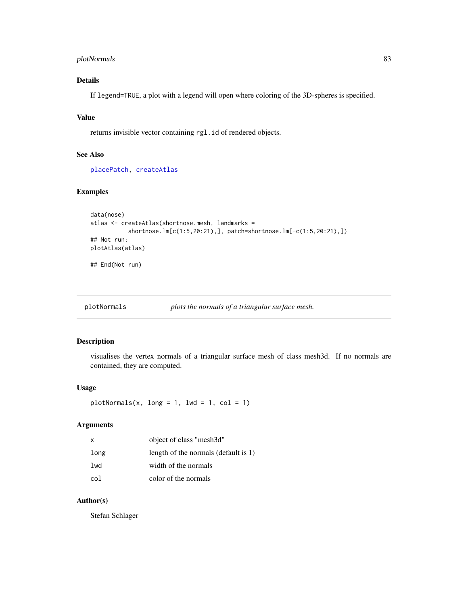# plotNormals 83

# Details

If legend=TRUE, a plot with a legend will open where coloring of the 3D-spheres is specified.

### Value

returns invisible vector containing rgl.id of rendered objects.

#### See Also

[placePatch,](#page-78-0) [createAtlas](#page-24-0)

### Examples

```
data(nose)
atlas <- createAtlas(shortnose.mesh, landmarks =
           shortnose.lm[c(1:5,20:21),], patch=shortnose.lm[-c(1:5,20:21),])
## Not run:
plotAtlas(atlas)
## End(Not run)
```
plotNormals *plots the normals of a triangular surface mesh.*

## Description

visualises the vertex normals of a triangular surface mesh of class mesh3d. If no normals are contained, they are computed.

### Usage

```
plotNormals(x, long = 1, lwd = 1, col = 1)
```
### Arguments

| x    | object of class "mesh3d"             |
|------|--------------------------------------|
| long | length of the normals (default is 1) |
| lwd  | width of the normals                 |
| col  | color of the normals                 |

# Author(s)

Stefan Schlager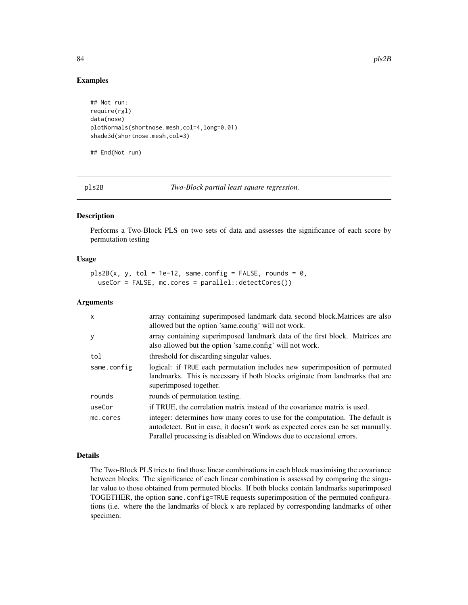### Examples

```
## Not run:
require(rgl)
data(nose)
plotNormals(shortnose.mesh,col=4,long=0.01)
shade3d(shortnose.mesh,col=3)
```
## End(Not run)

<span id="page-83-0"></span>pls2B *Two-Block partial least square regression.*

#### Description

Performs a Two-Block PLS on two sets of data and assesses the significance of each score by permutation testing

#### Usage

```
pls2B(x, y, tol = 1e-12, same.config = FALSE, rounds = 0,useCor = FALSE, mc.cores = parallel::detectCores())
```
#### Arguments

| $\mathsf{x}$ | array containing superimposed landmark data second block. Matrices are also<br>allowed but the option 'same.config' will not work.                                                                                                       |
|--------------|------------------------------------------------------------------------------------------------------------------------------------------------------------------------------------------------------------------------------------------|
| y            | array containing superimposed landmark data of the first block. Matrices are<br>also allowed but the option 'same.config' will not work.                                                                                                 |
| tol          | threshold for discarding singular values.                                                                                                                                                                                                |
| same.config  | logical: if TRUE each permutation includes new superimposition of permuted<br>landmarks. This is necessary if both blocks originate from landmarks that are<br>superimposed together.                                                    |
| rounds       | rounds of permutation testing.                                                                                                                                                                                                           |
| useCor       | if TRUE, the correlation matrix instead of the covariance matrix is used.                                                                                                                                                                |
| mc.cores     | integer: determines how many cores to use for the computation. The default is<br>autodetect. But in case, it doesn't work as expected cores can be set manually.<br>Parallel processing is disabled on Windows due to occasional errors. |

#### Details

The Two-Block PLS tries to find those linear combinations in each block maximising the covariance between blocks. The significance of each linear combination is assessed by comparing the singular value to those obtained from permuted blocks. If both blocks contain landmarks superimposed TOGETHER, the option same.config=TRUE requests superimposition of the permuted configurations (i.e. where the the landmarks of block x are replaced by corresponding landmarks of other specimen.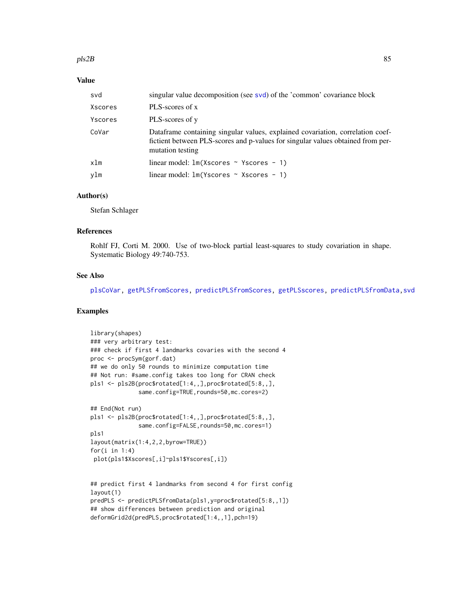#### pls2B 85

### Value

| svd     | singular value decomposition (see svd) of the 'common' covariance block                                                                                                               |
|---------|---------------------------------------------------------------------------------------------------------------------------------------------------------------------------------------|
| Xscores | PLS-scores of x                                                                                                                                                                       |
| Yscores | PLS-scores of y                                                                                                                                                                       |
| CoVar   | Dataframe containing singular values, explained covariation, correlation coef-<br>fictient between PLS-scores and p-values for singular values obtained from per-<br>mutation testing |
| xlm     | linear model: $lm(Xscores \sim Yscores - 1)$                                                                                                                                          |
| vlm     | linear model: $lm(Y \, scores \sim X \, scores - 1)$                                                                                                                                  |

#### Author(s)

Stefan Schlager

# References

Rohlf FJ, Corti M. 2000. Use of two-block partial least-squares to study covariation in shape. Systematic Biology 49:740-753.

#### See Also

[plsCoVar,](#page-85-0) [getPLSfromScores,](#page-48-0) [predictPLSfromScores,](#page-89-0) [getPLSscores,](#page-49-0) [predictPLSfromData,](#page-88-0)[svd](#page-0-0)

### Examples

```
library(shapes)
### very arbitrary test:
### check if first 4 landmarks covaries with the second 4
proc <- procSym(gorf.dat)
## we do only 50 rounds to minimize computation time
## Not run: #same.config takes too long for CRAN check
pls1 <- pls2B(proc$rotated[1:4,,],proc$rotated[5:8,,],
              same.config=TRUE,rounds=50,mc.cores=2)
## End(Not run)
pls1 <- pls2B(proc$rotated[1:4,,],proc$rotated[5:8,,],
              same.config=FALSE,rounds=50,mc.cores=1)
pls1
layout(matrix(1:4,2,2,byrow=TRUE))
for(i in 1:4)
 plot(pls1$Xscores[,i]~pls1$Yscores[,i])
## predict first 4 landmarks from second 4 for first config
layout(1)
predPLS <- predictPLSfromData(pls1,y=proc$rotated[5:8,,1])
## show differences between prediction and original
```

```
deformGrid2d(predPLS,proc$rotated[1:4,,1],pch=19)
```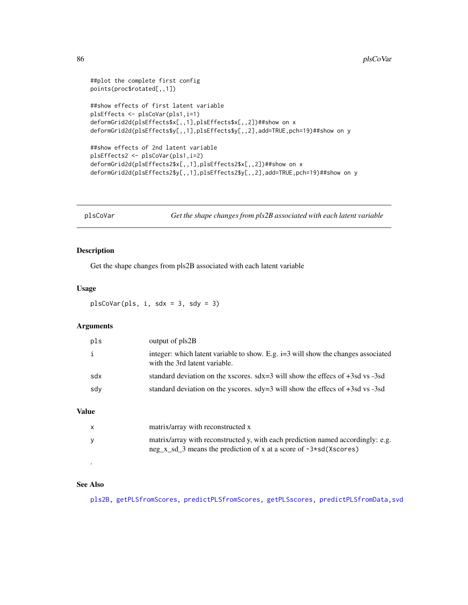```
##plot the complete first config
points(proc$rotated[,,1])
##show effects of first latent variable
plsEffects <- plsCoVar(pls1,i=1)
deformGrid2d(plsEffects$x[,,1],plsEffects$x[,,2])##show on x
deformGrid2d(plsEffects$y[,,1],plsEffects$y[,,2],add=TRUE,pch=19)##show on y
##show effects of 2nd latent variable
plsEffects2 <- plsCoVar(pls1,i=2)
deformGrid2d(plsEffects2$x[,,1],plsEffects2$x[,,2])##show on x
deformGrid2d(plsEffects2$y[,,1],plsEffects2$y[,,2],add=TRUE,pch=19)##show on y
```
<span id="page-85-0"></span>plsCoVar *Get the shape changes from pls2B associated with each latent variable*

# Description

Get the shape changes from pls2B associated with each latent variable

#### Usage

plsCoVar(pls, i, sdx = 3, sdy = 3)

### Arguments

| pls | output of pls2B                                                                                                    |
|-----|--------------------------------------------------------------------------------------------------------------------|
| i   | integer: which latent variable to show. E.g. i=3 will show the changes associated<br>with the 3rd latent variable. |
| sdx | standard deviation on the xscores. $sdx=3$ will show the effecs of $+3sd$ vs -3sd                                  |
| sdy | standard deviation on the yscores. $\text{sdy}=3$ will show the effecs of +3sd vs -3sd                             |
|     |                                                                                                                    |

### Value

| x | matrix/array with reconstructed x                                                                                                                      |
|---|--------------------------------------------------------------------------------------------------------------------------------------------------------|
| v | matrix/array with reconstructed y, with each prediction named accordingly: e.g.<br>neg x sd 3 means the prediction of x at a score of $-3*sd(Xscores)$ |

### See Also

.

[pls2B,](#page-83-0) [getPLSfromScores,](#page-48-0) [predictPLSfromScores,](#page-89-0) [getPLSscores,](#page-49-0) [predictPLSfromData,](#page-88-0)[svd](#page-0-0)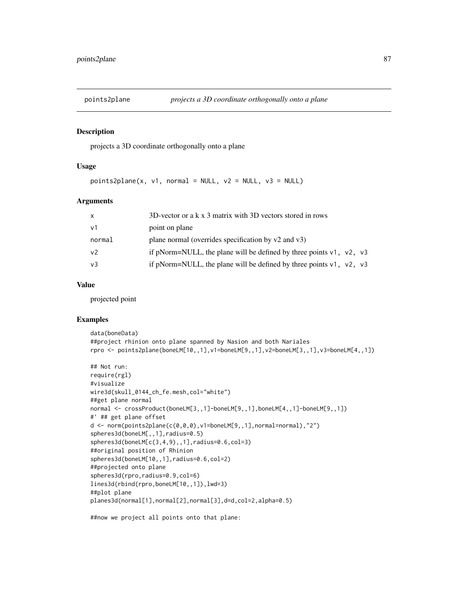#### Description

projects a 3D coordinate orthogonally onto a plane

### Usage

```
points2plane(x, v1, normal = NULL, v2 = NULL, v3 = NULL)
```
# Arguments

| X              | 3D-vector or a k x 3 matrix with 3D vectors stored in rows                  |
|----------------|-----------------------------------------------------------------------------|
| v <sub>1</sub> | point on plane                                                              |
| normal         | plane normal (overrides specification by v2 and v3)                         |
| v <sub>2</sub> | if pNorm=NULL, the plane will be defined by three points $v1$ , $v2$ , $v3$ |
| v <sub>3</sub> | if pNorm=NULL, the plane will be defined by three points $v1$ , $v2$ , $v3$ |

#### Value

projected point

# Examples

```
data(boneData)
##project rhinion onto plane spanned by Nasion and both Nariales
rpro <- points2plane(boneLM[10,,1],v1=boneLM[9,,1],v2=boneLM[3,,1],v3=boneLM[4,,1])
```

```
## Not run:
require(rgl)
#visualize
wire3d(skull_0144_ch_fe.mesh,col="white")
##get plane normal
normal <- crossProduct(boneLM[3,,1]-boneLM[9,,1],boneLM[4,,1]-boneLM[9,,1])
#' ## get plane offset
d \leq norm(points2plane(c(0,0,0), v1=boneLM[9,,1], normal=normal),"2")
spheres3d(boneLM[,,1],radius=0.5)
spheres3d(boneLM[c(3,4,9),,1],radius=0.6,col=3)
##original position of Rhinion
spheres3d(boneLM[10,,1],radius=0.6,col=2)
##projected onto plane
spheres3d(rpro, radius=0.9, col=6)
lines3d(rbind(rpro,boneLM[10,,1]),lwd=3)
##plot plane
planes3d(normal[1],normal[2],normal[3],d=d,col=2,alpha=0.5)
```
##now we project all points onto that plane: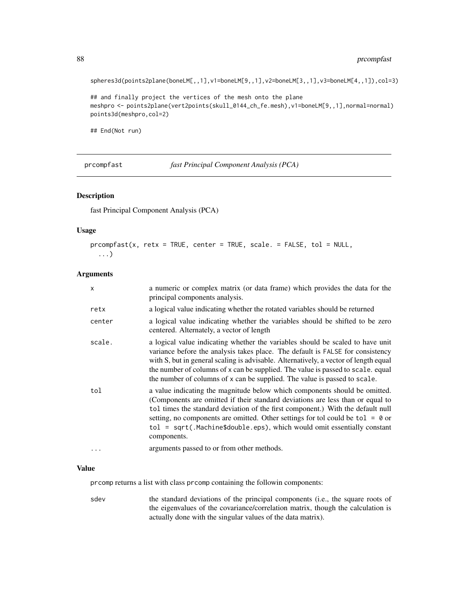spheres3d(points2plane(boneLM[,,1],v1=boneLM[9,,1],v2=boneLM[3,,1],v3=boneLM[4,,1]),col=3)

```
## and finally project the vertices of the mesh onto the plane
meshpro <- points2plane(vert2points(skull_0144_ch_fe.mesh),v1=boneLM[9,,1],normal=normal)
points3d(meshpro,col=2)
```
## End(Not run)

prcompfast *fast Principal Component Analysis (PCA)*

#### Description

fast Principal Component Analysis (PCA)

#### Usage

```
proompfast(x, retx = TRUE, center = TRUE, scale. = FALSE, tol = NULL,...)
```
### Arguments

| X      | a numeric or complex matrix (or data frame) which provides the data for the<br>principal components analysis.                                                                                                                                                                                                                                                                                                                 |
|--------|-------------------------------------------------------------------------------------------------------------------------------------------------------------------------------------------------------------------------------------------------------------------------------------------------------------------------------------------------------------------------------------------------------------------------------|
| retx   | a logical value indicating whether the rotated variables should be returned                                                                                                                                                                                                                                                                                                                                                   |
| center | a logical value indicating whether the variables should be shifted to be zero<br>centered. Alternately, a vector of length                                                                                                                                                                                                                                                                                                    |
| scale. | a logical value indicating whether the variables should be scaled to have unit<br>variance before the analysis takes place. The default is FALSE for consistency<br>with S, but in general scaling is advisable. Alternatively, a vector of length equal<br>the number of columns of x can be supplied. The value is passed to scale. equal<br>the number of columns of x can be supplied. The value is passed to scale.      |
| tol    | a value indicating the magnitude below which components should be omitted.<br>(Components are omitted if their standard deviations are less than or equal to<br>tol times the standard deviation of the first component.) With the default null<br>setting, no components are omitted. Other settings for tol could be $tol = 0$ or<br>tol = sqrt(.Machine\$double.eps), which would omit essentially constant<br>components. |
| .      | arguments passed to or from other methods.                                                                                                                                                                                                                                                                                                                                                                                    |

### Value

prcomp returns a list with class prcomp containing the followin components:

sdev the standard deviations of the principal components (i.e., the square roots of the eigenvalues of the covariance/correlation matrix, though the calculation is actually done with the singular values of the data matrix).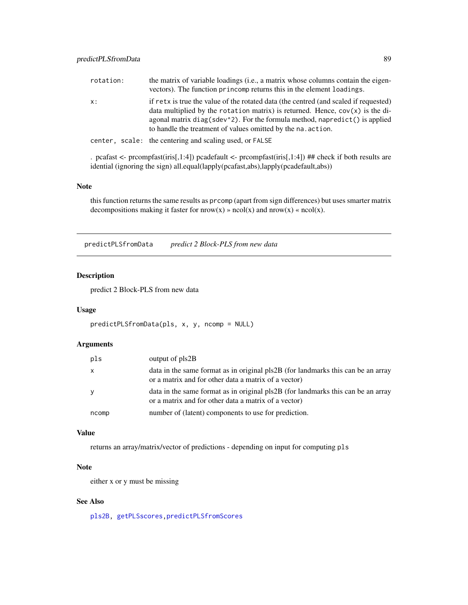| rotation: | the matrix of variable loadings (i.e., a matrix whose columns contain the eigen-<br>vectors). The function princomp returns this in the element loadings.                                                                                                                                                                |
|-----------|--------------------------------------------------------------------------------------------------------------------------------------------------------------------------------------------------------------------------------------------------------------------------------------------------------------------------|
| X:        | if retx is true the value of the rotated data (the centred (and scaled if requested)<br>data multiplied by the rotation matrix) is returned. Hence, $cov(x)$ is the di-<br>agonal matrix $diag(sdev^2)$ . For the formula method, napredict() is applied<br>to handle the treatment of values omitted by the na. action. |
|           | center, scale: the centering and scaling used, or FALSE                                                                                                                                                                                                                                                                  |

. pcafast <- prcompfast(iris[,1:4]) pcadefault <- prcompfast(iris[,1:4]) ## check if both results are idential (ignoring the sign) all.equal(lapply(pcafast,abs),lapply(pcadefault,abs))

### Note

this function returns the same results as prcomp (apart from sign differences) but uses smarter matrix decompositions making it faster for  $now(x) \rightarrow ncol(x)$  and  $now(x) \ll ncol(x)$ .

<span id="page-88-0"></span>predictPLSfromData *predict 2 Block-PLS from new data*

## Description

predict 2 Block-PLS from new data

#### Usage

```
predictPLSfromData(pls, x, y, ncomp = NULL)
```
### Arguments

| pls          | output of pls2B                                                                                                                          |
|--------------|------------------------------------------------------------------------------------------------------------------------------------------|
| $\mathsf{x}$ | data in the same format as in original pls2B (for landmarks this can be an array<br>or a matrix and for other data a matrix of a vector) |
| y            | data in the same format as in original pls2B (for landmarks this can be an array<br>or a matrix and for other data a matrix of a vector) |
| ncomp        | number of (latent) components to use for prediction.                                                                                     |

### Value

returns an array/matrix/vector of predictions - depending on input for computing pls

# Note

either x or y must be missing

### See Also

[pls2B,](#page-83-0) [getPLSscores,](#page-49-0)[predictPLSfromScores](#page-89-0)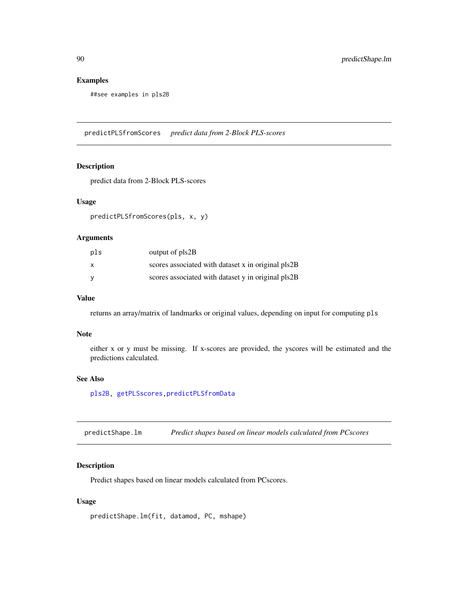# Examples

##see examples in pls2B

<span id="page-89-0"></span>predictPLSfromScores *predict data from 2-Block PLS-scores*

### Description

predict data from 2-Block PLS-scores

### Usage

predictPLSfromScores(pls, x, y)

#### Arguments

| pls | output of pls2B                                    |
|-----|----------------------------------------------------|
| x   | scores associated with dataset x in original pls2B |
| v   | scores associated with dataset y in original pls2B |

# Value

returns an array/matrix of landmarks or original values, depending on input for computing pls

#### Note

either x or y must be missing. If x-scores are provided, the yscores will be estimated and the predictions calculated.

### See Also

[pls2B,](#page-83-0) [getPLSscores,](#page-49-0)[predictPLSfromData](#page-88-0)

predictShape.lm *Predict shapes based on linear models calculated from PCscores*

### Description

Predict shapes based on linear models calculated from PCscores.

### Usage

```
predictShape.lm(fit, datamod, PC, mshape)
```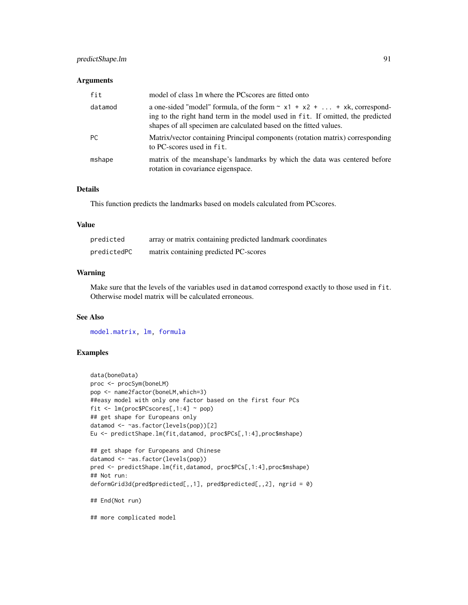# predictShape.lm 91

### Arguments

| fit     | model of class 1m where the PCscores are fitted onto                                                                                                                                                                                 |
|---------|--------------------------------------------------------------------------------------------------------------------------------------------------------------------------------------------------------------------------------------|
| datamod | a one-sided "model" formula, of the form $\sim x1 + x2 +  + xk$ , correspond-<br>ing to the right hand term in the model used in fit. If omitted, the predicted<br>shapes of all specimen are calculated based on the fitted values. |
| PC.     | Matrix/vector containing Principal components (rotation matrix) corresponding<br>to PC-scores used in fit.                                                                                                                           |
| mshape  | matrix of the meanshape's landmarks by which the data was centered before<br>rotation in covariance eigenspace.                                                                                                                      |

### Details

This function predicts the landmarks based on models calculated from PCscores.

#### Value

| predicted   | array or matrix containing predicted landmark coordinates |
|-------------|-----------------------------------------------------------|
| predictedPC | matrix containing predicted PC-scores                     |

# Warning

Make sure that the levels of the variables used in datamod correspond exactly to those used in fit. Otherwise model matrix will be calculated erroneous.

### See Also

[model.matrix,](#page-0-0) [lm,](#page-0-0) [formula](#page-0-0)

# Examples

```
data(boneData)
proc <- procSym(boneLM)
pop <- name2factor(boneLM,which=3)
##easy model with only one factor based on the first four PCs
fit <- lm(proc$PCscores[,1:4] ~ pop)
## get shape for Europeans only
datamod <- ~as.factor(levels(pop))[2]
Eu <- predictShape.lm(fit,datamod, proc$PCs[,1:4],proc$mshape)
## get shape for Europeans and Chinese
datamod <- ~as.factor(levels(pop))
pred <- predictShape.lm(fit,datamod, proc$PCs[,1:4],proc$mshape)
## Not run:
deformGrid3d(pred$predicted[,,1], pred$predicted[,,2], ngrid = 0)
## End(Not run)
## more complicated model
```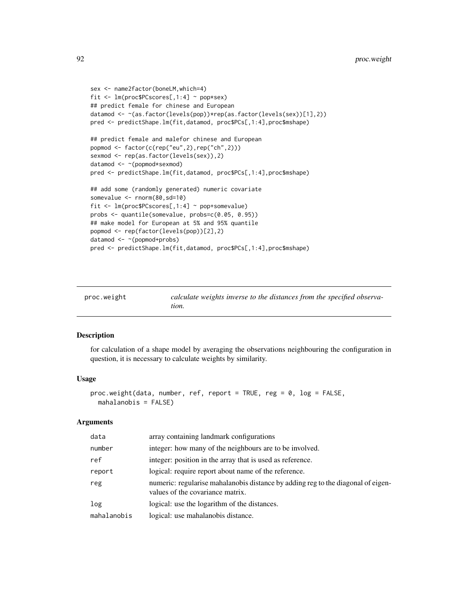```
sex <- name2factor(boneLM,which=4)
fit <- lm(proc$PCscores[,1:4] ~ pop*sex)
## predict female for chinese and European
datamod <- ~(as.factor(levels(pop))*rep(as.factor(levels(sex))[1],2))
pred <- predictShape.lm(fit,datamod, proc$PCs[,1:4],proc$mshape)
## predict female and malefor chinese and European
popmod <- factor(c(rep("eu",2),rep("ch",2)))
sexmod <- rep(as.factor(levels(sex)),2)
datamod <- ~(popmod*sexmod)
pred <- predictShape.lm(fit,datamod, proc$PCs[,1:4],proc$mshape)
## add some (randomly generated) numeric covariate
somevalue <- rnorm(80,sd=10)
fit <- lm(proc$PCscores[,1:4] ~ pop+somevalue)
probs <- quantile(somevalue, probs=c(0.05, 0.95))
## make model for European at 5% and 95% quantile
popmod <- rep(factor(levels(pop))[2],2)
datamod <- ~(popmod+probs)
pred <- predictShape.lm(fit,datamod, proc$PCs[,1:4],proc$mshape)
```

| proc.weight | calculate weights inverse to the distances from the specified observa- |
|-------------|------------------------------------------------------------------------|
|             | tion.                                                                  |

# Description

for calculation of a shape model by averaging the observations neighbouring the configuration in question, it is necessary to calculate weights by similarity.

### Usage

```
proc.weight(data, number, ref, report = TRUE, reg = 0, log = FALSE,
 mahalanobis = FALSE)
```

| data        | array containing landmark configurations                                                                             |
|-------------|----------------------------------------------------------------------------------------------------------------------|
| number      | integer: how many of the neighbours are to be involved.                                                              |
| ref         | integer: position in the array that is used as reference.                                                            |
| report      | logical: require report about name of the reference.                                                                 |
| reg         | numeric: regularise mahalanobis distance by adding reg to the diagonal of eigen-<br>values of the covariance matrix. |
| log         | logical: use the logarithm of the distances.                                                                         |
| mahalanobis | logical: use mahalanobis distance.                                                                                   |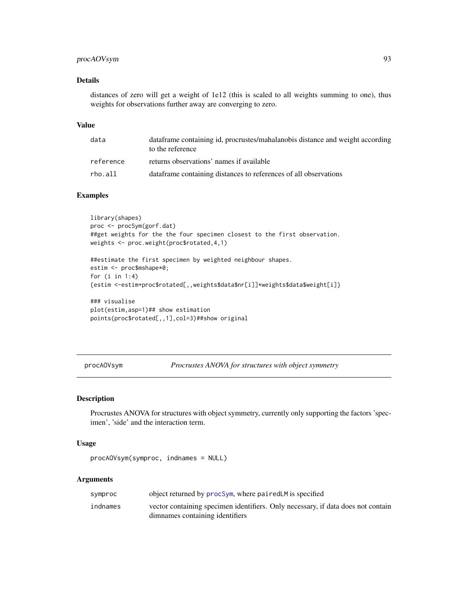# procAOVsym 93

# Details

distances of zero will get a weight of 1e12 (this is scaled to all weights summing to one), thus weights for observations further away are converging to zero.

#### Value

| data      | data frame containing id, procrustes/mahalanobis distance and weight according<br>to the reference |
|-----------|----------------------------------------------------------------------------------------------------|
| reference | returns observations' names if available                                                           |
| rho.all   | data frame containing distances to references of all observations                                  |

#### Examples

```
library(shapes)
proc <- procSym(gorf.dat)
##get weights for the the four specimen closest to the first observation.
weights <- proc.weight(proc$rotated,4,1)
```

```
##estimate the first specimen by weighted neighbour shapes.
estim <- proc$mshape*0;
for (i in 1:4)
{estim <-estim+proc$rotated[,,weights$data$nr[i]]*weights$data$weight[i]}
```

```
### visualise
plot(estim,asp=1)## show estimation
points(proc$rotated[,,1],col=3)##show original
```
procAOVsym *Procrustes ANOVA for structures with object symmetry*

#### Description

Procrustes ANOVA for structures with object symmetry, currently only supporting the factors 'specimen', 'side' and the interaction term.

#### Usage

```
procAOVsym(symproc, indnames = NULL)
```

| symproc  | object returned by procSym, where paired LM is specified                                                            |
|----------|---------------------------------------------------------------------------------------------------------------------|
| indnames | vector containing specimen identifiers. Only necessary, if data does not contain<br>dimnames containing identifiers |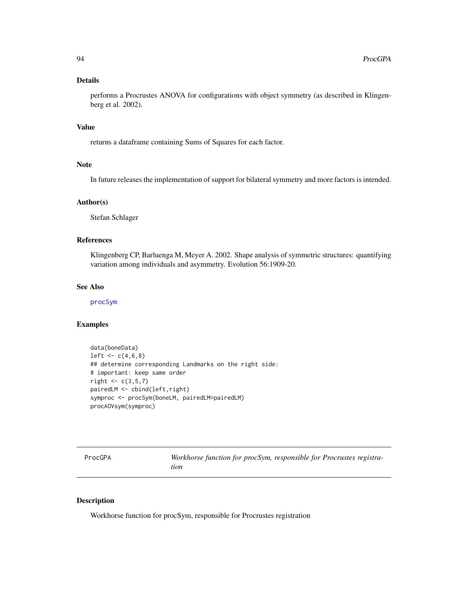### Details

performs a Procrustes ANOVA for configurations with object symmetry (as described in Klingenberg et al. 2002).

#### Value

returns a dataframe containing Sums of Squares for each factor.

### Note

In future releases the implementation of support for bilateral symmetry and more factors is intended.

### Author(s)

Stefan Schlager

# References

Klingenberg CP, Barluenga M, Meyer A. 2002. Shape analysis of symmetric structures: quantifying variation among individuals and asymmetry. Evolution 56:1909-20.

### See Also

[procSym](#page-95-0)

#### Examples

```
data(boneData)
left < -c(4, 6, 8)## determine corresponding Landmarks on the right side:
# important: keep same order
right < -c(3,5,7)pairedLM <- cbind(left,right)
symproc <- procSym(boneLM, pairedLM=pairedLM)
procAOVsym(symproc)
```
ProcGPA *Workhorse function for procSym, responsible for Procrustes registration*

### Description

Workhorse function for procSym, responsible for Procrustes registration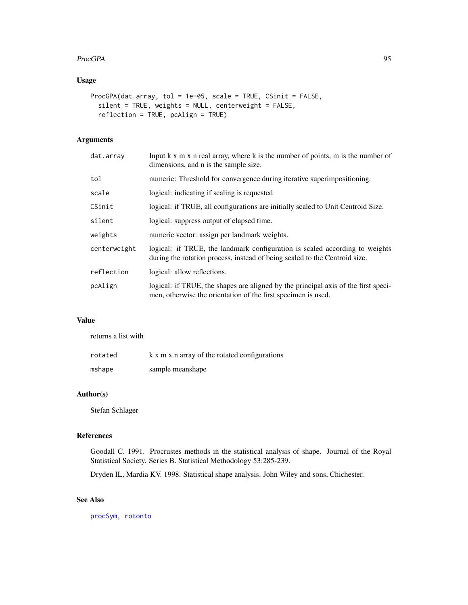#### ProcGPA 95

# Usage

```
ProcGPA(dat.array, tol = 1e-05, scale = TRUE, CSinit = FALSE,
  silent = TRUE, weights = NULL, centerweight = FALSE,
  reflection = TRUE, pcAlign = TRUE)
```
# Arguments

| dat.array    | Input k x m x n real array, where k is the number of points, m is the number of<br>dimensions, and n is the sample size.                                  |
|--------------|-----------------------------------------------------------------------------------------------------------------------------------------------------------|
| tol          | numeric: Threshold for convergence during iterative superimpositioning.                                                                                   |
| scale        | logical: indicating if scaling is requested                                                                                                               |
| CSinit       | logical: if TRUE, all configurations are initially scaled to Unit Centroid Size.                                                                          |
| silent       | logical: suppress output of elapsed time.                                                                                                                 |
| weights      | numeric vector: assign per landmark weights.                                                                                                              |
| centerweight | logical: if TRUE, the landmark configuration is scaled according to weights<br>during the rotation process, instead of being scaled to the Centroid size. |
| reflection   | logical: allow reflections.                                                                                                                               |
| pcAlign      | logical: if TRUE, the shapes are aligned by the principal axis of the first speci-<br>men, otherwise the orientation of the first specimen is used.       |

# Value

returns a list with

| rotated | k x m x n array of the rotated configurations |
|---------|-----------------------------------------------|
| mshape  | sample meanshape                              |

# Author(s)

Stefan Schlager

### References

Goodall C. 1991. Procrustes methods in the statistical analysis of shape. Journal of the Royal Statistical Society. Series B. Statistical Methodology 53:285-239.

Dryden IL, Mardia KV. 1998. Statistical shape analysis. John Wiley and sons, Chichester.

# See Also

[procSym,](#page-95-0) [rotonto](#page-122-0)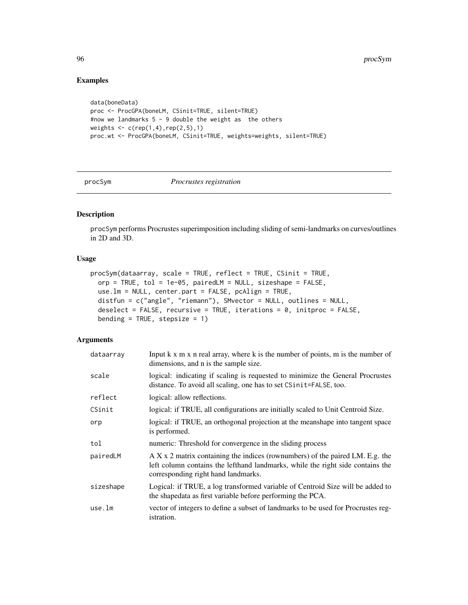# Examples

```
data(boneData)
proc <- ProcGPA(boneLM, CSinit=TRUE, silent=TRUE)
#now we landmarks 5 - 9 double the weight as the others
weights \leq c (rep(1,4), rep(2,5), 1)
proc.wt <- ProcGPA(boneLM, CSinit=TRUE, weights=weights, silent=TRUE)
```
<span id="page-95-0"></span>procSym *Procrustes registration*

# Description

procSym performs Procrustes superimposition including sliding of semi-landmarks on curves/outlines in 2D and 3D.

### Usage

```
procSym(dataarray, scale = TRUE, reflect = TRUE, CSinit = TRUE,
 orp = TRUE, tol = 1e-05, pairedLM = NULL, sizeshape = FALSE,
 use.lm = NULL, center.part = FALSE, pcAlign = TRUE,
 distfun = c("angle", "riemann"), SMvector = NULL, outlines = NULL,
  deselect = FALSE, recursive = TRUE, iterations = 0, initproc = FALSE,
  bending = TRUE, stepsize = 1)
```

| dataarray | Input k x m x n real array, where k is the number of points, m is the number of<br>dimensions, and n is the sample size.                                                                                |
|-----------|---------------------------------------------------------------------------------------------------------------------------------------------------------------------------------------------------------|
| scale     | logical: indicating if scaling is requested to minimize the General Procrustes<br>distance. To avoid all scaling, one has to set CSinit=FALSE, too.                                                     |
| reflect   | logical: allow reflections.                                                                                                                                                                             |
| CSinit    | logical: if TRUE, all configurations are initially scaled to Unit Centroid Size.                                                                                                                        |
| orp       | logical: if TRUE, an orthogonal projection at the means happen into tangent space<br>is performed.                                                                                                      |
| tol       | numeric: Threshold for convergence in the sliding process                                                                                                                                               |
| pairedLM  | $AX x 2$ matrix containing the indices (rownumbers) of the paired LM. E.g. the<br>left column contains the lefthand landmarks, while the right side contains the<br>corresponding right hand landmarks. |
| sizeshape | Logical: if TRUE, a log transformed variable of Centroid Size will be added to<br>the shapedata as first variable before performing the PCA.                                                            |
| use.lm    | vector of integers to define a subset of landmarks to be used for Procrustes reg-<br>istration.                                                                                                         |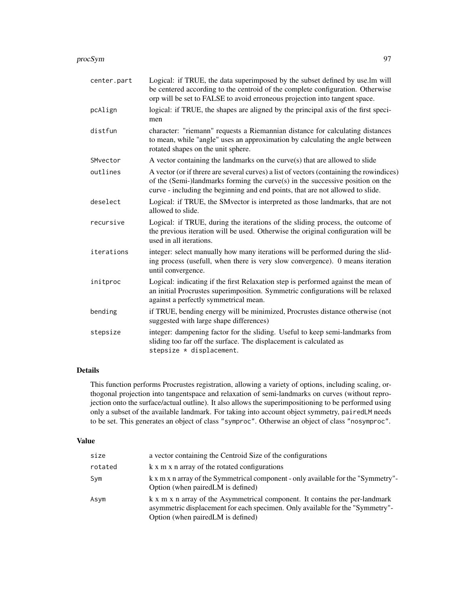#### procSym 97

| center.part | Logical: if TRUE, the data superimposed by the subset defined by use.lm will<br>be centered according to the centroid of the complete configuration. Otherwise<br>orp will be set to FALSE to avoid erroneous projection into tangent space.                 |
|-------------|--------------------------------------------------------------------------------------------------------------------------------------------------------------------------------------------------------------------------------------------------------------|
| pcAlign     | logical: if TRUE, the shapes are aligned by the principal axis of the first speci-<br>men                                                                                                                                                                    |
| distfun     | character: "riemann" requests a Riemannian distance for calculating distances<br>to mean, while "angle" uses an approximation by calculating the angle between<br>rotated shapes on the unit sphere.                                                         |
| SMvector    | A vector containing the landmarks on the curve(s) that are allowed to slide                                                                                                                                                                                  |
| outlines    | A vector (or if threre are several curves) a list of vectors (containing the rowindices)<br>of the (Semi-)landmarks forming the curve(s) in the successive position on the<br>curve - including the beginning and end points, that are not allowed to slide. |
| deselect    | Logical: if TRUE, the SM vector is interpreted as those landmarks, that are not<br>allowed to slide.                                                                                                                                                         |
| recursive   | Logical: if TRUE, during the iterations of the sliding process, the outcome of<br>the previous iteration will be used. Otherwise the original configuration will be<br>used in all iterations.                                                               |
| iterations  | integer: select manually how many iterations will be performed during the slid-<br>ing process (usefull, when there is very slow convergence). 0 means iteration<br>until convergence.                                                                       |
| initproc    | Logical: indicating if the first Relaxation step is performed against the mean of<br>an initial Procrustes superimposition. Symmetric configurations will be relaxed<br>against a perfectly symmetrical mean.                                                |
| bending     | if TRUE, bending energy will be minimized, Procrustes distance otherwise (not<br>suggested with large shape differences)                                                                                                                                     |
| stepsize    | integer: dampening factor for the sliding. Useful to keep semi-landmarks from<br>sliding too far off the surface. The displacement is calculated as<br>stepsize * displacement.                                                                              |

# Details

This function performs Procrustes registration, allowing a variety of options, including scaling, orthogonal projection into tangentspace and relaxation of semi-landmarks on curves (without reprojection onto the surface/actual outline). It also allows the superimpositioning to be performed using only a subset of the available landmark. For taking into account object symmetry, pairedLM needs to be set. This generates an object of class "symproc". Otherwise an object of class "nosymproc".

# Value

| size    | a vector containing the Centroid Size of the configurations                                                                                                                                        |
|---------|----------------------------------------------------------------------------------------------------------------------------------------------------------------------------------------------------|
| rotated | k x m x n array of the rotated configurations                                                                                                                                                      |
| Sym     | k x m x n array of the Symmetrical component - only available for the "Symmetry"-<br>Option (when paired LM is defined)                                                                            |
| Asym    | k x m x n array of the Asymmetrical component. It contains the per-landmark<br>asymmetric displacement for each specimen. Only available for the "Symmetry"-<br>Option (when paired LM is defined) |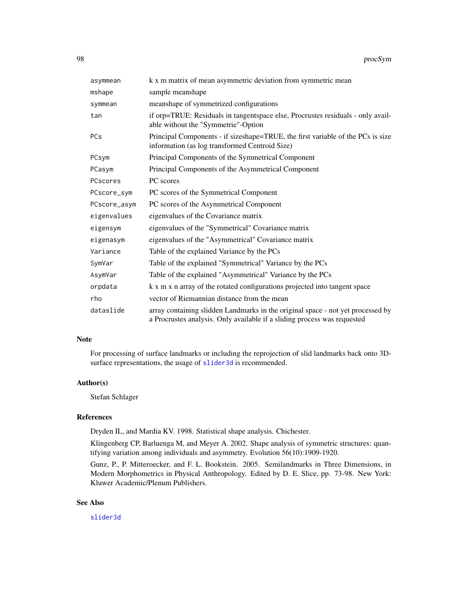| asymmean     | k x m matrix of mean asymmetric deviation from symmetric mean                                                                                               |
|--------------|-------------------------------------------------------------------------------------------------------------------------------------------------------------|
| mshape       | sample meanshape                                                                                                                                            |
| symmean      | meanshape of symmetrized configurations                                                                                                                     |
| tan          | if orp=TRUE: Residuals in tangentspace else, Procrustes residuals - only avail-<br>able without the "Symmetrie"-Option                                      |
| <b>PCs</b>   | Principal Components - if sizeshape=TRUE, the first variable of the PCs is size<br>information (as log transformed Centroid Size)                           |
| PCsym        | Principal Components of the Symmetrical Component                                                                                                           |
| PCasym       | Principal Components of the Asymmetrical Component                                                                                                          |
| PCscores     | PC scores                                                                                                                                                   |
| PCscore_sym  | PC scores of the Symmetrical Component                                                                                                                      |
| PCscore_asym | PC scores of the Asymmetrical Component                                                                                                                     |
| eigenvalues  | eigenvalues of the Covariance matrix                                                                                                                        |
| eigensym     | eigenvalues of the "Symmetrical" Covariance matrix                                                                                                          |
| eigenasym    | eigenvalues of the "Asymmetrical" Covariance matrix                                                                                                         |
| Variance     | Table of the explained Variance by the PCs                                                                                                                  |
| SymVar       | Table of the explained "Symmetrical" Variance by the PCs                                                                                                    |
| AsymVar      | Table of the explained "Asymmetrical" Variance by the PCs                                                                                                   |
| orpdata      | k x m x n array of the rotated configurations projected into tangent space                                                                                  |
| rho          | vector of Riemannian distance from the mean                                                                                                                 |
| dataslide    | array containing slidden Landmarks in the original space - not yet processed by<br>a Procrustes analysis. Only available if a sliding process was requested |

### Note

For processing of surface landmarks or including the reprojection of slid landmarks back onto 3Dsurface representations, the usage of [slider3d](#page-126-0) is recommended.

#### Author(s)

Stefan Schlager

#### References

Dryden IL, and Mardia KV. 1998. Statistical shape analysis. Chichester.

Klingenberg CP, Barluenga M, and Meyer A. 2002. Shape analysis of symmetric structures: quantifying variation among individuals and asymmetry. Evolution 56(10):1909-1920.

Gunz, P., P. Mitteroecker, and F. L. Bookstein. 2005. Semilandmarks in Three Dimensions, in Modern Morphometrics in Physical Anthropology. Edited by D. E. Slice, pp. 73-98. New York: Kluwer Academic/Plenum Publishers.

# See Also

[slider3d](#page-126-0)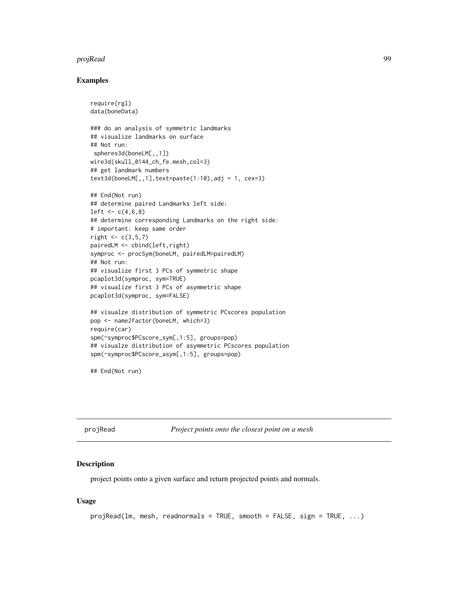#### projRead 99

### Examples

```
require(rgl)
data(boneData)
### do an analysis of symmetric landmarks
## visualize landmarks on surface
## Not run:
 spheres3d(boneLM[,,1])
wire3d(skull_0144_ch_fe.mesh,col=3)
## get landmark numbers
text3d(bonelM[,, 1], text=paste(1:10), adj = 1, cex=3)## End(Not run)
## determine paired Landmarks left side:
left < -c(4,6,8)## determine corresponding Landmarks on the right side:
# important: keep same order
right < -c(3,5,7)pairedLM <- cbind(left,right)
symproc <- procSym(boneLM, pairedLM=pairedLM)
## Not run:
## visualize first 3 PCs of symmetric shape
pcaplot3d(symproc, sym=TRUE)
## visualize first 3 PCs of asymmetric shape
pcaplot3d(symproc, sym=FALSE)
## visualze distribution of symmetric PCscores population
pop <- name2factor(boneLM, which=3)
require(car)
spm(~symproc$PCscore_sym[,1:5], groups=pop)
## visualze distribution of asymmetric PCscores population
spm(~symproc$PCscore_asym[,1:5], groups=pop)
```
## End(Not run)

projRead *Project points onto the closest point on a mesh*

#### Description

project points onto a given surface and return projected points and normals.

#### Usage

```
projRead(lm, mesh, readnormals = TRUE, smooth = FALSE, sign = TRUE, ...)
```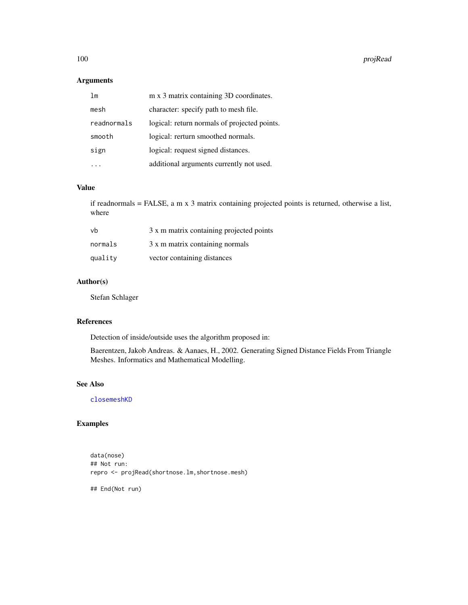100 proj $\Box$ 

# Arguments

| lm          | m x 3 matrix containing 3D coordinates.      |
|-------------|----------------------------------------------|
| mesh        | character: specify path to mesh file.        |
| readnormals | logical: return normals of projected points. |
| smooth      | logical: rerturn smoothed normals.           |
| sign        | logical: request signed distances.           |
|             | additional arguments currently not used.     |

# Value

if readnormals = FALSE, a m x 3 matrix containing projected points is returned, otherwise a list, where

| vh      | 3 x m matrix containing projected points |
|---------|------------------------------------------|
| normals | 3 x m matrix containing normals          |
| quality | vector containing distances              |

# Author(s)

Stefan Schlager

### References

Detection of inside/outside uses the algorithm proposed in:

Baerentzen, Jakob Andreas. & Aanaes, H., 2002. Generating Signed Distance Fields From Triangle Meshes. Informatics and Mathematical Modelling.

# See Also

[closemeshKD](#page-17-0)

# Examples

data(nose) ## Not run: repro <- projRead(shortnose.lm,shortnose.mesh)

## End(Not run)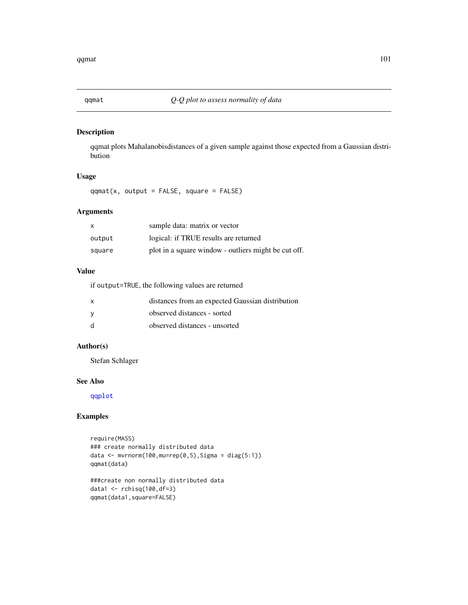# Description

qqmat plots Mahalanobisdistances of a given sample against those expected from a Gaussian distribution

# Usage

 $qqmat(x, output = FALSE, square = FALSE)$ 

# Arguments

| x      | sample data: matrix or vector                        |
|--------|------------------------------------------------------|
| output | logical: if TRUE results are returned                |
| square | plot in a square window - outliers might be cut off. |

## Value

if output=TRUE, the following values are returned

| $\mathsf{x}$ | distances from an expected Gaussian distribution |
|--------------|--------------------------------------------------|
| - V          | observed distances - sorted                      |
| d            | observed distances - unsorted                    |

# Author(s)

Stefan Schlager

#### See Also

[qqplot](#page-0-0)

# Examples

```
require(MASS)
### create normally distributed data
data \leq mvrnorm(100, mu=rep(0,5), Sigma = diag(5:1))
qqmat(data)
###create non normally distributed data
data1 <- rchisq(100,df=3)
```
qqmat(data1,square=FALSE)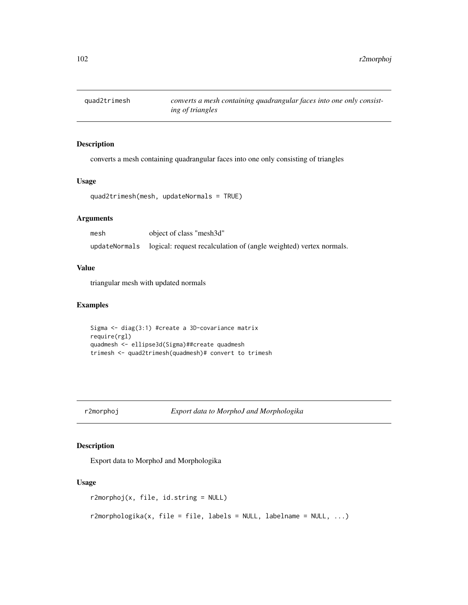# Description

converts a mesh containing quadrangular faces into one only consisting of triangles

### Usage

```
quad2trimesh(mesh, updateNormals = TRUE)
```
### Arguments

| mesh          | object of class "mesh3d"                                           |
|---------------|--------------------------------------------------------------------|
| updateNormals | logical: request recalculation of (angle weighted) vertex normals. |

#### Value

triangular mesh with updated normals

# Examples

Sigma <- diag(3:1) #create a 3D-covariance matrix require(rgl) quadmesh <- ellipse3d(Sigma)##create quadmesh trimesh <- quad2trimesh(quadmesh)# convert to trimesh

r2morphoj *Export data to MorphoJ and Morphologika*

# Description

Export data to MorphoJ and Morphologika

### Usage

```
r2morphoj(x, file, id.string = NULL)
```
r2morphologika(x, file = file, labels = NULL, labelname = NULL, ...)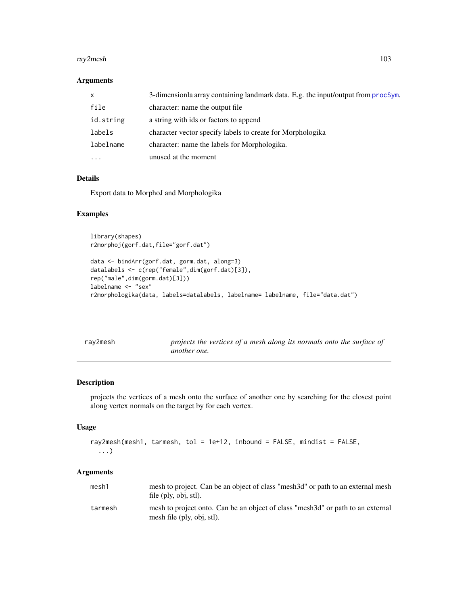#### ray2mesh 103

### Arguments

| $\boldsymbol{\mathsf{x}}$ | 3-dimensionla array containing landmark data. E.g. the input/output from procSym. |
|---------------------------|-----------------------------------------------------------------------------------|
| file                      | character: name the output file                                                   |
| id.string                 | a string with ids or factors to append                                            |
| labels                    | character vector specify labels to create for Morphologika                        |
| labelname                 | character: name the labels for Morphologika.                                      |
| .                         | unused at the moment                                                              |

# Details

Export data to MorphoJ and Morphologika

# Examples

```
library(shapes)
r2morphoj(gorf.dat,file="gorf.dat")
```

```
data <- bindArr(gorf.dat, gorm.dat, along=3)
datalabels <- c(rep("female",dim(gorf.dat)[3]),
rep("male",dim(gorm.dat)[3]))
labelname <- "sex"
r2morphologika(data, labels=datalabels, labelname= labelname, file="data.dat")
```

| ray2mesh | projects the vertices of a mesh along its normals onto the surface of |  |  |  |  |
|----------|-----------------------------------------------------------------------|--|--|--|--|
|          | <i>another one.</i>                                                   |  |  |  |  |

# Description

projects the vertices of a mesh onto the surface of another one by searching for the closest point along vertex normals on the target by for each vertex.

#### Usage

```
ray2mesh(mesh1, tarmesh, tol = 1e+12, inbound = FALSE, mindist = FALSE,
 ...)
```

| mesh1   | mesh to project. Can be an object of class "mesh 3d" or path to an external mesh<br>file (ply, obj, stl).      |
|---------|----------------------------------------------------------------------------------------------------------------|
| tarmesh | mesh to project onto. Can be an object of class "mesh 3d" or path to an external<br>mesh file (ply, obj, stl). |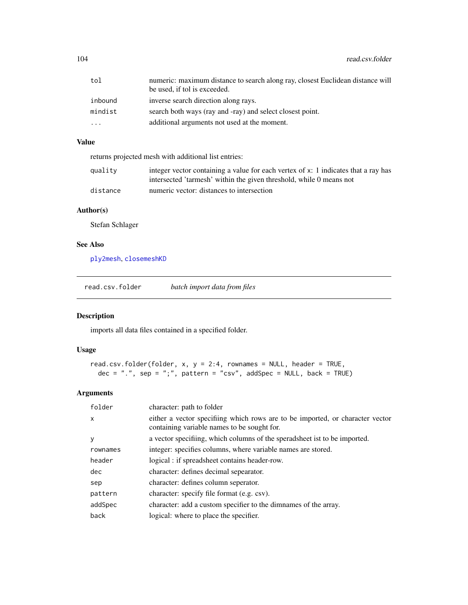104 read.csv.folder

| tol      | numeric: maximum distance to search along ray, closest Euclidean distance will<br>be used, if tol is exceeded. |
|----------|----------------------------------------------------------------------------------------------------------------|
| inbound  | inverse search direction along rays.                                                                           |
| mindist  | search both ways (ray and -ray) and select closest point.                                                      |
| $\cdots$ | additional arguments not used at the moment.                                                                   |

# Value

returns projected mesh with additional list entries:

| quality  | integer vector containing a value for each vertex of x: 1 indicates that a ray has |
|----------|------------------------------------------------------------------------------------|
|          | intersected 'tarmesh' within the given threshold, while 0 means not                |
| distance | numeric vector: distances to intersection                                          |

# Author(s)

Stefan Schlager

# See Also

[ply2mesh](#page-40-0), [closemeshKD](#page-17-0)

read.csv.folder *batch import data from files*

# Description

imports all data files contained in a specified folder.

### Usage

```
read.csv.folder(folder, x, y = 2:4, rownames = NULL, header = TRUE,
 dec = ".", sep = ";", pattern = "csv", addSpec = NULL, back = TRUE)
```

| folder   | character: path to folder                                                                                                    |
|----------|------------------------------------------------------------------------------------------------------------------------------|
| X        | either a vector specifiing which rows are to be imported, or character vector<br>containing variable names to be sought for. |
| y        | a vector specifiing, which columns of the speradsheet ist to be imported.                                                    |
| rownames | integer: specifies columns, where variable names are stored.                                                                 |
| header   | logical: if spreadsheet contains header-row.                                                                                 |
| dec      | character: defines decimal sepearator.                                                                                       |
| sep      | character: defines column seperator.                                                                                         |
| pattern  | character: specify file format (e.g. csv).                                                                                   |
| addSpec  | character: add a custom specifier to the dimnames of the array.                                                              |
| back     | logical: where to place the specifier.                                                                                       |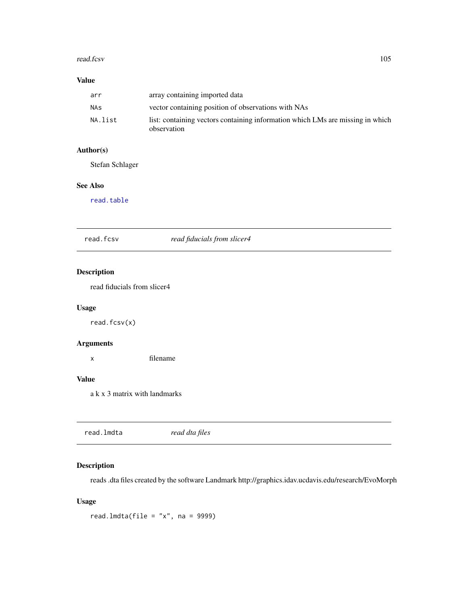#### read.fcsv 105

# Value

| arr     | array containing imported data                                                                |
|---------|-----------------------------------------------------------------------------------------------|
| NAs     | vector containing position of observations with NAs                                           |
| NA.list | list: containing vectors containing information which LMs are missing in which<br>observation |

# Author(s)

Stefan Schlager

### See Also

[read.table](#page-0-0)

read.fcsv *read fiducials from slicer4*

# Description

read fiducials from slicer4

# Usage

read.fcsv(x)

# Arguments

x filename

### Value

a k x 3 matrix with landmarks

<span id="page-104-0"></span>

# Description

reads .dta files created by the software Landmark http://graphics.idav.ucdavis.edu/research/EvoMorph

# Usage

read.lmdta(file = " $x$ ", na = 9999)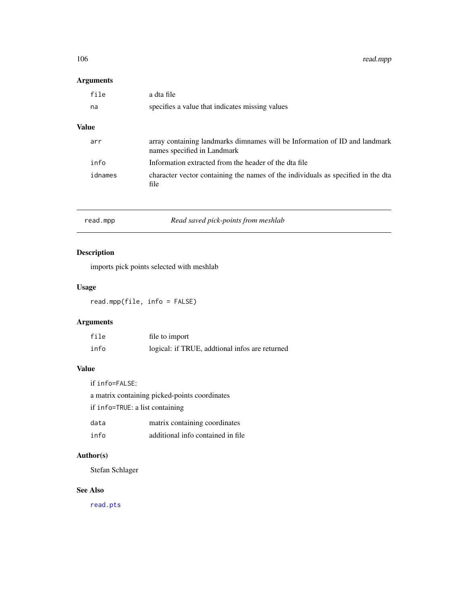106 read.mpp

# Arguments

| file         | a dta file                                                                                                |
|--------------|-----------------------------------------------------------------------------------------------------------|
| na           | specifies a value that indicates missing values                                                           |
| <b>Value</b> |                                                                                                           |
| arr          | array containing landmarks dimnames will be Information of ID and landmark<br>names specified in Landmark |
| info         | Information extracted from the header of the dta file                                                     |
| idnames      | character vector containing the names of the individuals as specified in the dta<br>file                  |
|              |                                                                                                           |

| read.mpp | Read saved pick-points from meshlab |
|----------|-------------------------------------|
|----------|-------------------------------------|

# Description

imports pick points selected with meshlab

# Usage

read.mpp(file, info = FALSE)

# Arguments

| file | file to import                                  |
|------|-------------------------------------------------|
| info | logical: if TRUE, additional infos are returned |

# Value

if info=FALSE:

a matrix containing picked-points coordinates

if info=TRUE: a list containing

| data | matrix containing coordinates     |
|------|-----------------------------------|
| info | additional info contained in file |

# Author(s)

Stefan Schlager

### See Also

[read.pts](#page-106-0)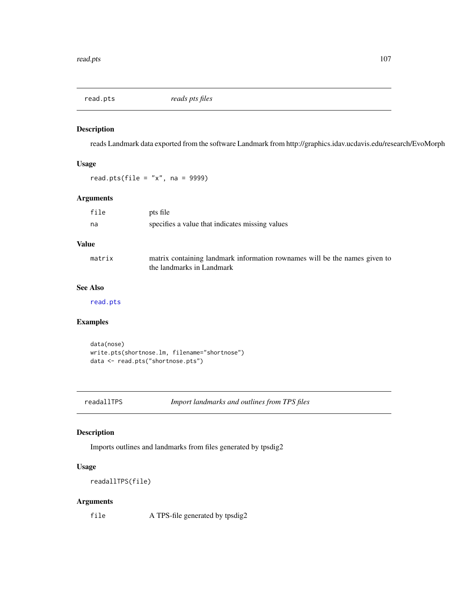<span id="page-106-0"></span>

#### Description

reads Landmark data exported from the software Landmark from http://graphics.idav.ucdavis.edu/research/EvoMorph

# Usage

read.pts(file =  $"x"$ , na = 9999)

### Arguments

| file         | pts file                                                                                                |
|--------------|---------------------------------------------------------------------------------------------------------|
| na           | specifies a value that indicates missing values                                                         |
| <b>Value</b> |                                                                                                         |
| matrix       | matrix containing landmark information rownames will be the names given to<br>the landmarks in Landmark |

# See Also

[read.pts](#page-106-0)

# Examples

```
data(nose)
write.pts(shortnose.lm, filename="shortnose")
data <- read.pts("shortnose.pts")
```
readallTPS *Import landmarks and outlines from TPS files*

# Description

Imports outlines and landmarks from files generated by tpsdig2

# Usage

readallTPS(file)

### Arguments

file A TPS-file generated by tpsdig2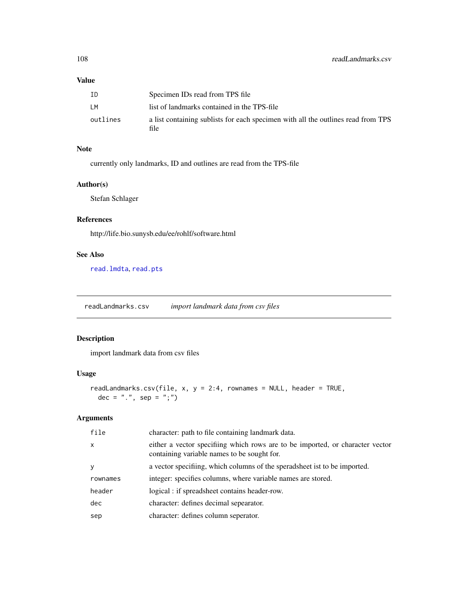# Value

| ΙD       | Specimen IDs read from TPS file                                                          |
|----------|------------------------------------------------------------------------------------------|
| LМ       | list of landmarks contained in the TPS-file                                              |
| outlines | a list containing sublists for each specimen with all the outlines read from TPS<br>file |

# Note

currently only landmarks, ID and outlines are read from the TPS-file

# Author(s)

Stefan Schlager

# References

http://life.bio.sunysb.edu/ee/rohlf/software.html

### See Also

[read.lmdta](#page-104-0), [read.pts](#page-106-0)

readLandmarks.csv *import landmark data from csv files*

# Description

import landmark data from csv files

# Usage

```
readLandmarks.csv(file, x, y = 2:4, rownames = NULL, header = TRUE,
 dec = ".", sep = ";")
```

| file         | character: path to file containing landmark data.                                                                            |
|--------------|------------------------------------------------------------------------------------------------------------------------------|
| $\mathsf{x}$ | either a vector specifiing which rows are to be imported, or character vector<br>containing variable names to be sought for. |
| <b>y</b>     | a vector specifiing, which columns of the speradsheet ist to be imported.                                                    |
| rownames     | integer: specifies columns, where variable names are stored.                                                                 |
| header       | logical : if spreadsheet contains header-row.                                                                                |
| dec          | character: defines decimal sepearator.                                                                                       |
| sep          | character: defines column seperator.                                                                                         |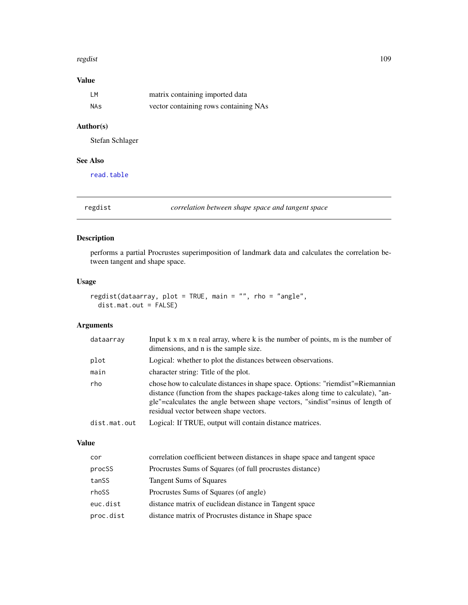#### regdist the contract of the contract of the contract of the contract of the contract of the contract of the contract of the contract of the contract of the contract of the contract of the contract of the contract of the co

# Value

| I M | matrix containing imported data       |
|-----|---------------------------------------|
| NAs | vector containing rows containing NAs |

# Author(s)

Stefan Schlager

# See Also

[read.table](#page-0-0)

<span id="page-108-0"></span>regdist *correlation between shape space and tangent space*

# Description

performs a partial Procrustes superimposition of landmark data and calculates the correlation between tangent and shape space.

# Usage

```
regdist(dataarray, plot = TRUE, main = "", rho = "angle",
 dist.mat.out = FALSE)
```
# Arguments

| dataarray    | Input $k \times m \times n$ real array, where $k$ is the number of points, m is the number of<br>dimensions, and n is the sample size.                                                                                                                                                        |
|--------------|-----------------------------------------------------------------------------------------------------------------------------------------------------------------------------------------------------------------------------------------------------------------------------------------------|
| plot         | Logical: whether to plot the distances between observations.                                                                                                                                                                                                                                  |
| main         | character string: Title of the plot.                                                                                                                                                                                                                                                          |
| rho          | chose how to calculate distances in shape space. Options: "riemdist"=Riemannian<br>distance (function from the shapes package-takes along time to calculate), "an-<br>gle"=calculates the angle between shape vectors, "sindist"=sinus of length of<br>residual vector between shape vectors. |
| dist.mat.out | Logical: If TRUE, output will contain distance matrices.                                                                                                                                                                                                                                      |

# Value

| cor       | correlation coefficient between distances in shape space and tangent space |
|-----------|----------------------------------------------------------------------------|
| procSS    | Procrustes Sums of Squares (of full procrustes distance)                   |
| tanSS     | Tangent Sums of Squares                                                    |
| rhoSS     | Procrustes Sums of Squares (of angle)                                      |
| euc.dist  | distance matrix of euclidean distance in Tangent space                     |
| proc.dist | distance matrix of Procrustes distance in Shape space                      |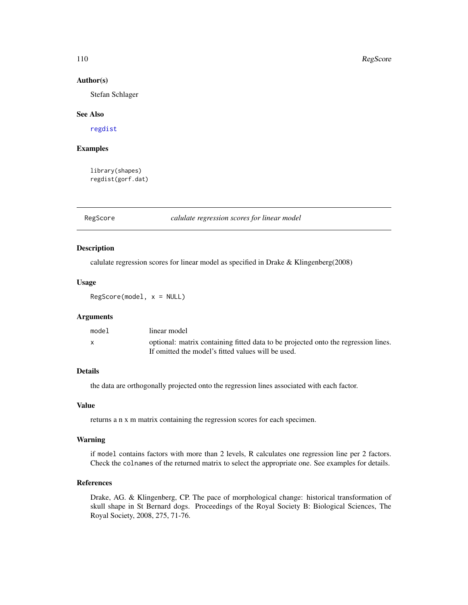#### 110 RegScore

#### Author(s)

Stefan Schlager

#### See Also

[regdist](#page-108-0)

### Examples

library(shapes) regdist(gorf.dat)

RegScore *calulate regression scores for linear model*

# Description

calulate regression scores for linear model as specified in Drake & Klingenberg(2008)

#### Usage

RegScore(model, x = NULL)

#### Arguments

| model | linear model                                                                       |
|-------|------------------------------------------------------------------------------------|
|       | optional: matrix containing fitted data to be projected onto the regression lines. |
|       | If omitted the model's fitted values will be used.                                 |

#### Details

the data are orthogonally projected onto the regression lines associated with each factor.

#### Value

returns a n x m matrix containing the regression scores for each specimen.

#### Warning

if model contains factors with more than 2 levels, R calculates one regression line per 2 factors. Check the colnames of the returned matrix to select the appropriate one. See examples for details.

#### References

Drake, AG. & Klingenberg, CP. The pace of morphological change: historical transformation of skull shape in St Bernard dogs. Proceedings of the Royal Society B: Biological Sciences, The Royal Society, 2008, 275, 71-76.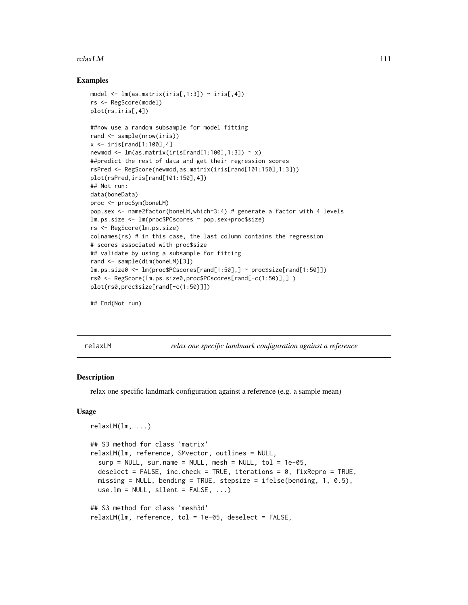#### $relaxLM$  111

#### Examples

```
model \leq lm(as.matrix(iris[,1:3]) \sim iris[,4])
rs <- RegScore(model)
plot(rs,iris[,4])
##now use a random subsample for model fitting
rand <- sample(nrow(iris))
x \le -iris[rand[1:100], 4]newmod \leq lm(as.matrix(iris[rand[1:100],1:3]) \sim x)
##predict the rest of data and get their regression scores
rsPred <- RegScore(newmod,as.matrix(iris[rand[101:150],1:3]))
plot(rsPred,iris[rand[101:150],4])
## Not run:
data(boneData)
proc <- procSym(boneLM)
pop.sex <- name2factor(boneLM,which=3:4) # generate a factor with 4 levels
lm.ps.size <- lm(proc$PCscores ~ pop.sex+proc$size)
rs <- RegScore(lm.ps.size)
colnames(rs) # in this case, the last column contains the regression
# scores associated with proc$size
## validate by using a subsample for fitting
rand <- sample(dim(boneLM)[3])
lm.ps.size0 <- lm(proc$PCscores[rand[1:50],] ~ proc$size[rand[1:50]])
rs0 <- RegScore(lm.ps.size0,proc$PCscores[rand[-c(1:50)],] )
plot(rs0,proc$size[rand[-c(1:50)]])
```

```
## End(Not run)
```
<span id="page-110-0"></span>

relaxLM *relax one specific landmark configuration against a reference*

# Description

relax one specific landmark configuration against a reference (e.g. a sample mean)

#### Usage

```
relaxLM(lm, ...)
## S3 method for class 'matrix'
relaxLM(lm, reference, SMvector, outlines = NULL,
  surp = NULL, sur.name = NULL, mesh = NULL, tol = 1e-05,
  deselect = FALSE, inc.check = TRUE, iterations = 0, fixRepro = TRUE,
 missing = NULL, bending = TRUE, stepsize = ifelse(bending, 1, 0.5),
 use.lm = NULL, silent = FALSE, ...)
## S3 method for class 'mesh3d'
relaxLM(lm, reference, tol = 1e-05, deselect = FALSE,
```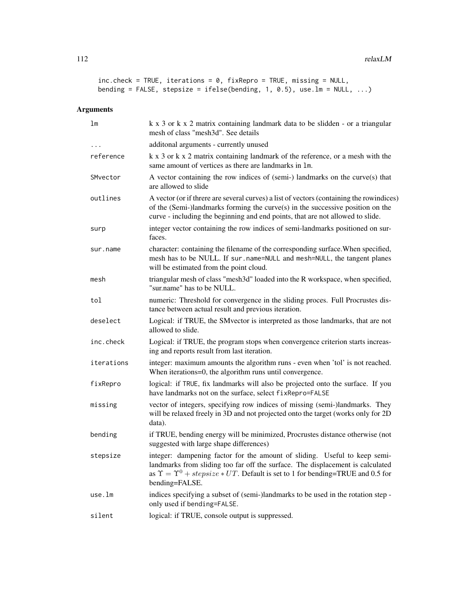```
inc.check = TRUE, iterations = 0, fixRepro = TRUE, missing = NULL,
bending = FALSE, stepsize = ifelse(bending, 1, 0.5), use.lm = NULL, ...)
```

| 1 <sub>m</sub> | k x 3 or k x 2 matrix containing landmark data to be slidden - or a triangular<br>mesh of class "mesh3d". See details                                                                                                                                                          |
|----------------|--------------------------------------------------------------------------------------------------------------------------------------------------------------------------------------------------------------------------------------------------------------------------------|
|                | additonal arguments - currently unused                                                                                                                                                                                                                                         |
| reference      | k x 3 or k x 2 matrix containing landmark of the reference, or a mesh with the<br>same amount of vertices as there are landmarks in 1m.                                                                                                                                        |
| SMvector       | A vector containing the row indices of (semi-) landmarks on the curve(s) that<br>are allowed to slide                                                                                                                                                                          |
| outlines       | A vector (or if threre are several curves) a list of vectors (containing the rowindices)<br>of the (Semi-)landmarks forming the curve(s) in the successive position on the<br>curve - including the beginning and end points, that are not allowed to slide.                   |
| surp           | integer vector containing the row indices of semi-landmarks positioned on sur-<br>faces.                                                                                                                                                                                       |
| sur.name       | character: containing the filename of the corresponding surface. When specified,<br>mesh has to be NULL. If sur . name=NULL and mesh=NULL, the tangent planes<br>will be estimated from the point cloud.                                                                       |
| mesh           | triangular mesh of class "mesh3d" loaded into the R workspace, when specified,<br>"sur.name" has to be NULL.                                                                                                                                                                   |
| tol            | numeric: Threshold for convergence in the sliding proces. Full Procrustes dis-<br>tance between actual result and previous iteration.                                                                                                                                          |
| deselect       | Logical: if TRUE, the SMvector is interpreted as those landmarks, that are not<br>allowed to slide.                                                                                                                                                                            |
| inc.check      | Logical: if TRUE, the program stops when convergence criterion starts increas-<br>ing and reports result from last iteration.                                                                                                                                                  |
| iterations     | integer: maximum amounts the algorithm runs - even when 'tol' is not reached.<br>When iterations=0, the algorithm runs until convergence.                                                                                                                                      |
| fixRepro       | logical: if TRUE, fix landmarks will also be projected onto the surface. If you<br>have landmarks not on the surface, select fixRepro=FALSE                                                                                                                                    |
| missing        | vector of integers, specifying row indices of missing (semi-)landmarks. They<br>will be relaxed freely in 3D and not projected onto the target (works only for 2D<br>data).                                                                                                    |
| bending        | if TRUE, bending energy will be minimized, Procrustes distance otherwise (not<br>suggested with large shape differences)                                                                                                                                                       |
| stepsize       | integer: dampening factor for the amount of sliding. Useful to keep semi-<br>landmarks from sliding too far off the surface. The displacement is calculated<br>as $\Upsilon = \Upsilon^0 + stepsize * UT$ . Default is set to 1 for bending=TRUE and 0.5 for<br>bending=FALSE. |
| use.lm         | indices specifying a subset of (semi-)landmarks to be used in the rotation step -<br>only used if bending=FALSE.                                                                                                                                                               |
| silent         | logical: if TRUE, console output is suppressed.                                                                                                                                                                                                                                |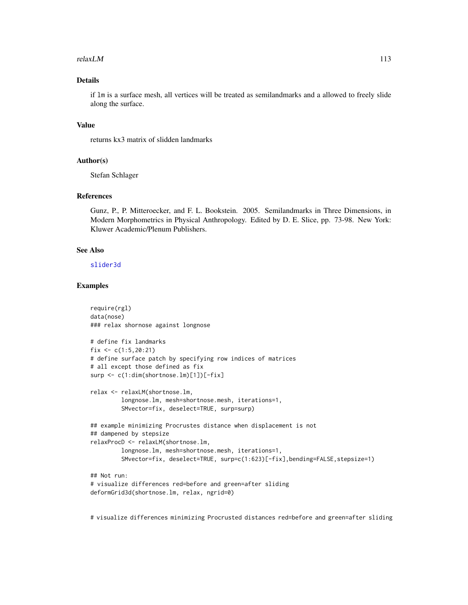#### $relaxLM$  113

# Details

if lm is a surface mesh, all vertices will be treated as semilandmarks and a allowed to freely slide along the surface.

# Value

returns kx3 matrix of slidden landmarks

# Author(s)

Stefan Schlager

#### References

Gunz, P., P. Mitteroecker, and F. L. Bookstein. 2005. Semilandmarks in Three Dimensions, in Modern Morphometrics in Physical Anthropology. Edited by D. E. Slice, pp. 73-98. New York: Kluwer Academic/Plenum Publishers.

#### See Also

[slider3d](#page-126-0)

#### Examples

```
require(rgl)
data(nose)
### relax shornose against longnose
# define fix landmarks
fix \leq c(1:5,20:21)# define surface patch by specifying row indices of matrices
# all except those defined as fix
surp <- c(1:dim(shortnose.lm)[1])[-fix]
relax <- relaxLM(shortnose.lm,
         longnose.lm, mesh=shortnose.mesh, iterations=1,
         SMvector=fix, deselect=TRUE, surp=surp)
## example minimizing Procrustes distance when displacement is not
## dampened by stepsize
relaxProcD <- relaxLM(shortnose.lm,
         longnose.lm, mesh=shortnose.mesh, iterations=1,
         SMvector=fix, deselect=TRUE, surp=c(1:623)[-fix],bending=FALSE,stepsize=1)
## Not run:
# visualize differences red=before and green=after sliding
deformGrid3d(shortnose.lm, relax, ngrid=0)
```
# visualize differences minimizing Procrusted distances red=before and green=after sliding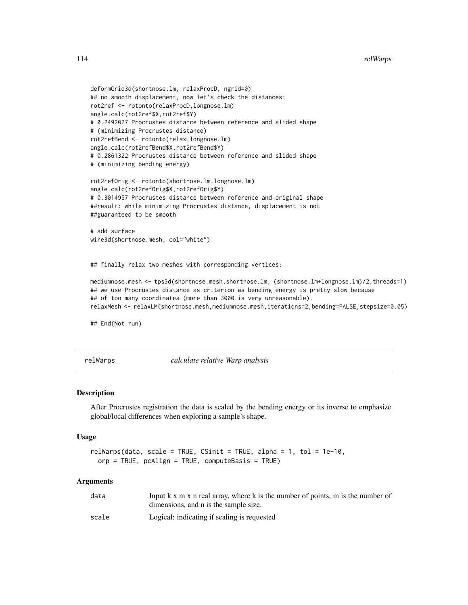```
deformGrid3d(shortnose.lm, relaxProcD, ngrid=0)
## no smooth displacement, now let's check the distances:
rot2ref <- rotonto(relaxProcD,longnose.lm)
angle.calc(rot2ref$X,rot2ref$Y)
# 0.2492027 Procrustes distance between reference and slided shape
# (minimizing Procrustes distance)
rot2refBend <- rotonto(relax,longnose.lm)
angle.calc(rot2refBend$X,rot2refBend$Y)
# 0.2861322 Procrustes distance between reference and slided shape
# (minimizing bending energy)
rot2refOrig <- rotonto(shortnose.lm,longnose.lm)
angle.calc(rot2refOrig$X,rot2refOrig$Y)
# 0.3014957 Procrustes distance between reference and original shape
##result: while minimizing Procrustes distance, displacement is not
##guaranteed to be smooth
# add surface
wire3d(shortnose.mesh, col="white")
## finally relax two meshes with corresponding vertices:
mediumnose.mesh <- tps3d(shortnose.mesh,shortnose.lm, (shortnose.lm+longnose.lm)/2,threads=1)
## we use Procrustes distance as criterion as bending energy is pretty slow because
## of too many coordinates (more than 3000 is very unreasonable).
```

```
relaxMesh <- relaxLM(shortnose.mesh,mediumnose.mesh,iterations=2,bending=FALSE,stepsize=0.05)
```
## End(Not run)

relWarps *calculate relative Warp analysis*

#### **Description**

After Procrustes registration the data is scaled by the bending energy or its inverse to emphasize global/local differences when exploring a sample's shape.

#### Usage

```
relWarps(data, scale = TRUE, CSinit = TRUE, alpha = 1, tol = 1e-10,
 orp = TRUE, pcAlign = TRUE, computeBasis = TRUE)
```

| data  | Input k x m x n real array, where k is the number of points, m is the number of |
|-------|---------------------------------------------------------------------------------|
|       | dimensions, and n is the sample size.                                           |
| scale | Logical: indicating if scaling is requested                                     |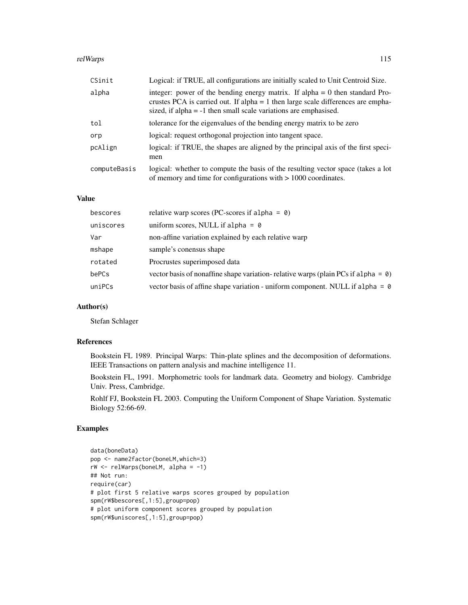#### relWarps 115

| CSinit       | Logical: if TRUE, all configurations are initially scaled to Unit Centroid Size.                                                                                                                                                           |
|--------------|--------------------------------------------------------------------------------------------------------------------------------------------------------------------------------------------------------------------------------------------|
| alpha        | integer: power of the bending energy matrix. If alpha $= 0$ then standard Pro-<br>crustes PCA is carried out. If alpha $= 1$ then large scale differences are empha-<br>sized, if alpha $= -1$ then small scale variations are emphasised. |
| tol          | tolerance for the eigenvalues of the bending energy matrix to be zero                                                                                                                                                                      |
| orp          | logical: request orthogonal projection into tangent space.                                                                                                                                                                                 |
| pcAlign      | logical: if TRUE, the shapes are aligned by the principal axis of the first speci-<br>men                                                                                                                                                  |
| computeBasis | logical: whether to compute the basis of the resulting vector space (takes a lot<br>of memory and time for configurations with $> 1000$ coordinates.                                                                                       |

# Value

| bescores  | relative warp scores (PC-scores if alpha = $\theta$ )                                     |
|-----------|-------------------------------------------------------------------------------------------|
| uniscores | uniform scores, NULL if alpha = $\theta$                                                  |
| Var       | non-affine variation explained by each relative warp                                      |
| mshape    | sample's conensus shape                                                                   |
| rotated   | Procrustes superimposed data                                                              |
| bePCs     | vector basis of nonaffine shape variation-relative warps (plain PCs if alpha = $\theta$ ) |
| uniPCs    | vector basis of affine shape variation - uniform component. NULL if alpha = $\theta$      |

# Author(s)

Stefan Schlager

# References

Bookstein FL 1989. Principal Warps: Thin-plate splines and the decomposition of deformations. IEEE Transactions on pattern analysis and machine intelligence 11.

Bookstein FL, 1991. Morphometric tools for landmark data. Geometry and biology. Cambridge Univ. Press, Cambridge.

Rohlf FJ, Bookstein FL 2003. Computing the Uniform Component of Shape Variation. Systematic Biology 52:66-69.

# Examples

```
data(boneData)
pop <- name2factor(boneLM,which=3)
rW \leftarrow relWarps(boneLM, alpha = -1)
## Not run:
require(car)
# plot first 5 relative warps scores grouped by population
spm(rW$bescores[,1:5],group=pop)
# plot uniform component scores grouped by population
spm(rW$uniscores[,1:5],group=pop)
```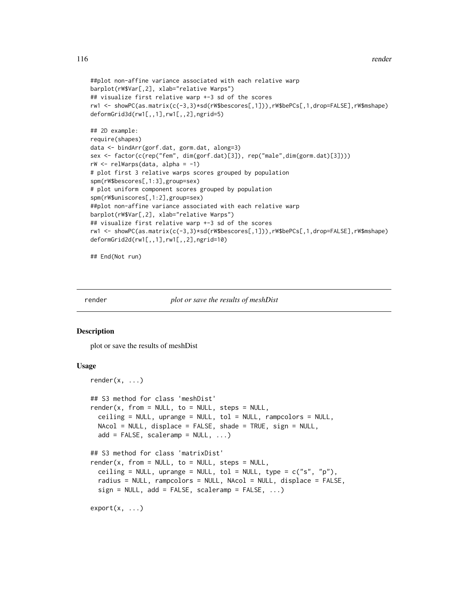```
##plot non-affine variance associated with each relative warp
barplot(rW$Var[,2], xlab="relative Warps")
## visualize first relative warp +-3 sd of the scores
rw1 <- showPC(as.matrix(c(-3,3)*sd(rW$bescores[,1])),rW$bePCs[,1,drop=FALSE],rW$mshape)
deformGrid3d(rw1[,,1],rw1[,,2],ngrid=5)
## 2D example:
require(shapes)
data <- bindArr(gorf.dat, gorm.dat, along=3)
sex <- factor(c(rep("fem", dim(gorf.dat)[3]), rep("male",dim(gorm.dat)[3])))
rW <- relWarps(data, alpha = -1)
# plot first 3 relative warps scores grouped by population
spm(rW$bescores[,1:3],group=sex)
# plot uniform component scores grouped by population
spm(rW$uniscores[,1:2],group=sex)
##plot non-affine variance associated with each relative warp
barplot(rW$Var[,2], xlab="relative Warps")
## visualize first relative warp +-3 sd of the scores
rw1 <- showPC(as.matrix(c(-3,3)*sd(rW$bescores[,1])),rW$bePCs[,1,drop=FALSE],rW$mshape)
deformGrid2d(rw1[,,1],rw1[,,2],ngrid=10)
```
## End(Not run)

render *plot or save the results of meshDist*

#### Description

plot or save the results of meshDist

#### Usage

```
render(x, ...)## S3 method for class 'meshDist'
render(x, from = NULL, to = NULL, steps = NULL,ceiling = NULL, uprange = NULL, tol = NULL, rampcolors = NULL,
 NAcol = NULL, displace = FALSE, shade = TRUE, sign = NULL,
  add = FALSE, scalaramp = NULL, ...)## S3 method for class 'matrixDist'
render(x, from = NULL, to = NULL, steps = NULL,ceiling = NULL, uprange = NULL, tol = NULL, type = c("s", "p"),
  radius = NULL, rampcolors = NULL, NAcol = NULL, displace = FALSE,
  sign = NULL, add = FALSE, scaleramp = FALSE, ...)
```

```
export(x, \ldots)
```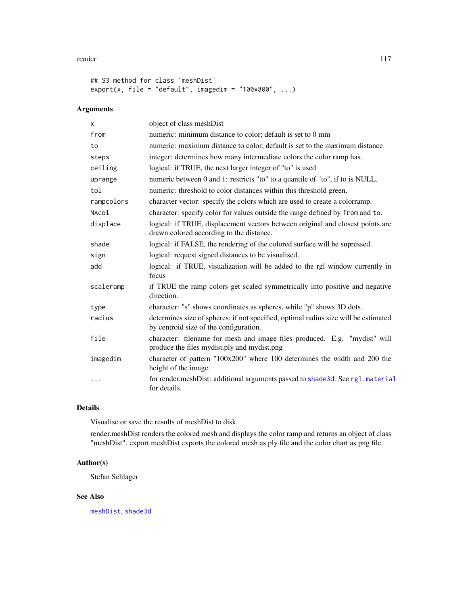#### render the contract of the contract of the contract of the contract of the contract of the contract of the contract of the contract of the contract of the contract of the contract of the contract of the contract of the con

```
## S3 method for class 'meshDist'
export(x, file = "default", imagedim = "100x800", ...)
```
# Arguments

| x          | object of class meshDist                                                                                                      |
|------------|-------------------------------------------------------------------------------------------------------------------------------|
| from       | numeric: minimum distance to color; default is set to 0 mm                                                                    |
| to         | numeric: maximum distance to color; default is set to the maximum distance                                                    |
| steps      | integer: determines how many intermediate colors the color ramp has.                                                          |
| ceiling    | logical: if TRUE, the next larger integer of "to" is used                                                                     |
| uprange    | numeric between 0 and 1: restricts "to" to a quantile of "to", if to is NULL.                                                 |
| tol        | numeric: threshold to color distances within this threshold green.                                                            |
| rampcolors | character vector: specify the colors which are used to create a colorramp.                                                    |
| NAcol      | character: specify color for values outside the range defined by from and to.                                                 |
| displace   | logical: if TRUE, displacement vectors between original and closest points are<br>drawn colored according to the distance.    |
| shade      | logical: if FALSE, the rendering of the colored surface will be supressed.                                                    |
| sign       | logical: request signed distances to be visualised.                                                                           |
| add        | logical: if TRUE, visualization will be added to the rgl window currently in<br>focus                                         |
| scaleramp  | if TRUE the ramp colors get scaled symmetrically into positive and negative<br>direction.                                     |
| type       | character: "s" shows coordinates as spheres, while "p" shows 3D dots.                                                         |
| radius     | determines size of spheres; if not specified, optimal radius size will be estimated<br>by centroid size of the configuration. |
| file       | character: filename for mesh and image files produced. E.g. "mydist" will<br>produce the files mydist.ply and mydist.png      |
| imagedim   | character of pattern "100x200" where 100 determines the width and 200 the<br>height of the image.                             |
| .          | for render.meshDist: additional arguments passed to shade3d. See rgl.material<br>for details.                                 |

# Details

Visualise or save the results of meshDist to disk.

render.meshDist renders the colored mesh and displays the color ramp and returns an object of class "meshDist". export.meshDist exports the colored mesh as ply file and the color chart as png file.

# Author(s)

Stefan Schlager

# See Also

[meshDist](#page-63-0), [shade3d](#page-0-0)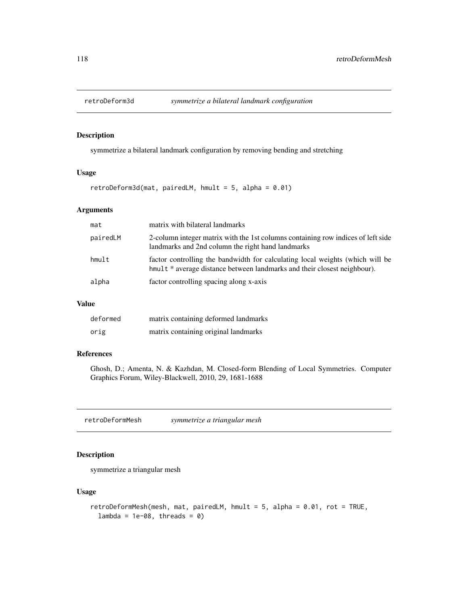<span id="page-117-0"></span>

#### Description

symmetrize a bilateral landmark configuration by removing bending and stretching

# Usage

 $retroDeform3d(mat, pairedLM, hmult = 5, alpha = 0.01)$ 

#### Arguments

| mat      | matrix with bilateral landmarks                                                                                                                           |
|----------|-----------------------------------------------------------------------------------------------------------------------------------------------------------|
| pairedLM | 2-column integer matrix with the 1st columns containing row indices of left side<br>landmarks and 2nd column the right hand landmarks                     |
| hmult    | factor controlling the bandwidth for calculating local weights (which will be<br>hmult * average distance between landmarks and their closest neighbour). |
| alpha    | factor controlling spacing along x-axis                                                                                                                   |

#### Value

| deformed | matrix containing deformed landmarks |
|----------|--------------------------------------|
| orig     | matrix containing original landmarks |

# References

Ghosh, D.; Amenta, N. & Kazhdan, M. Closed-form Blending of Local Symmetries. Computer Graphics Forum, Wiley-Blackwell, 2010, 29, 1681-1688

retroDeformMesh *symmetrize a triangular mesh*

# Description

symmetrize a triangular mesh

# Usage

```
retroDeformMesh(mesh, mat, pairedLM, hmult = 5, alpha = 0.01, rot = TRUE,
 lambda = 1e-08, threads = 0)
```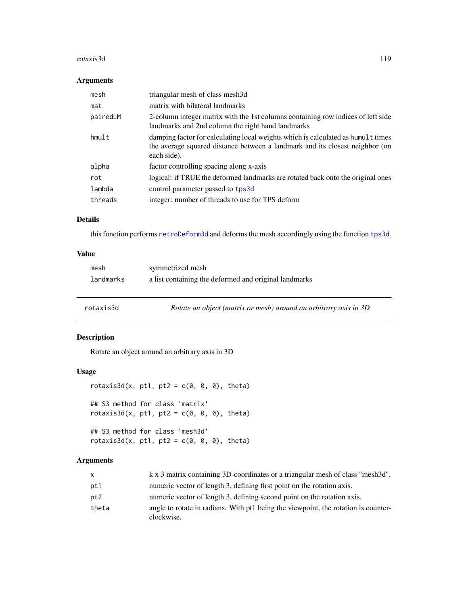#### rotaxis3d 119

#### Arguments

| mesh     | triangular mesh of class mesh3d                                                                                                                                                 |
|----------|---------------------------------------------------------------------------------------------------------------------------------------------------------------------------------|
| mat      | matrix with bilateral landmarks                                                                                                                                                 |
| pairedLM | 2-column integer matrix with the 1st columns containing row indices of left side<br>landmarks and 2nd column the right hand landmarks                                           |
| hmu1t    | damping factor for calculating local weights which is calculated as humult times<br>the average squared distance between a landmark and its closest neighbor (on<br>each side). |
| alpha    | factor controlling spacing along x-axis                                                                                                                                         |
| rot      | logical: if TRUE the deformed landmarks are rotated back onto the original ones                                                                                                 |
| lambda   | control parameter passed to tps3d                                                                                                                                               |
| threads  | integer: number of threads to use for TPS deform                                                                                                                                |

# Details

this function performs [retroDeform3d](#page-117-0) and deforms the mesh accordingly using the function [tps3d](#page-133-0).

# Value

<span id="page-118-0"></span>

| rotaxis3d | Rotate an object (matrix or mesh) around an arbitrary axis in 3D |
|-----------|------------------------------------------------------------------|
| landmarks | a list containing the deformed and original landmarks            |
| mesh      | symmetrized mesh                                                 |

# Description

Rotate an object around an arbitrary axis in 3D

# Usage

```
rotaxis3d(x, pt1, pt2 = c(0, 0, 0), theta)## S3 method for class 'matrix'
rotaxis3d(x, pt1, pt2 = c(\theta, \theta, \theta), theta)
## S3 method for class 'mesh3d'
rotaxis3d(x, pt1, pt2 = c(\theta, \theta, \theta), theta)
```

| $\mathsf{x}$ | k x 3 matrix containing 3D-coordinates or a triangular mesh of class "mesh3d".                   |
|--------------|--------------------------------------------------------------------------------------------------|
| pt1          | numeric vector of length 3, defining first point on the rotation axis.                           |
| pt2          | numeric vector of length 3, defining second point on the rotation axis.                          |
| theta        | angle to rotate in radians. With pt1 being the viewpoint, the rotation is counter-<br>clockwise. |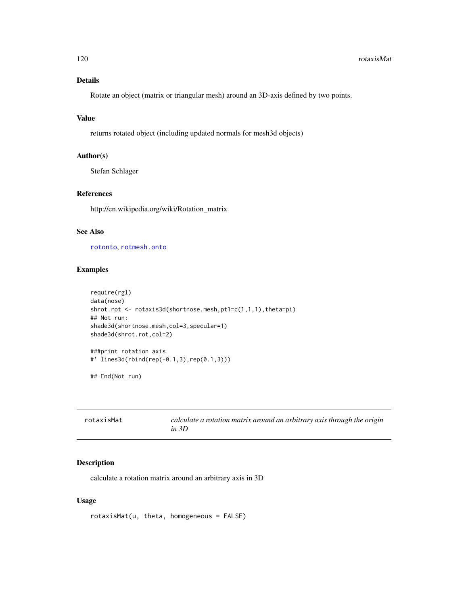#### 120 rotaxisMat

# Details

Rotate an object (matrix or triangular mesh) around an 3D-axis defined by two points.

# Value

returns rotated object (including updated normals for mesh3d objects)

#### Author(s)

Stefan Schlager

# References

http://en.wikipedia.org/wiki/Rotation\_matrix

# See Also

[rotonto](#page-122-0), [rotmesh.onto](#page-120-0)

# Examples

```
require(rgl)
data(nose)
shrot.rot <- rotaxis3d(shortnose.mesh, pt1=c(1,1,1), theta=pi)
## Not run:
shade3d(shortnose.mesh,col=3,specular=1)
shade3d(shrot.rot,col=2)
###print rotation axis
#' lines3d(rbind(rep(-0.1,3),rep(0.1,3)))
## End(Not run)
```

| rotaxisMat | calculate a rotation matrix around an arbitrary axis through the origin |
|------------|-------------------------------------------------------------------------|
|            | in $3D$                                                                 |

# Description

calculate a rotation matrix around an arbitrary axis in 3D

# Usage

rotaxisMat(u, theta, homogeneous = FALSE)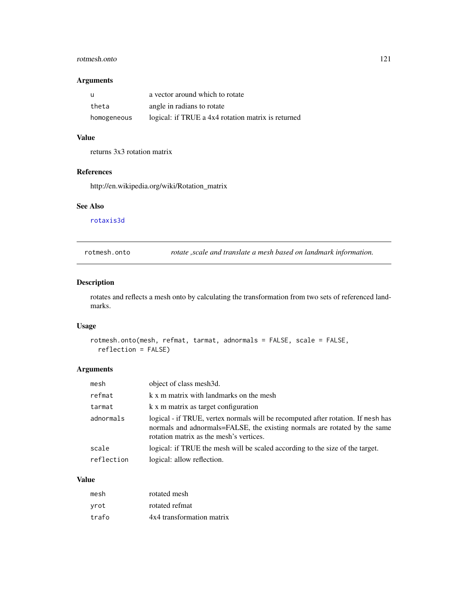#### rotmesh.onto 121

#### Arguments

| - u         | a vector around which to rotate                    |
|-------------|----------------------------------------------------|
| theta       | angle in radians to rotate                         |
| homogeneous | logical: if TRUE a 4x4 rotation matrix is returned |

# Value

returns 3x3 rotation matrix

# References

http://en.wikipedia.org/wiki/Rotation\_matrix

#### See Also

[rotaxis3d](#page-118-0)

<span id="page-120-0"></span>rotmesh.onto *rotate ,scale and translate a mesh based on landmark information.*

# Description

rotates and reflects a mesh onto by calculating the transformation from two sets of referenced landmarks.

# Usage

```
rotmesh.onto(mesh, refmat, tarmat, adnormals = FALSE, scale = FALSE,
 reflection = FALSE)
```
# Arguments

| object of class mesh3d.                                                                                                                                                                                  |
|----------------------------------------------------------------------------------------------------------------------------------------------------------------------------------------------------------|
| k x m matrix with landmarks on the mesh                                                                                                                                                                  |
| k x m matrix as target configuration                                                                                                                                                                     |
| logical - if TRUE, vertex normals will be recomputed after rotation. If mesh has<br>normals and adnormals=FALSE, the existing normals are rotated by the same<br>rotation matrix as the mesh's vertices. |
| logical: if TRUE the mesh will be scaled according to the size of the target.                                                                                                                            |
| logical: allow reflection.                                                                                                                                                                               |
|                                                                                                                                                                                                          |

#### Value

| mesh  | rotated mesh              |
|-------|---------------------------|
| vrot  | rotated refmat            |
| trafo | 4x4 transformation matrix |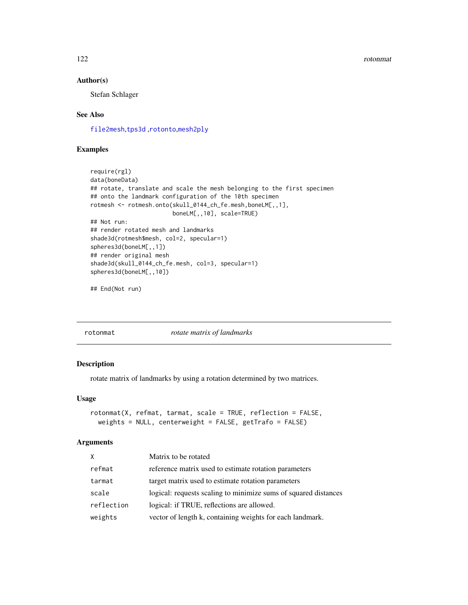#### 122 rotonmat and the contract of the contract of the contract of the contract of the contract of the contract of the contract of the contract of the contract of the contract of the contract of the contract of the contract

#### Author(s)

Stefan Schlager

# See Also

[file2mesh](#page-40-0),[tps3d](#page-133-0) ,[rotonto](#page-122-0),[mesh2ply](#page-61-0)

### Examples

```
require(rgl)
data(boneData)
## rotate, translate and scale the mesh belonging to the first specimen
## onto the landmark configuration of the 10th specimen
rotmesh <- rotmesh.onto(skull_0144_ch_fe.mesh,boneLM[,,1],
                        boneLM[,,10], scale=TRUE)
## Not run:
## render rotated mesh and landmarks
shade3d(rotmesh$mesh, col=2, specular=1)
spheres3d(boneLM[,,1])
## render original mesh
shade3d(skull_0144_ch_fe.mesh, col=3, specular=1)
spheres3d(boneLM[,,10])
```

```
## End(Not run)
```
rotonmat *rotate matrix of landmarks*

#### Description

rotate matrix of landmarks by using a rotation determined by two matrices.

#### Usage

```
rotonmat(X, refmat, tarmat, scale = TRUE, reflection = FALSE,
 weights = NULL, centerweight = FALSE, getTrafo = FALSE)
```

| X          | Matrix to be rotated                                            |
|------------|-----------------------------------------------------------------|
| refmat     | reference matrix used to estimate rotation parameters           |
| tarmat     | target matrix used to estimate rotation parameters              |
| scale      | logical: requests scaling to minimize sums of squared distances |
| reflection | logical: if TRUE, reflections are allowed.                      |
| weights    | vector of length k, containing weights for each landmark.       |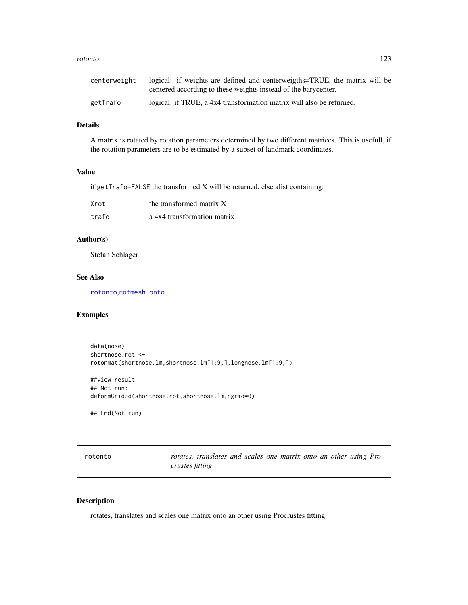#### rotonto 123

| centerweight | logical: if weights are defined and centerweigths=TRUE, the matrix will be<br>centered according to these weights instead of the barycenter. |
|--------------|----------------------------------------------------------------------------------------------------------------------------------------------|
| getTrafo     | logical: if TRUE, a 4x4 transformation matrix will also be returned.                                                                         |

# Details

A matrix is rotated by rotation parameters determined by two different matrices. This is usefull, if the rotation parameters are to be estimated by a subset of landmark coordinates.

# Value

if getTrafo=FALSE the transformed X will be returned, else alist containing:

| Xrot  | the transformed matrix X    |
|-------|-----------------------------|
| trafo | a 4x4 transformation matrix |

# Author(s)

Stefan Schlager

# See Also

[rotonto](#page-122-0),[rotmesh.onto](#page-120-0)

# Examples

```
data(nose)
shortnose.rot <-
rotonmat(shortnose.lm,shortnose.lm[1:9,],longnose.lm[1:9,])
##view result
## Not run:
deformGrid3d(shortnose.rot,shortnose.lm,ngrid=0)
## End(Not run)
```
<span id="page-122-0"></span>

| rotonto |                        | rotates, translates and scales one matrix onto an other using Pro- |  |  |  |  |  |
|---------|------------------------|--------------------------------------------------------------------|--|--|--|--|--|
|         | <i>crustes fitting</i> |                                                                    |  |  |  |  |  |

# Description

rotates, translates and scales one matrix onto an other using Procrustes fitting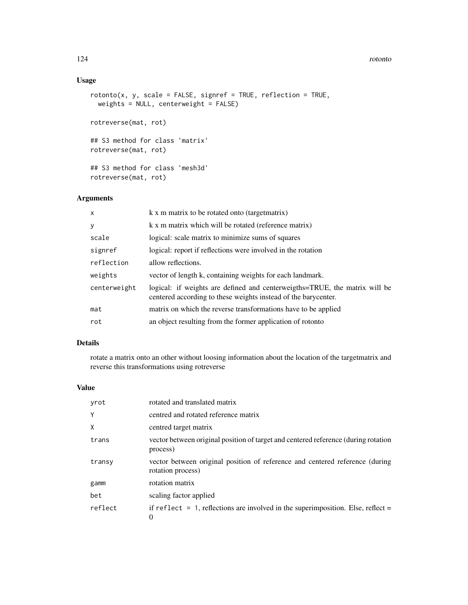#### 124 rotonto

# Usage

```
rotonto(x, y, scale = FALSE, signeref = TRUE, reflection = TRUE,weights = NULL, centerweight = FALSE)
rotreverse(mat, rot)
## S3 method for class 'matrix'
rotreverse(mat, rot)
## S3 method for class 'mesh3d'
rotreverse(mat, rot)
```
# Arguments

| x            | k x m matrix to be rotated onto (target matrix)                                                                                              |
|--------------|----------------------------------------------------------------------------------------------------------------------------------------------|
| y            | k x m matrix which will be rotated (reference matrix)                                                                                        |
| scale        | logical: scale matrix to minimize sums of squares                                                                                            |
| signref      | logical: report if reflections were involved in the rotation                                                                                 |
| reflection   | allow reflections.                                                                                                                           |
| weights      | vector of length k, containing weights for each landmark.                                                                                    |
| centerweight | logical: if weights are defined and centerweigths=TRUE, the matrix will be<br>centered according to these weights instead of the barycenter. |
| mat          | matrix on which the reverse transformations have to be applied                                                                               |
| rot          | an object resulting from the former application of rotonto                                                                                   |

# Details

rotate a matrix onto an other without loosing information about the location of the targetmatrix and reverse this transformations using rotreverse

# Value

| yrot    | rotated and translated matrix                                                                           |
|---------|---------------------------------------------------------------------------------------------------------|
| Y       | centred and rotated reference matrix                                                                    |
| X       | centred target matrix                                                                                   |
| trans   | vector between original position of target and centered reference (during rotation<br>process)          |
| transy  | vector between original position of reference and centered reference (during<br>rotation process)       |
| gamm    | rotation matrix                                                                                         |
| bet     | scaling factor applied                                                                                  |
| reflect | if reflect $= 1$ , reflections are involved in the superimposition. Else, reflect $=$<br>$\overline{0}$ |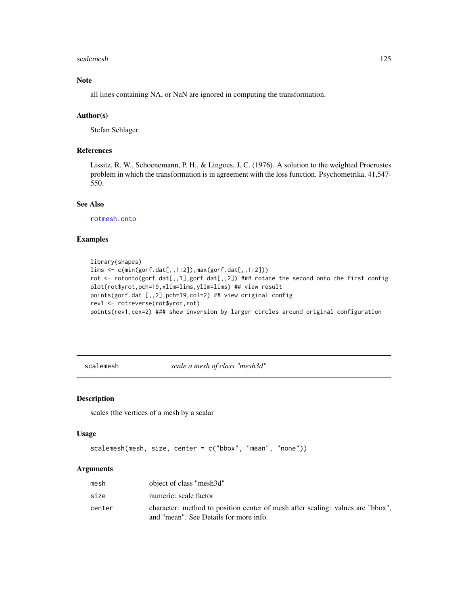#### scalemesh and the set of the set of the set of the set of the set of the set of the set of the set of the set of the set of the set of the set of the set of the set of the set of the set of the set of the set of the set of

# Note

all lines containing NA, or NaN are ignored in computing the transformation.

#### Author(s)

Stefan Schlager

# References

Lissitz, R. W., Schoenemann, P. H., & Lingoes, J. C. (1976). A solution to the weighted Procrustes problem in which the transformation is in agreement with the loss function. Psychometrika, 41,547- 550.

#### See Also

[rotmesh.onto](#page-120-0)

#### Examples

```
library(shapes)
lims <- c(min(gorf.dat[,,1:2]),max(gorf.dat[,,1:2]))
rot <- rotonto(gorf.dat[,,1],gorf.dat[,,2]) ### rotate the second onto the first config
plot(rot$yrot,pch=19,xlim=lims,ylim=lims) ## view result
points(gorf.dat [,,2],pch=19,col=2) ## view original config
rev1 <- rotreverse(rot$yrot,rot)
points(rev1,cex=2) ### show inversion by larger circles around original configuration
```
scalemesh *scale a mesh of class "mesh3d"*

# Description

scales (the vertices of a mesh by a scalar

#### Usage

```
scalemesh(mesh, size, center = c("bbox", "mean", "none"))
```

| mesh   | object of class "mesh3d"                                                                                                 |
|--------|--------------------------------------------------------------------------------------------------------------------------|
| size   | numeric: scale factor                                                                                                    |
| center | character: method to position center of mesh after scaling: values are "bbox".<br>and "mean". See Details for more info. |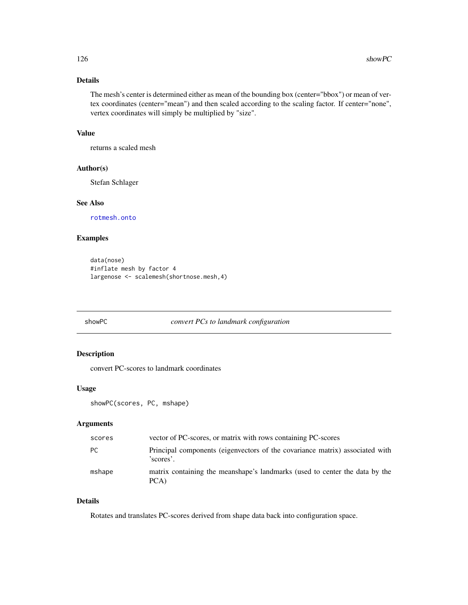# Details

The mesh's center is determined either as mean of the bounding box (center="bbox") or mean of vertex coordinates (center="mean") and then scaled according to the scaling factor. If center="none", vertex coordinates will simply be multiplied by "size".

#### Value

returns a scaled mesh

# Author(s)

Stefan Schlager

#### See Also

[rotmesh.onto](#page-120-0)

#### Examples

```
data(nose)
#inflate mesh by factor 4
largenose <- scalemesh(shortnose.mesh,4)
```
# showPC *convert PCs to landmark configuration*

# Description

convert PC-scores to landmark coordinates

# Usage

showPC(scores, PC, mshape)

# Arguments

| scores | vector of PC-scores, or matrix with rows containing PC-scores                             |
|--------|-------------------------------------------------------------------------------------------|
| PC.    | Principal components (eigenvectors of the covariance matrix) associated with<br>'scores'. |
| mshape | matrix containing the meanshape's landmarks (used to center the data by the<br>PCA)       |

# Details

Rotates and translates PC-scores derived from shape data back into configuration space.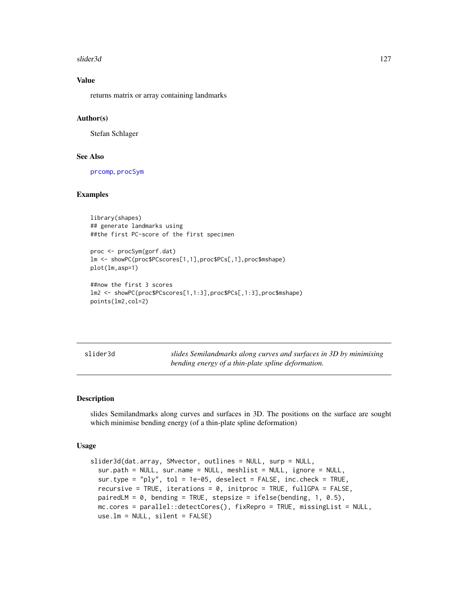#### slider3d 127

# Value

returns matrix or array containing landmarks

#### Author(s)

Stefan Schlager

# See Also

[prcomp](#page-0-0), [procSym](#page-95-0)

#### Examples

library(shapes) ## generate landmarks using ##the first PC-score of the first specimen

```
proc <- procSym(gorf.dat)
lm <- showPC(proc$PCscores[1,1],proc$PCs[,1],proc$mshape)
plot(lm,asp=1)
```

```
##now the first 3 scores
lm2 <- showPC(proc$PCscores[1,1:3],proc$PCs[,1:3],proc$mshape)
points(lm2,col=2)
```
<span id="page-126-0"></span>slider3d *slides Semilandmarks along curves and surfaces in 3D by minimising bending energy of a thin-plate spline deformation.*

#### Description

slides Semilandmarks along curves and surfaces in 3D. The positions on the surface are sought which minimise bending energy (of a thin-plate spline deformation)

#### Usage

```
slider3d(dat.array, SMvector, outlines = NULL, surp = NULL,
 sur.path = NULL, sur.name = NULL, meshlist = NULL, ignore = NULL,
  sur.type = "ply", tol = 1e-05, deselect = FALSE, inc.check = TRUE,
  recursive = TRUE, iterations = 0, initproc = TRUE, fullGPA = FALSE,
 pairedLM = 0, bending = TRUE, stepsize = ifelse(bending, 1, 0.5),
 mc.cores = parallel::detectCores(), fixRepro = TRUE, missingList = NULL,
 use.lm = NULL, silent = FALSE)
```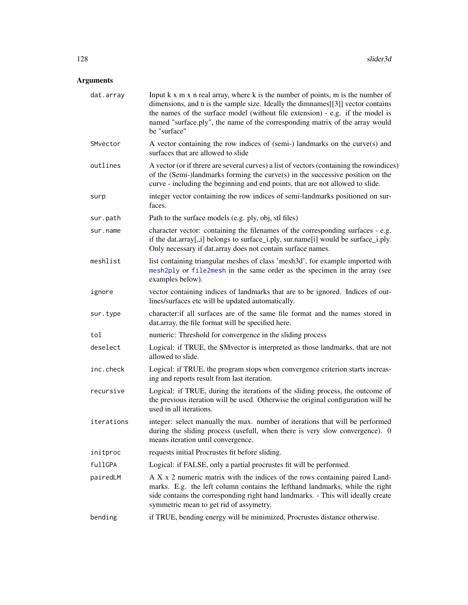| dat.array  | Input $k \times m \times n$ real array, where $k$ is the number of points, $m$ is the number of<br>dimensions, and n is the sample size. Ideally the dimnames[[3]] vector contains<br>the names of the surface model (without file extension) - e.g. if the model is<br>named "surface.ply", the name of the corresponding matrix of the array would<br>be "surface" |
|------------|----------------------------------------------------------------------------------------------------------------------------------------------------------------------------------------------------------------------------------------------------------------------------------------------------------------------------------------------------------------------|
| SMvector   | A vector containing the row indices of (semi-) landmarks on the curve(s) and<br>surfaces that are allowed to slide                                                                                                                                                                                                                                                   |
| outlines   | A vector (or if threre are several curves) a list of vectors (containing the rowindices)<br>of the (Semi-)landmarks forming the curve(s) in the successive position on the<br>curve - including the beginning and end points, that are not allowed to slide.                                                                                                         |
| surp       | integer vector containing the row indices of semi-landmarks positioned on sur-<br>faces.                                                                                                                                                                                                                                                                             |
| sur.path   | Path to the surface models (e.g. ply, obj, stl files)                                                                                                                                                                                                                                                                                                                |
| sur.name   | character vector: containing the filenames of the corresponding surfaces - e.g.<br>if the dat.array[,,i] belongs to surface_i.ply, sur.name[i] would be surface_i.ply.<br>Only necessary if dat.array does not contain surface names.                                                                                                                                |
| meshlist   | list containing triangular meshes of class 'mesh3d', for example imported with<br>mesh2ply or file2mesh in the same order as the specimen in the array (see<br>examples below).                                                                                                                                                                                      |
| ignore     | vector containing indices of landmarks that are to be ignored. Indices of out-<br>lines/surfaces etc will be updated automatically.                                                                                                                                                                                                                                  |
| sur.type   | character: if all surfaces are of the same file format and the names stored in<br>dat.array, the file format will be specified here.                                                                                                                                                                                                                                 |
| tol        | numeric: Threshold for convergence in the sliding process                                                                                                                                                                                                                                                                                                            |
| deselect   | Logical: if TRUE, the SM vector is interpreted as those landmarks, that are not<br>allowed to slide.                                                                                                                                                                                                                                                                 |
| inc.check  | Logical: if TRUE, the program stops when convergence criterion starts increas-<br>ing and reports result from last iteration.                                                                                                                                                                                                                                        |
| recursive  | Logical: if TRUE, during the iterations of the sliding process, the outcome of<br>the previous iteration will be used. Otherwise the original configuration will be<br>used in all iterations.                                                                                                                                                                       |
| iterations | integer: select manually the max. number of iterations that will be performed<br>during the sliding process (usefull, when there is very slow convergence). 0<br>means iteration until convergence.                                                                                                                                                                  |
| initproc   | requests initial Procrustes fit before sliding.                                                                                                                                                                                                                                                                                                                      |
| fullGPA    | Logical: if FALSE, only a partial procrustes fit will be performed.                                                                                                                                                                                                                                                                                                  |
| pairedLM   | A X x 2 numeric matrix with the indices of the rows containing paired Land-<br>marks. E.g. the left column contains the lefthand landmarks, while the right<br>side contains the corresponding right hand landmarks. - This will ideally create<br>symmetric mean to get rid of assymetry.                                                                           |
| bending    | if TRUE, bending energy will be minimized, Procrustes distance otherwise.                                                                                                                                                                                                                                                                                            |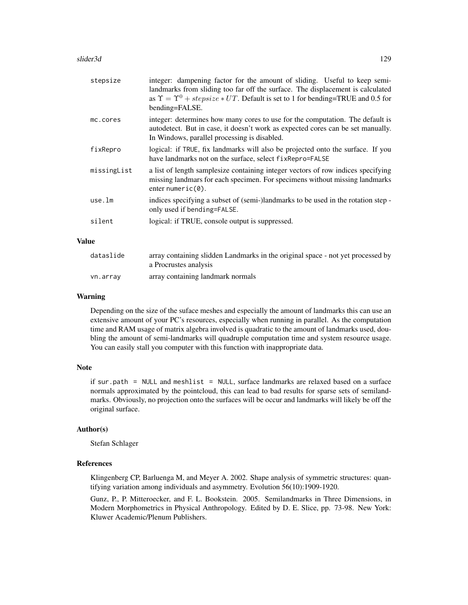| stepsize    | integer: dampening factor for the amount of sliding. Useful to keep semi-<br>landmarks from sliding too far off the surface. The displacement is calculated<br>as $\Upsilon = \Upsilon^0 + stepsize * UT$ . Default is set to 1 for bending=TRUE and 0.5 for<br>bending=FALSE. |
|-------------|--------------------------------------------------------------------------------------------------------------------------------------------------------------------------------------------------------------------------------------------------------------------------------|
| mc.cores    | integer: determines how many cores to use for the computation. The default is<br>autodetect. But in case, it doesn't work as expected cores can be set manually.<br>In Windows, parallel processing is disabled.                                                               |
| fixRepro    | logical: if TRUE, fix landmarks will also be projected onto the surface. If you<br>have landmarks not on the surface, select fixRepro=FALSE                                                                                                                                    |
| missingList | a list of length samplesize containing integer vectors of row indices specifying<br>missing landmars for each specimen. For specimens without missing landmarks<br>enter numeric $(0)$ .                                                                                       |
| use.lm      | indices specifying a subset of (semi-)landmarks to be used in the rotation step -<br>only used if bending=FALSE.                                                                                                                                                               |
| silent      | logical: if TRUE, console output is suppressed.                                                                                                                                                                                                                                |
| Value       |                                                                                                                                                                                                                                                                                |

# dataslide array containing slidden Landmarks in the original space - not yet processed by a Procrustes analysis

# vn.array array containing landmark normals

#### Warning

Depending on the size of the suface meshes and especially the amount of landmarks this can use an extensive amount of your PC's resources, especially when running in parallel. As the computation time and RAM usage of matrix algebra involved is quadratic to the amount of landmarks used, doubling the amount of semi-landmarks will quadruple computation time and system resource usage. You can easily stall you computer with this function with inappropriate data.

#### Note

if sur.path = NULL and meshlist = NULL, surface landmarks are relaxed based on a surface normals approximated by the pointcloud, this can lead to bad results for sparse sets of semilandmarks. Obviously, no projection onto the surfaces will be occur and landmarks will likely be off the original surface.

#### Author(s)

Stefan Schlager

#### References

Klingenberg CP, Barluenga M, and Meyer A. 2002. Shape analysis of symmetric structures: quantifying variation among individuals and asymmetry. Evolution 56(10):1909-1920.

Gunz, P., P. Mitteroecker, and F. L. Bookstein. 2005. Semilandmarks in Three Dimensions, in Modern Morphometrics in Physical Anthropology. Edited by D. E. Slice, pp. 73-98. New York: Kluwer Academic/Plenum Publishers.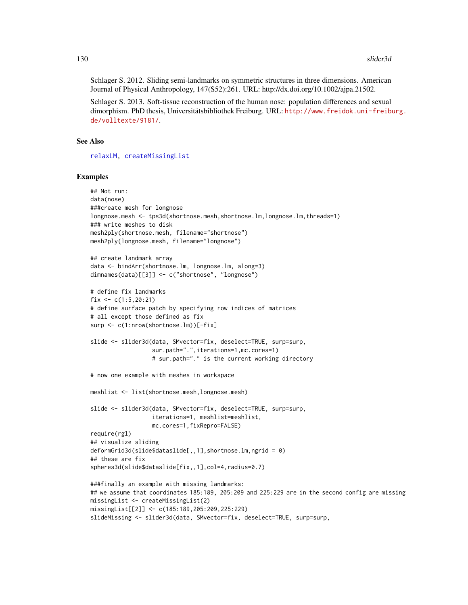Schlager S. 2012. Sliding semi-landmarks on symmetric structures in three dimensions. American Journal of Physical Anthropology, 147(S52):261. URL: http://dx.doi.org/10.1002/ajpa.21502.

Schlager S. 2013. Soft-tissue reconstruction of the human nose: population differences and sexual dimorphism. PhD thesis, Universitätsbibliothek Freiburg. URL: [http://www.freidok.uni-freibu](http://www.freidok.uni-freiburg.de/volltexte/9181/)rg. [de/volltexte/9181/](http://www.freidok.uni-freiburg.de/volltexte/9181/).

#### See Also

[relaxLM,](#page-110-0) [createMissingList](#page-26-0)

#### Examples

```
## Not run:
data(nose)
###create mesh for longnose
longnose.mesh <- tps3d(shortnose.mesh,shortnose.lm,longnose.lm,threads=1)
### write meshes to disk
mesh2ply(shortnose.mesh, filename="shortnose")
mesh2ply(longnose.mesh, filename="longnose")
## create landmark array
data <- bindArr(shortnose.lm, longnose.lm, along=3)
dimnames(data)[[3]] <- c("shortnose", "longnose")
# define fix landmarks
fix \leq c(1:5,20:21)
# define surface patch by specifying row indices of matrices
# all except those defined as fix
surp <- c(1:nrow(shortnose.lm))[-fix]
slide <- slider3d(data, SMvector=fix, deselect=TRUE, surp=surp,
                  sur.path=".",iterations=1,mc.cores=1)
                  # sur.path="." is the current working directory
# now one example with meshes in workspace
meshlist <- list(shortnose.mesh,longnose.mesh)
slide <- slider3d(data, SMvector=fix, deselect=TRUE, surp=surp,
                  iterations=1, meshlist=meshlist,
                  mc.cores=1,fixRepro=FALSE)
require(rgl)
## visualize sliding
deformGrid3d(slide$dataslide[,,1],shortnose.lm,ngrid = 0)
## these are fix
spheres3d(slide$dataslide[fix,,1],col=4,radius=0.7)
###finally an example with missing landmarks:
## we assume that coordinates 185:189, 205:209 and 225:229 are in the second config are missing
missingList <- createMissingList(2)
missingList[[2]] <- c(185:189,205:209,225:229)
slideMissing <- slider3d(data, SMvector=fix, deselect=TRUE, surp=surp,
```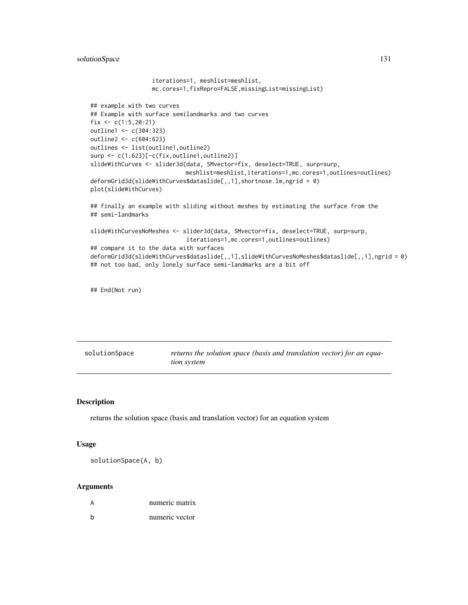solutionSpace 131

```
iterations=1, meshlist=meshlist,
                  mc.cores=1,fixRepro=FALSE,missingList=missingList)
## example with two curves
## Example with surface semilandmarks and two curves
fix \leftarrow c(1:5, 20:21)outline1 <- c(304:323)
outline2 <- c(604:623)
outlines <- list(outline1,outline2)
surp <- c(1:623)[-c(fix,outline1,outline2)]
slideWithCurves <- slider3d(data, SMvector=fix, deselect=TRUE, surp=surp,
                            meshlist=meshlist,iterations=1,mc.cores=1,outlines=outlines)
deformGrid3d(slideWithCurves$dataslide[,,1],shortnose.lm,ngrid = 0)
plot(slideWithCurves)
## finally an example with sliding without meshes by estimating the surface from the
## semi-landmarks
slideWithCurvesNoMeshes <- slider3d(data, SMvector=fix, deselect=TRUE, surp=surp,
                            iterations=1,mc.cores=1,outlines=outlines)
## compare it to the data with surfaces
deformGrid3d(slideWithCurves$dataslide[,,1],slideWithCurvesNoMeshes$dataslide[,,1],ngrid = 0)
## not too bad, only lonely surface semi-landmarks are a bit off
```
## End(Not run)

solutionSpace *returns the solution space (basis and translation vector) for an equation system*

#### Description

returns the solution space (basis and translation vector) for an equation system

#### Usage

solutionSpace(A, b)

|   | numeric matrix |
|---|----------------|
| h | numeric vector |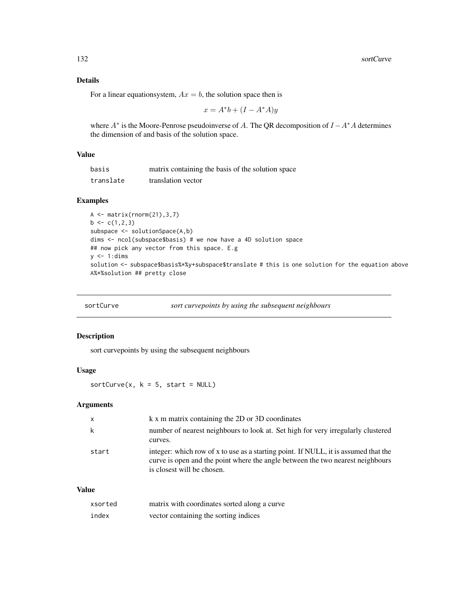# Details

For a linear equationsystem,  $Ax = b$ , the solution space then is

$$
x = A^*b + (I - A^*A)y
$$

where  $A^*$  is the Moore-Penrose pseudoinverse of A. The QR decomposition of  $I - A^*A$  determines the dimension of and basis of the solution space.

# Value

| basis     | matrix containing the basis of the solution space |
|-----------|---------------------------------------------------|
| translate | translation vector                                |

# Examples

```
A <- matrix(rnorm(21),3,7)
b \leftarrow c(1,2,3)subspace <- solutionSpace(A,b)
dims <- ncol(subspace$basis) # we now have a 4D solution space
## now pick any vector from this space. E.g
y \le -1:dims
solution <- subspace$basis%*%y+subspace$translate # this is one solution for the equation above
A%*%solution ## pretty close
```

| sortCurve | sort curvepoints by using the subsequent neighbours |  |
|-----------|-----------------------------------------------------|--|
|           |                                                     |  |

#### Description

sort curvepoints by using the subsequent neighbours

#### Usage

 $sortCurve(x, k = 5, start = NULL)$ 

#### Arguments

| X     | k x m matrix containing the 2D or 3D coordinates                                                                                                                                                    |
|-------|-----------------------------------------------------------------------------------------------------------------------------------------------------------------------------------------------------|
| k     | number of nearest neighbours to look at. Set high for very irregularly clustered<br>curves.                                                                                                         |
| start | integer: which row of x to use as a starting point. If NULL, it is assumed that the<br>curve is open and the point where the angle between the two nearest neighbours<br>is closest will be chosen. |

#### Value

| xsorted | matrix with coordinates sorted along a curve |
|---------|----------------------------------------------|
| index   | vector containing the sorting indices        |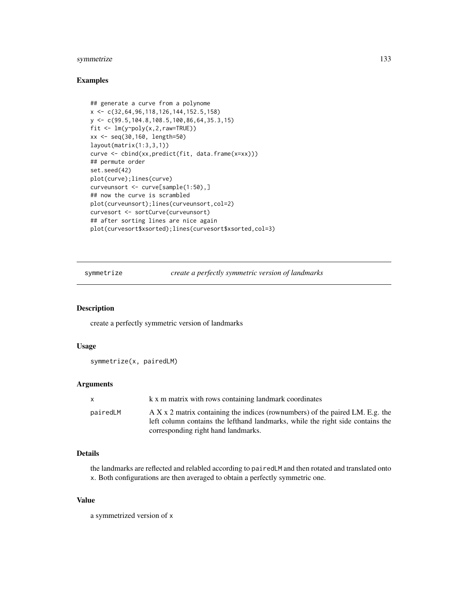# symmetrize 133

#### Examples

```
## generate a curve from a polynome
x <- c(32,64,96,118,126,144,152.5,158)
y <- c(99.5,104.8,108.5,100,86,64,35.3,15)
fit <- lm(y~poly(x,2,raw=TRUE))
xx <- seq(30,160, length=50)
layout(matrix(1:3,3,1))
curve <- cbind(xx,predict(fit, data.frame(x=xx)))
## permute order
set.seed(42)
plot(curve);lines(curve)
curveunsort <- curve[sample(1:50),]
## now the curve is scrambled
plot(curveunsort);lines(curveunsort,col=2)
curvesort <- sortCurve(curveunsort)
## after sorting lines are nice again
plot(curvesort$xsorted);lines(curvesort$xsorted,col=3)
```
symmetrize *create a perfectly symmetric version of landmarks*

#### Description

create a perfectly symmetric version of landmarks

# Usage

```
symmetrize(x, pairedLM)
```
#### Arguments

| $\mathsf{x}$ | k x m matrix with rows containing landmark coordinates                                                                                                                                                   |
|--------------|----------------------------------------------------------------------------------------------------------------------------------------------------------------------------------------------------------|
| pairedLM     | $A X x 2$ matrix containing the indices (rownumbers) of the paired LM. E.g. the<br>left column contains the lefthand landmarks, while the right side contains the<br>corresponding right hand landmarks. |

# Details

the landmarks are reflected and relabled according to pairedLM and then rotated and translated onto x. Both configurations are then averaged to obtain a perfectly symmetric one.

# Value

a symmetrized version of x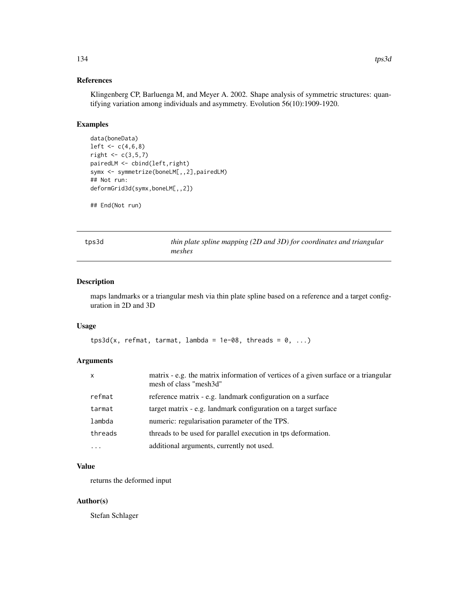# References

Klingenberg CP, Barluenga M, and Meyer A. 2002. Shape analysis of symmetric structures: quantifying variation among individuals and asymmetry. Evolution 56(10):1909-1920.

#### Examples

```
data(boneData)
left < -c(4, 6, 8)right < -c(3,5,7)pairedLM <- cbind(left,right)
symx <- symmetrize(boneLM[,,2],pairedLM)
## Not run:
deformGrid3d(symx,boneLM[,,2])
```

```
## End(Not run)
```
tps3d *thin plate spline mapping (2D and 3D) for coordinates and triangular meshes*

# Description

maps landmarks or a triangular mesh via thin plate spline based on a reference and a target configuration in 2D and 3D

#### Usage

```
tps3d(x, refmat, tarmat, lambda = 1e-08, threads = 0, ...)
```
# Arguments

| $\boldsymbol{\mathsf{x}}$ | matrix - e.g. the matrix information of vertices of a given surface or a triangular<br>mesh of class "mesh3d" |
|---------------------------|---------------------------------------------------------------------------------------------------------------|
| refmat                    | reference matrix - e.g. landmark configuration on a surface                                                   |
| tarmat                    | target matrix - e.g. landmark configuration on a target surface                                               |
| lambda                    | numeric: regularisation parameter of the TPS.                                                                 |
| threads                   | threads to be used for parallel execution in tps deformation.                                                 |
| .                         | additional arguments, currently not used.                                                                     |

# Value

returns the deformed input

#### Author(s)

Stefan Schlager

134 tps3d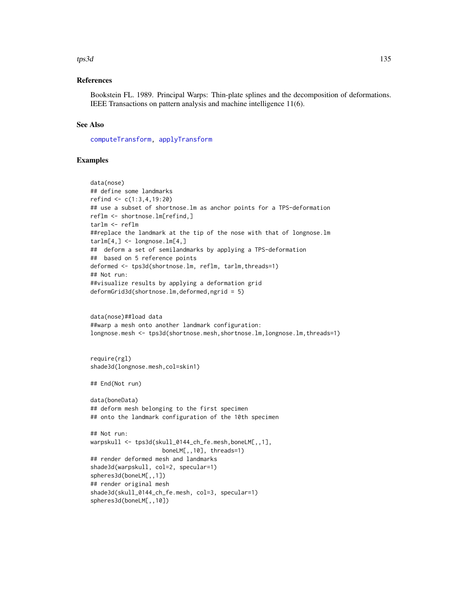#### tps3d 135

#### References

Bookstein FL. 1989. Principal Warps: Thin-plate splines and the decomposition of deformations. IEEE Transactions on pattern analysis and machine intelligence 11(6).

#### See Also

[computeTransform,](#page-19-0) [applyTransform](#page-7-0)

# Examples

```
data(nose)
## define some landmarks
refind <- c(1:3,4,19:20)
## use a subset of shortnose.lm as anchor points for a TPS-deformation
reflm <- shortnose.lm[refind,]
tarlm <- reflm
##replace the landmark at the tip of the nose with that of longnose. Im
tarlm[4, ] \leftarrow longnose.lm[4, ]## deform a set of semilandmarks by applying a TPS-deformation
## based on 5 reference points
deformed <- tps3d(shortnose.lm, reflm, tarlm,threads=1)
## Not run:
##visualize results by applying a deformation grid
deformGrid3d(shortnose.lm,deformed,ngrid = 5)
data(nose)##load data
##warp a mesh onto another landmark configuration:
longnose.mesh <- tps3d(shortnose.mesh,shortnose.lm,longnose.lm,threads=1)
require(rgl)
shade3d(longnose.mesh,col=skin1)
## End(Not run)
data(boneData)
## deform mesh belonging to the first specimen
## onto the landmark configuration of the 10th specimen
## Not run:
warpskull <- tps3d(skull_0144_ch_fe.mesh,boneLM[,,1],
                     boneLM[,,10], threads=1)
## render deformed mesh and landmarks
shade3d(warpskull, col=2, specular=1)
spheres3d(boneLM[,,1])
## render original mesh
shade3d(skull_0144_ch_fe.mesh, col=3, specular=1)
spheres3d(boneLM[,,10])
```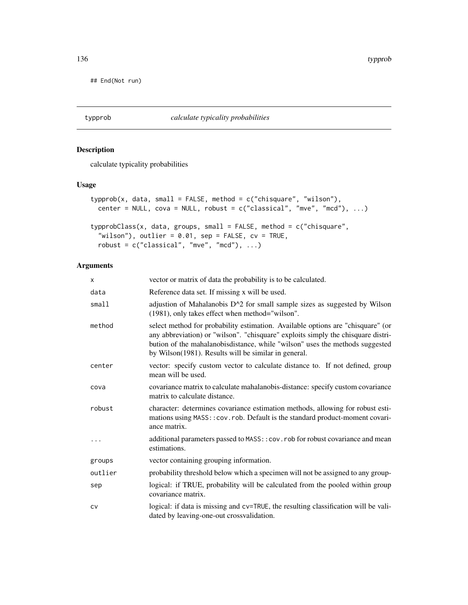## End(Not run)

typprob *calculate typicality probabilities*

# Description

calculate typicality probabilities

# Usage

```
typprob(x, data, small = FALSE, method = c("chisquare", "wilson"),center = NULL, cova = NULL, robust = c("classical", "mve", "mcd"), ...typprobClass(x, data, groups, small = FALSE, method = c("chisquare",
  "wilson"), outlier = 0.01, sep = FALSE, cv = TRUE,
```

```
robust = c("classical", "mve", "mcd"), ...
```

| X        | vector or matrix of data the probability is to be calculated.                                                                                                                                                                                                                                               |
|----------|-------------------------------------------------------------------------------------------------------------------------------------------------------------------------------------------------------------------------------------------------------------------------------------------------------------|
| data     | Reference data set. If missing x will be used.                                                                                                                                                                                                                                                              |
| small1   | adjustion of Mahalanobis D <sup><math>\wedge</math>2</sup> for small sample sizes as suggested by Wilson<br>(1981), only takes effect when method="wilson".                                                                                                                                                 |
| method   | select method for probability estimation. Available options are "chisquare" (or<br>any abbreviation) or "wilson". "chisquare" exploits simply the chisquare distri-<br>bution of the mahalanobisdistance, while "wilson" uses the methods suggested<br>by Wilson(1981). Results will be similar in general. |
| center   | vector: specify custom vector to calculate distance to. If not defined, group<br>mean will be used.                                                                                                                                                                                                         |
| cova     | covariance matrix to calculate mahalanobis-distance: specify custom covariance<br>matrix to calculate distance.                                                                                                                                                                                             |
| robust   | character: determines covariance estimation methods, allowing for robust esti-<br>mations using MASS:: cov.rob. Default is the standard product-moment covari-<br>ance matrix.                                                                                                                              |
| $\cdots$ | additional parameters passed to MASS:: cov.rob for robust covariance and mean<br>estimations.                                                                                                                                                                                                               |
| groups   | vector containing grouping information.                                                                                                                                                                                                                                                                     |
| outlier  | probability threshold below which a specimen will not be assigned to any group-                                                                                                                                                                                                                             |
| sep      | logical: if TRUE, probability will be calculated from the pooled within group<br>covariance matrix.                                                                                                                                                                                                         |
| CV       | logical: if data is missing and cv=TRUE, the resulting classification will be vali-<br>dated by leaving-one-out crossvalidation.                                                                                                                                                                            |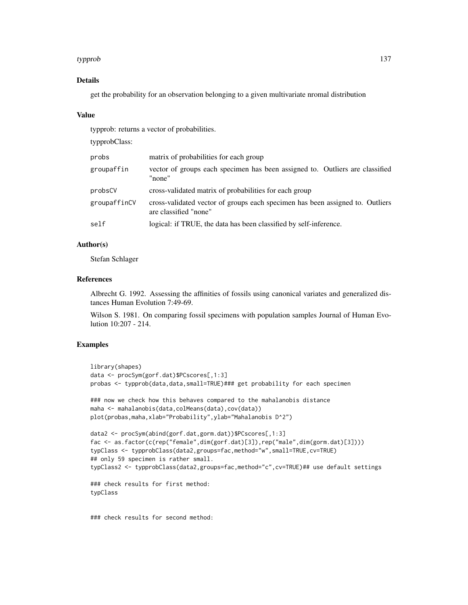#### typprob 137

# Details

get the probability for an observation belonging to a given multivariate nromal distribution

#### Value

typprob: returns a vector of probabilities.

typprobClass:

| probs        | matrix of probabilities for each group                                                                 |
|--------------|--------------------------------------------------------------------------------------------------------|
| groupaffin   | vector of groups each specimen has been assigned to. Outliers are classified<br>"none"                 |
| probsCV      | cross-validated matrix of probabilities for each group                                                 |
| groupaffinCV | cross-validated vector of groups each specimen has been assigned to. Outliers<br>are classified "none" |
| self         | logical: if TRUE, the data has been classified by self-inference.                                      |
|              |                                                                                                        |

# Author(s)

Stefan Schlager

# References

Albrecht G. 1992. Assessing the affinities of fossils using canonical variates and generalized distances Human Evolution 7:49-69.

Wilson S. 1981. On comparing fossil specimens with population samples Journal of Human Evolution 10:207 - 214.

# Examples

```
library(shapes)
data <- procSym(gorf.dat)$PCscores[,1:3]
probas <- typprob(data,data,small=TRUE)### get probability for each specimen
### now we check how this behaves compared to the mahalanobis distance
maha <- mahalanobis(data,colMeans(data),cov(data))
plot(probas,maha,xlab="Probability",ylab="Mahalanobis D^2")
data2 <- procSym(abind(gorf.dat,gorm.dat))$PCscores[,1:3]
fac <- as.factor(c(rep("female",dim(gorf.dat)[3]),rep("male",dim(gorm.dat)[3])))
typClass <- typprobClass(data2,groups=fac,method="w",small=TRUE,cv=TRUE)
## only 59 specimen is rather small.
typClass2 <- typprobClass(data2,groups=fac,method="c",cv=TRUE)## use default settings
### check results for first method:
typClass
```
### check results for second method: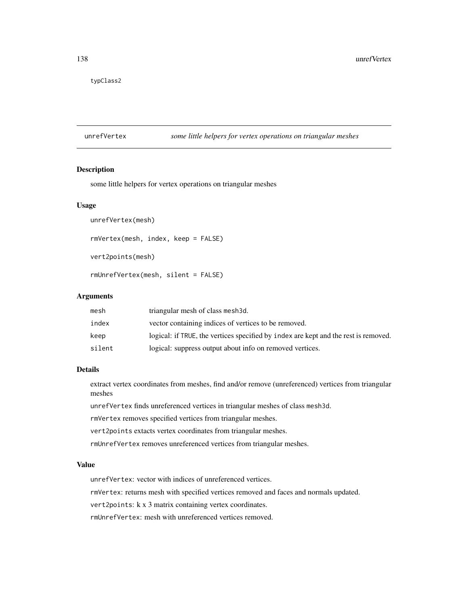typClass2

# unrefVertex *some little helpers for vertex operations on triangular meshes*

# Description

some little helpers for vertex operations on triangular meshes

#### Usage

```
unrefVertex(mesh)
```

```
rmVertex(mesh, index, keep = FALSE)
```

```
vert2points(mesh)
```
rmUnrefVertex(mesh, silent = FALSE)

#### Arguments

| mesh   | triangular mesh of class mesh 3d.                                                   |
|--------|-------------------------------------------------------------------------------------|
| index  | vector containing indices of vertices to be removed.                                |
| keep   | logical: if TRUE, the vertices specified by index are kept and the rest is removed. |
| silent | logical: suppress output about info on removed vertices.                            |

# Details

extract vertex coordinates from meshes, find and/or remove (unreferenced) vertices from triangular meshes

unrefVertex finds unreferenced vertices in triangular meshes of class mesh3d.

rmVertex removes specified vertices from triangular meshes.

vert2points extacts vertex coordinates from triangular meshes.

rmUnrefVertex removes unreferenced vertices from triangular meshes.

#### Value

unrefVertex: vector with indices of unreferenced vertices.

rmVertex: returns mesh with specified vertices removed and faces and normals updated.

vert2points: k x 3 matrix containing vertex coordinates.

rmUnrefVertex: mesh with unreferenced vertices removed.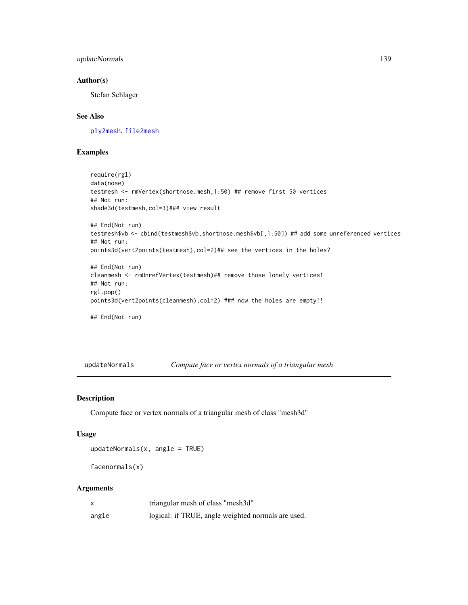# updateNormals 139

# Author(s)

Stefan Schlager

# See Also

[ply2mesh](#page-40-1), [file2mesh](#page-40-0)

# Examples

```
require(rgl)
data(nose)
testmesh <- rmVertex(shortnose.mesh,1:50) ## remove first 50 vertices
## Not run:
shade3d(testmesh,col=3)### view result
## End(Not run)
testmesh$vb <- cbind(testmesh$vb,shortnose.mesh$vb[,1:50]) ## add some unreferenced vertices
## Not run:
points3d(vert2points(testmesh),col=2)## see the vertices in the holes?
## End(Not run)
cleanmesh <- rmUnrefVertex(testmesh)## remove those lonely vertices!
## Not run:
rgl.pop()
points3d(vert2points(cleanmesh),col=2) ### now the holes are empty!!
## End(Not run)
```
updateNormals *Compute face or vertex normals of a triangular mesh*

#### Description

Compute face or vertex normals of a triangular mesh of class "mesh3d"

#### Usage

```
updateNormals(x, angle = TRUE)
```

```
facenormals(x)
```

|       | triangular mesh of class "mesh3d"                  |
|-------|----------------------------------------------------|
| angle | logical: if TRUE, angle weighted normals are used. |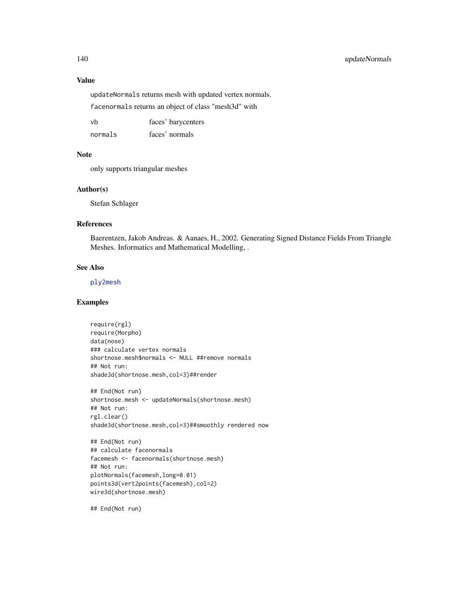# 140 updateNormals

#### Value

updateNormals returns mesh with updated vertex normals.

facenormals returns an object of class "mesh3d" with

| vh      | faces' barycenters |
|---------|--------------------|
| normals | faces' normals     |

#### Note

only supports triangular meshes

#### Author(s)

Stefan Schlager

#### References

Baerentzen, Jakob Andreas. & Aanaes, H., 2002. Generating Signed Distance Fields From Triangle Meshes. Informatics and Mathematical Modelling, .

#### See Also

[ply2mesh](#page-40-1)

# Examples

require(rgl) require(Morpho) data(nose) ### calculate vertex normals shortnose.mesh\$normals <- NULL ##remove normals ## Not run: shade3d(shortnose.mesh,col=3)##render

```
## End(Not run)
shortnose.mesh <- updateNormals(shortnose.mesh)
## Not run:
rgl.clear()
shade3d(shortnose.mesh,col=3)##smoothly rendered now
```

```
## End(Not run)
## calculate facenormals
facemesh <- facenormals(shortnose.mesh)
## Not run:
plotNormals(facemesh,long=0.01)
points3d(vert2points(facemesh),col=2)
wire3d(shortnose.mesh)
```
## End(Not run)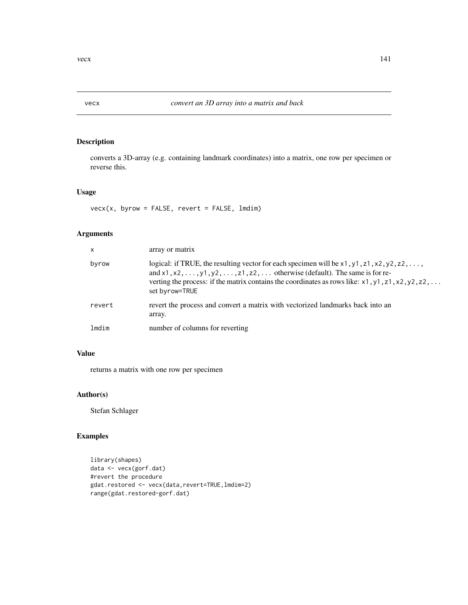# Description

converts a 3D-array (e.g. containing landmark coordinates) into a matrix, one row per specimen or reverse this.

# Usage

 $vec(x, byrow = FALSE, revert = FALSE, Indim)$ 

# Arguments

| X      | array or matrix                                                                                                                                                                                                                                                                                                                    |
|--------|------------------------------------------------------------------------------------------------------------------------------------------------------------------------------------------------------------------------------------------------------------------------------------------------------------------------------------|
| byrow  | logical: if TRUE, the resulting vector for each specimen will be $x1, y1, z1, x2, y2, z2, \ldots$<br>and $x1, x2, \ldots, y1, y2, \ldots, z1, z2, \ldots$ otherwise (default). The same is for re-<br>verting the process: if the matrix contains the coordinates as rows like: $x1, y1, z1, x2, y2, z2, \ldots$<br>set byrow=TRUE |
| revert | revert the process and convert a matrix with vectorized landmarks back into an<br>array.                                                                                                                                                                                                                                           |
| lmdim  | number of columns for reverting                                                                                                                                                                                                                                                                                                    |

# Value

returns a matrix with one row per specimen

# Author(s)

Stefan Schlager

# Examples

```
library(shapes)
data <- vecx(gorf.dat)
#revert the procedure
gdat.restored <- vecx(data,revert=TRUE,lmdim=2)
range(gdat.restored-gorf.dat)
```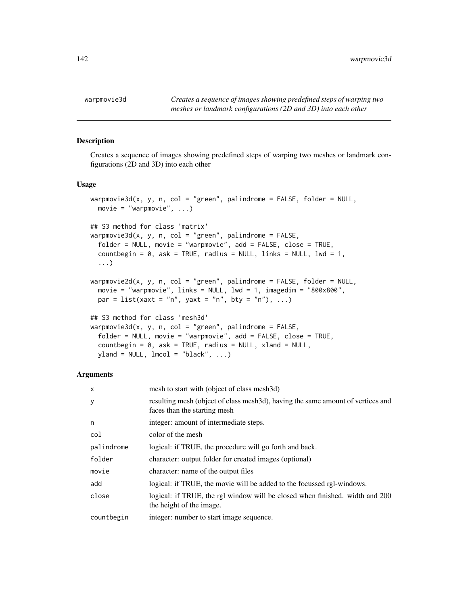#### Description

Creates a sequence of images showing predefined steps of warping two meshes or landmark configurations (2D and 3D) into each other

# Usage

```
warpmovie3d(x, y, n, col = "green", palindrome = FALSE, folder = NULL,
 movie = "warpmovie", \ldots)
## S3 method for class 'matrix'
warpmovie3d(x, y, n, col = "green", palindrome = FALSE,
  folder = NULL, movie = "warpmovie", add = FALSE, close = TRUE,
  countbegin = 0, ask = TRUE, radius = NULL, links = NULL, lwd = 1,
  ...)
warpmovie2d(x, y, n, col = "green", palindrome = FALSE, folder = NULL,
  movie = "warpmovie", links = NULL, lwd = 1, imagedim = "800x800",
 par = list(xaxt = "n", yaxt = "n", bty = "n"), ...## S3 method for class 'mesh3d'
warpmovie3d(x, y, n, col = "green", palindrome = FALSE,
  folder = NULL, movie = "warpmovie", add = FALSE, close = TRUE,
  countbegin = 0, ask = TRUE, radius = NULL, xland = NULL,
```
#### Arguments

yland = NULL, lmcol = "black", ...)

| mesh to start with (object of class mesh3d)                                                                     |
|-----------------------------------------------------------------------------------------------------------------|
| resulting mesh (object of class mesh3d), having the same amount of vertices and<br>faces than the starting mesh |
| integer: amount of intermediate steps.                                                                          |
| color of the mesh                                                                                               |
| logical: if TRUE, the procedure will go forth and back.                                                         |
| character: output folder for created images (optional)                                                          |
| character: name of the output files                                                                             |
| logical: if TRUE, the movie will be added to the focussed rgl-windows.                                          |
| logical: if TRUE, the rgl window will be closed when finished. width and 200<br>the height of the image.        |
| integer: number to start image sequence.                                                                        |
|                                                                                                                 |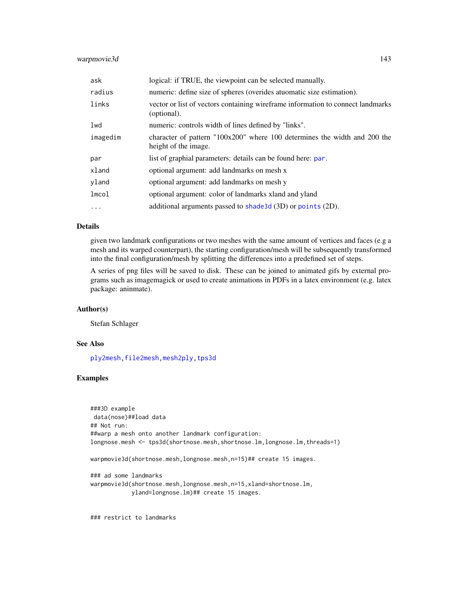# warpmovie3d 143

| ask       | logical: if TRUE, the viewpoint can be selected manually.                                           |
|-----------|-----------------------------------------------------------------------------------------------------|
| radius    | numeric: define size of spheres (overides atuomatic size estimation).                               |
| links     | vector or list of vectors containing wireframe information to connect landmarks<br>(optional).      |
| lwd       | numeric: controls width of lines defined by "links".                                                |
| imagedim  | character of pattern $100x200$ " where 100 determines the width and 200 the<br>height of the image. |
| par       | list of graphial parameters: details can be found here: par.                                        |
| xland     | optional argument: add landmarks on mesh x                                                          |
| yland     | optional argument: add landmarks on mesh y                                                          |
| lmcol     | optional argument: color of landmarks xland and yland                                               |
| $\ddotsc$ | additional arguments passed to shade 3d (3D) or points (2D).                                        |

#### Details

given two landmark configurations or two meshes with the same amount of vertices and faces (e.g a mesh and its warped counterpart), the starting configuration/mesh will be subsequently transformed into the final configuration/mesh by splitting the differences into a predefined set of steps.

A series of png files will be saved to disk. These can be joined to animated gifs by external programs such as imagemagick or used to create animations in PDFs in a latex environment (e.g. latex package: aninmate).

#### Author(s)

Stefan Schlager

# See Also

[ply2mesh](#page-40-1)[,file2mesh](#page-40-0)[,mesh2ply,](#page-61-0)[tps3d](#page-133-0)

# Examples

```
###3D example
data(nose)##load data
## Not run:
##warp a mesh onto another landmark configuration:
longnose.mesh <- tps3d(shortnose.mesh,shortnose.lm,longnose.lm,threads=1)
warpmovie3d(shortnose.mesh,longnose.mesh,n=15)## create 15 images.
### ad some landmarks
warpmovie3d(shortnose.mesh,longnose.mesh,n=15,xland=shortnose.lm,
            yland=longnose.lm)## create 15 images.
```
### restrict to landmarks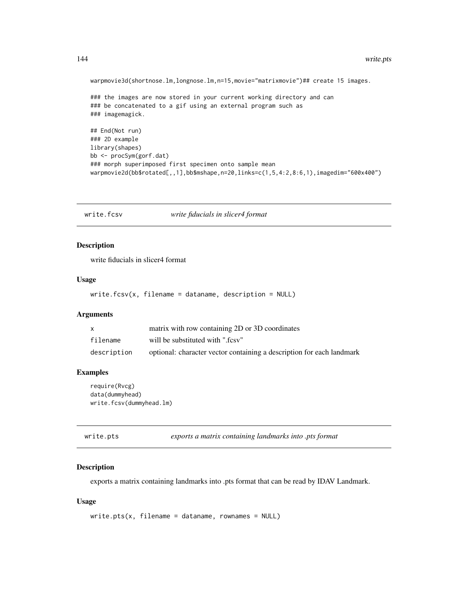warpmovie3d(shortnose.lm,longnose.lm,n=15,movie="matrixmovie")## create 15 images.

```
### the images are now stored in your current working directory and can
### be concatenated to a gif using an external program such as
### imagemagick.
## End(Not run)
### 2D example
```

```
library(shapes)
bb <- procSym(gorf.dat)
### morph superimposed first specimen onto sample mean
warpmovie2d(bb$rotated[,,1],bb$mshape,n=20,links=c(1,5,4:2,8:6,1),imagedim="600x400")
```
write.fcsv *write fiducials in slicer4 format*

#### Description

write fiducials in slicer4 format

#### Usage

write.fcsv(x, filename = dataname, description = NULL)

# Arguments

|             | matrix with row containing 2D or 3D coordinates                       |
|-------------|-----------------------------------------------------------------------|
| filename    | will be substituted with ".fcsy"                                      |
| description | optional: character vector containing a description for each landmark |

#### Examples

```
require(Rvcg)
data(dummyhead)
write.fcsv(dummyhead.lm)
```
write.pts *exports a matrix containing landmarks into .pts format*

#### Description

exports a matrix containing landmarks into .pts format that can be read by IDAV Landmark.

#### Usage

```
write.pts(x, filename = dataname, rownames = NULL)
```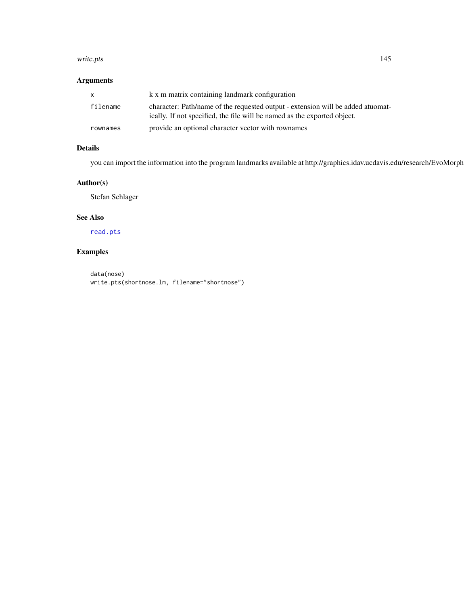#### <span id="page-144-0"></span>write.pts and the state of the state of the state of the state of the state of the state of the state of the state of the state of the state of the state of the state of the state of the state of the state of the state of

## Arguments

| $\mathbf{x}$ | k x m matrix containing landmark configuration                                                                                                               |
|--------------|--------------------------------------------------------------------------------------------------------------------------------------------------------------|
| filename     | character: Path/name of the requested output - extension will be added at uomat-<br>ically. If not specified, the file will be named as the exported object. |
| rownames     | provide an optional character vector with rownames                                                                                                           |

## Details

you can import the information into the program landmarks available at http://graphics.idav.ucdavis.edu/research/EvoMorph

## Author(s)

Stefan Schlager

#### See Also

[read.pts](#page-106-0)

# Examples

data(nose) write.pts(shortnose.lm, filename="shortnose")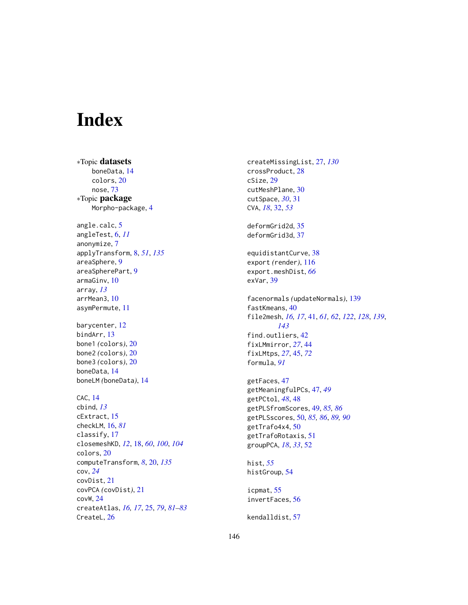# Index

∗Topic datasets boneData, [14](#page-13-0) colors, [20](#page-19-0) nose, [73](#page-72-0) ∗Topic package Morpho-package, [4](#page-3-0) angle.calc, [5](#page-4-0) angleTest, [6,](#page-5-0) *[11](#page-10-0)* anonymize, [7](#page-6-0) applyTransform, [8,](#page-7-0) *[51](#page-50-0)*, *[135](#page-134-0)* areaSphere, [9](#page-8-0) areaSpherePart, [9](#page-8-0) armaGinv, [10](#page-9-0) array, *[13](#page-12-0)* arrMean3, [10](#page-9-0) asymPermute, [11](#page-10-0) barycenter, [12](#page-11-0) bindArr, [13](#page-12-0) bone1 *(*colors*)*, [20](#page-19-0) bone2 *(*colors*)*, [20](#page-19-0) bone3 *(*colors*)*, [20](#page-19-0) boneData, [14](#page-13-0) boneLM *(*boneData*)*, [14](#page-13-0) CAC, [14](#page-13-0) cbind, *[13](#page-12-0)* cExtract, [15](#page-14-0) checkLM, [16,](#page-15-0) *[81](#page-80-0)* classify, [17](#page-16-0) closemeshKD, *[12](#page-11-0)*, [18,](#page-17-0) *[60](#page-59-0)*, *[100](#page-99-0)*, *[104](#page-103-0)* colors, [20](#page-19-0) computeTransform, *[8](#page-7-0)*, [20,](#page-19-0) *[135](#page-134-0)* cov, *[24](#page-23-0)* covDist, [21](#page-20-0) covPCA *(*covDist*)*, [21](#page-20-0) covW, [24](#page-23-0) createAtlas, *[16,](#page-15-0) [17](#page-16-0)*, [25,](#page-24-0) *[79](#page-78-0)*, *[81–](#page-80-0)[83](#page-82-0)* CreateL, [26](#page-25-0)

createMissingList, [27,](#page-26-0) *[130](#page-129-0)* crossProduct, [28](#page-27-0) cSize, [29](#page-28-0) cutMeshPlane, [30](#page-29-0) cutSpace, *[30](#page-29-0)*, [31](#page-30-0) CVA, *[18](#page-17-0)*, [32,](#page-31-0) *[53](#page-52-0)* deformGrid2d, [35](#page-34-0) deformGrid3d, [37](#page-36-0) equidistantCurve, [38](#page-37-0) export *(*render*)*, [116](#page-115-0) export.meshDist, *[66](#page-65-0)* exVar, [39](#page-38-0) facenormals *(*updateNormals*)*, [139](#page-138-0) fastKmeans, [40](#page-39-0) file2mesh, *[16,](#page-15-0) [17](#page-16-0)*, [41,](#page-40-0) *[61,](#page-60-0) [62](#page-61-0)*, *[122](#page-121-0)*, *[128](#page-127-0)*, *[139](#page-138-0)*, *[143](#page-142-0)* find.outliers, [42](#page-41-0) fixLMmirror, *[27](#page-26-0)*, [44](#page-43-0) fixLMtps, *[27](#page-26-0)*, [45,](#page-44-0) *[72](#page-71-0)* formula, *[91](#page-90-0)* getFaces, [47](#page-46-0) getMeaningfulPCs, [47,](#page-46-0) *[49](#page-48-0)* getPCtol, *[48](#page-47-0)*, [48](#page-47-0) getPLSfromScores, [49,](#page-48-0) *[85,](#page-84-0) [86](#page-85-0)* getPLSscores, [50,](#page-49-0) *[85,](#page-84-0) [86](#page-85-0)*, *[89,](#page-88-0) [90](#page-89-0)* getTrafo4x4, [50](#page-49-0) getTrafoRotaxis, [51](#page-50-0) groupPCA, *[18](#page-17-0)*, *[33](#page-32-0)*, [52](#page-51-0) hist, *[55](#page-54-0)* histGroup, [54](#page-53-0) icpmat, [55](#page-54-0) invertFaces, [56](#page-55-0) kendalldist, [57](#page-56-0)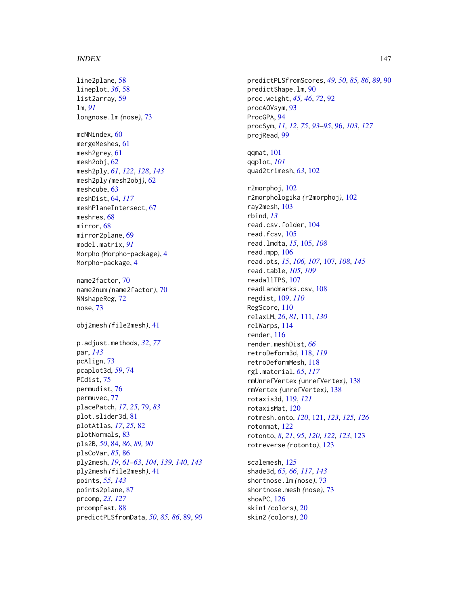#### INDEX 147

line2plane, [58](#page-57-0) lineplot, *[36](#page-35-0)*, [58](#page-57-0) list2array, [59](#page-58-0) lm, *[91](#page-90-0)* longnose.lm *(*nose*)*, [73](#page-72-0) mcNNindex, [60](#page-59-0) mergeMeshes, [61](#page-60-0) mesh2grey, [61](#page-60-0) mesh2obj, [62](#page-61-0) mesh2ply, *[61](#page-60-0)*, *[122](#page-121-0)*, *[128](#page-127-0)*, *[143](#page-142-0)* mesh2ply *(*mesh2obj*)*, [62](#page-61-0) meshcube, [63](#page-62-0) meshDist, [64,](#page-63-0) *[117](#page-116-0)* meshPlaneIntersect, [67](#page-66-0) meshres, [68](#page-67-0) mirror, [68](#page-67-0) mirror2plane, [69](#page-68-0) model.matrix, *[91](#page-90-0)* Morpho *(*Morpho-package*)*, [4](#page-3-0) Morpho-package, [4](#page-3-0) name2factor, [70](#page-69-0) name2num *(*name2factor*)*, [70](#page-69-0) NNshapeReg, [72](#page-71-0) nose, [73](#page-72-0) obj2mesh *(*file2mesh*)*, [41](#page-40-0) p.adjust.methods, *[32](#page-31-0)*, *[77](#page-76-0)* par, *[143](#page-142-0)* pcAlign, [73](#page-72-0) pcaplot3d, *[59](#page-58-0)*, [74](#page-73-0) PCdist, [75](#page-74-0) permudist, [76](#page-75-0) permuvec, [77](#page-76-0) placePatch, *[17](#page-16-0)*, *[25](#page-24-0)*, [79,](#page-78-0) *[83](#page-82-0)* plot.slider3d, [81](#page-80-0) plotAtlas, *[17](#page-16-0)*, *[25](#page-24-0)*, [82](#page-81-0) plotNormals, [83](#page-82-0) pls2B, *[50](#page-49-0)*, [84,](#page-83-0) *[86](#page-85-0)*, *[89,](#page-88-0) [90](#page-89-0)* plsCoVar, *[85](#page-84-0)*, [86](#page-85-0) ply2mesh, *[19](#page-18-0)*, *[61](#page-60-0)[–63](#page-62-0)*, *[104](#page-103-0)*, *[139,](#page-138-0) [140](#page-139-0)*, *[143](#page-142-0)* ply2mesh *(*file2mesh*)*, [41](#page-40-0) points, *[55](#page-54-0)*, *[143](#page-142-0)* points2plane, [87](#page-86-0) prcomp, *[23](#page-22-0)*, *[127](#page-126-0)* prcompfast, [88](#page-87-0) predictPLSfromData, *[50](#page-49-0)*, *[85,](#page-84-0) [86](#page-85-0)*, [89,](#page-88-0) *[90](#page-89-0)* predictPLSfromScores, *[49,](#page-48-0) [50](#page-49-0)*, *[85,](#page-84-0) [86](#page-85-0)*, *[89](#page-88-0)*, [90](#page-89-0) predictShape.lm, [90](#page-89-0) proc.weight, *[45,](#page-44-0) [46](#page-45-0)*, *[72](#page-71-0)*, [92](#page-91-0) procAOVsym, [93](#page-92-0) ProcGPA, [94](#page-93-0) procSym, *[11,](#page-10-0) [12](#page-11-0)*, *[75](#page-74-0)*, *[93](#page-92-0)[–95](#page-94-0)*, [96,](#page-95-0) *[103](#page-102-0)*, *[127](#page-126-0)* projRead, [99](#page-98-0) qqmat, [101](#page-100-0) qqplot, *[101](#page-100-0)* quad2trimesh, *[63](#page-62-0)*, [102](#page-101-0) r2morphoj, [102](#page-101-0) r2morphologika *(*r2morphoj*)*, [102](#page-101-0) ray2mesh, [103](#page-102-0) rbind, *[13](#page-12-0)* read.csv.folder, [104](#page-103-0) read.fcsv, [105](#page-104-0) read.lmdta, *[15](#page-14-0)*, [105,](#page-104-0) *[108](#page-107-0)* read.mpp, [106](#page-105-0) read.pts, *[15](#page-14-0)*, *[106,](#page-105-0) [107](#page-106-1)*, [107,](#page-106-1) *[108](#page-107-0)*, *[145](#page-144-0)* read.table, *[105](#page-104-0)*, *[109](#page-108-0)* readallTPS, [107](#page-106-1) readLandmarks.csv, [108](#page-107-0) regdist, [109,](#page-108-0) *[110](#page-109-0)* RegScore, [110](#page-109-0) relaxLM, *[26](#page-25-0)*, *[81](#page-80-0)*, [111,](#page-110-0) *[130](#page-129-0)* relWarps, [114](#page-113-0) render, [116](#page-115-0) render.meshDist, *[66](#page-65-0)* retroDeform3d, [118,](#page-117-0) *[119](#page-118-0)* retroDeformMesh, [118](#page-117-0) rgl.material, *[65](#page-64-0)*, *[117](#page-116-0)* rmUnrefVertex *(*unrefVertex*)*, [138](#page-137-0) rmVertex *(*unrefVertex*)*, [138](#page-137-0) rotaxis3d, [119,](#page-118-0) *[121](#page-120-0)* rotaxisMat, [120](#page-119-0) rotmesh.onto, *[120](#page-119-0)*, [121,](#page-120-0) *[123](#page-122-0)*, *[125,](#page-124-0) [126](#page-125-0)* rotonmat, [122](#page-121-0) rotonto, *[8](#page-7-0)*, *[21](#page-20-0)*, *[95](#page-94-0)*, *[120](#page-119-0)*, *[122,](#page-121-0) [123](#page-122-0)*, [123](#page-122-0) rotreverse *(*rotonto*)*, [123](#page-122-0)

scalemesh, [125](#page-124-0) shade3d, *[65,](#page-64-0) [66](#page-65-0)*, *[117](#page-116-0)*, *[143](#page-142-0)* shortnose.lm *(*nose*)*, [73](#page-72-0) shortnose.mesh *(*nose*)*, [73](#page-72-0) showPC, [126](#page-125-0) skin1 *(*colors*)*, [20](#page-19-0) skin2 *(*colors*)*, [20](#page-19-0)